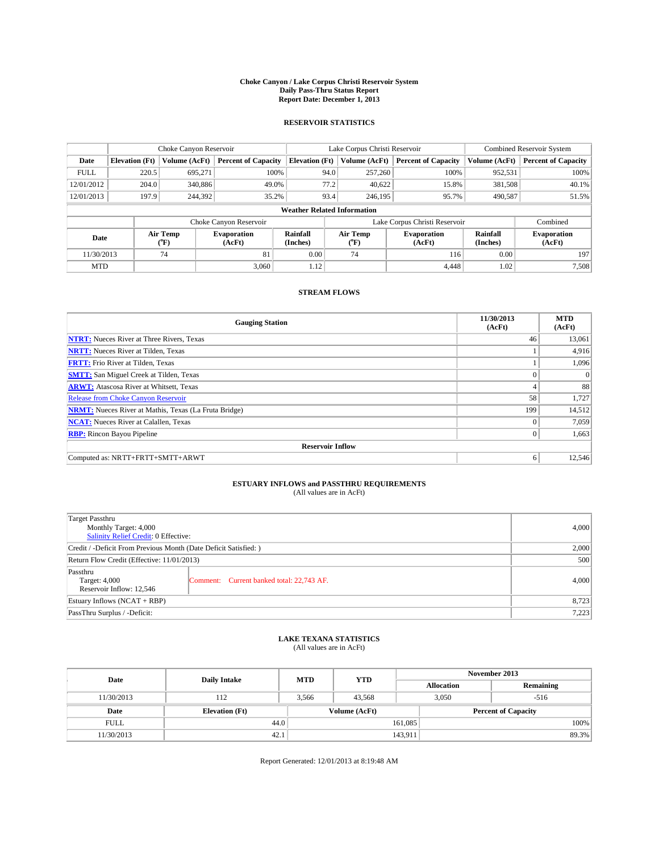#### **Choke Canyon / Lake Corpus Christi Reservoir System Daily Pass-Thru Status Report Report Date: December 1, 2013**

### **RESERVOIR STATISTICS**

|             | Choke Canyon Reservoir |                  |                              |                                    | Lake Corpus Christi Reservoir | <b>Combined Reservoir System</b> |                      |                              |
|-------------|------------------------|------------------|------------------------------|------------------------------------|-------------------------------|----------------------------------|----------------------|------------------------------|
| Date        | <b>Elevation</b> (Ft)  | Volume (AcFt)    | <b>Percent of Capacity</b>   | <b>Elevation (Ft)</b>              | Volume (AcFt)                 | <b>Percent of Capacity</b>       | Volume (AcFt)        | <b>Percent of Capacity</b>   |
| <b>FULL</b> | 220.5                  | 695,271          | 100%                         | 94.0                               | 257,260                       | 100%                             | 952,531              | 100%                         |
| 12/01/2012  | 204.0                  | 340,886          | 49.0%                        | 77.2                               | 40,622                        | 15.8%                            | 381,508              | 40.1%                        |
| 12/01/2013  | 197.9                  | 244,392          | 35.2%                        | 93.4                               | 246,195                       | 95.7%                            | 490,587              | 51.5%                        |
|             |                        |                  |                              | <b>Weather Related Information</b> |                               |                                  |                      |                              |
|             |                        |                  | Choke Canyon Reservoir       |                                    | Lake Corpus Christi Reservoir | Combined                         |                      |                              |
| Date        |                        | Air Temp<br>(°F) | <b>Evaporation</b><br>(AcFt) | Rainfall<br>(Inches)               | Air Temp<br>("F)              | <b>Evaporation</b><br>(AcFt)     | Rainfall<br>(Inches) | <b>Evaporation</b><br>(AcFt) |
| 11/30/2013  | 81<br>74               |                  |                              | 0.00                               | 74                            | 116                              | 0.00                 | 197                          |
| <b>MTD</b>  |                        |                  | 3.060                        | 1.12                               |                               | 4.448                            | 1.02                 | 7,508                        |

### **STREAM FLOWS**

| <b>Gauging Station</b>                                       | 11/30/2013<br>(AcFt) | <b>MTD</b><br>(AcFt) |  |  |  |  |
|--------------------------------------------------------------|----------------------|----------------------|--|--|--|--|
| <b>NTRT:</b> Nueces River at Three Rivers, Texas             | 46                   | 13,061               |  |  |  |  |
| <b>NRTT:</b> Nueces River at Tilden, Texas                   |                      | 4,916                |  |  |  |  |
| <b>FRTT:</b> Frio River at Tilden, Texas                     |                      | 1,096                |  |  |  |  |
| <b>SMTT:</b> San Miguel Creek at Tilden, Texas               |                      | $\Omega$             |  |  |  |  |
| <b>ARWT:</b> Atascosa River at Whitsett, Texas               | 4                    | 88                   |  |  |  |  |
| Release from Choke Canyon Reservoir                          | 58                   | 1,727                |  |  |  |  |
| <b>NRMT:</b> Nueces River at Mathis, Texas (La Fruta Bridge) | 199                  | 14,512               |  |  |  |  |
| <b>NCAT:</b> Nueces River at Calallen, Texas                 | $\theta$             | 7,059                |  |  |  |  |
| <b>RBP:</b> Rincon Bayou Pipeline                            | $\mathbf{0}$         | 1,663                |  |  |  |  |
| <b>Reservoir Inflow</b>                                      |                      |                      |  |  |  |  |
| Computed as: NRTT+FRTT+SMTT+ARWT                             | 6                    | 12,546               |  |  |  |  |

# **ESTUARY INFLOWS and PASSTHRU REQUIREMENTS**<br>(All values are in AcFt)

| Target Passthru<br>Monthly Target: 4,000<br>Salinity Relief Credit: 0 Effective: | 4,000                                     |       |
|----------------------------------------------------------------------------------|-------------------------------------------|-------|
| Credit / -Deficit From Previous Month (Date Deficit Satisfied: )                 | 2,000                                     |       |
| Return Flow Credit (Effective: 11/01/2013)                                       |                                           |       |
| Passthru<br>Target: 4,000<br>Reservoir Inflow: 12,546                            | Comment: Current banked total: 22,743 AF. | 4,000 |
| Estuary Inflows (NCAT + RBP)                                                     | 8,723                                     |       |
| PassThru Surplus / -Deficit:                                                     | 7,223                                     |       |

# **LAKE TEXANA STATISTICS** (All values are in AcFt)

| Date        | <b>Daily Intake</b>   | <b>MTD</b> | <b>YTD</b>    | November 2013     |                            |           |  |
|-------------|-----------------------|------------|---------------|-------------------|----------------------------|-----------|--|
|             |                       |            |               | <b>Allocation</b> |                            | Remaining |  |
| 11/30/2013  | 112                   | 3,566      | 43,568        |                   | 3,050<br>$-516$            |           |  |
| Date        | <b>Elevation</b> (Ft) |            | Volume (AcFt) |                   | <b>Percent of Capacity</b> |           |  |
| <b>FULL</b> | 44.0                  |            |               | 161.085           |                            | 100%      |  |
| 11/30/2013  | 42.1                  |            |               | 143,911           |                            | 89.3%     |  |

Report Generated: 12/01/2013 at 8:19:48 AM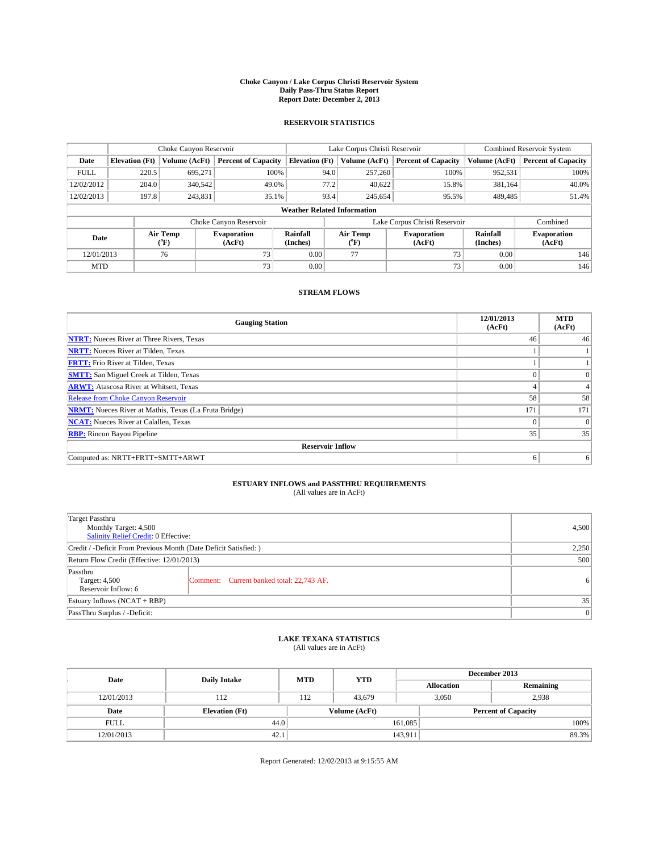#### **Choke Canyon / Lake Corpus Christi Reservoir System Daily Pass-Thru Status Report Report Date: December 2, 2013**

### **RESERVOIR STATISTICS**

|             |                       | Choke Canyon Reservoir |                              |                                    | Lake Corpus Christi Reservoir | <b>Combined Reservoir System</b> |                      |                              |
|-------------|-----------------------|------------------------|------------------------------|------------------------------------|-------------------------------|----------------------------------|----------------------|------------------------------|
| Date        | <b>Elevation</b> (Ft) | Volume (AcFt)          | <b>Percent of Capacity</b>   | <b>Elevation (Ft)</b>              | Volume (AcFt)                 | <b>Percent of Capacity</b>       | Volume (AcFt)        | <b>Percent of Capacity</b>   |
| <b>FULL</b> | 220.5                 | 695.271                | 100%                         | 94.0                               | 257,260                       | 100%                             | 952,531              | 100%                         |
| 12/02/2012  | 204.0                 | 340,542                | 49.0%                        | 77.2                               | 40,622                        | 15.8%                            | 381,164              | 40.0%                        |
| 12/02/2013  | 197.8                 | 243,831                | 35.1%                        | 93.4                               | 245.654                       | 95.5%                            | 489,485              | 51.4%                        |
|             |                       |                        |                              | <b>Weather Related Information</b> |                               |                                  |                      |                              |
|             |                       |                        | Choke Canyon Reservoir       |                                    |                               | Lake Corpus Christi Reservoir    |                      | Combined                     |
| Date        |                       | Air Temp<br>(°F)       | <b>Evaporation</b><br>(AcFt) | Rainfall<br>(Inches)               | Air Temp<br>$(^{o}F)$         | <b>Evaporation</b><br>(AcFt)     | Rainfall<br>(Inches) | <b>Evaporation</b><br>(AcFt) |
| 12/01/2013  |                       | 76                     | 73                           | 0.00                               | 77                            | 73                               | 0.00                 | 146                          |
| <b>MTD</b>  |                       |                        | 73                           | 0.00                               |                               | 73 <sub>1</sub>                  | 0.00                 | 146                          |

### **STREAM FLOWS**

| <b>Gauging Station</b>                                       | 12/01/2013<br>(AcFt) | <b>MTD</b><br>(AcFt) |  |  |  |  |  |
|--------------------------------------------------------------|----------------------|----------------------|--|--|--|--|--|
| <b>NTRT:</b> Nueces River at Three Rivers, Texas             | 46                   | 46                   |  |  |  |  |  |
| <b>NRTT:</b> Nueces River at Tilden, Texas                   |                      |                      |  |  |  |  |  |
| <b>FRTT:</b> Frio River at Tilden, Texas                     |                      |                      |  |  |  |  |  |
| <b>SMTT:</b> San Miguel Creek at Tilden, Texas               | $\theta$             | $\overline{0}$       |  |  |  |  |  |
| <b>ARWT:</b> Atascosa River at Whitsett, Texas               |                      |                      |  |  |  |  |  |
| <b>Release from Choke Canyon Reservoir</b>                   | 58                   | 58                   |  |  |  |  |  |
| <b>NRMT:</b> Nueces River at Mathis, Texas (La Fruta Bridge) | 171                  | 171                  |  |  |  |  |  |
| <b>NCAT:</b> Nueces River at Calallen, Texas                 | $\Omega$             | $\overline{0}$       |  |  |  |  |  |
| <b>RBP:</b> Rincon Bayou Pipeline                            | 35                   | 35                   |  |  |  |  |  |
| <b>Reservoir Inflow</b>                                      |                      |                      |  |  |  |  |  |
| Computed as: NRTT+FRTT+SMTT+ARWT                             | 6                    | 6                    |  |  |  |  |  |

# **ESTUARY INFLOWS and PASSTHRU REQUIREMENTS**<br>(All values are in AcFt)

| Target Passthru<br>Monthly Target: 4,500<br>Salinity Relief Credit: 0 Effective: | 4,500                                     |                |
|----------------------------------------------------------------------------------|-------------------------------------------|----------------|
| Credit / -Deficit From Previous Month (Date Deficit Satisfied: )                 | 2,250                                     |                |
| Return Flow Credit (Effective: 12/01/2013)                                       |                                           | 500            |
| Passthru<br>Target: 4,500<br>Reservoir Inflow: 6                                 | Comment: Current banked total: 22,743 AF. | 6 <sup>1</sup> |
| Estuary Inflows $(NCAT + RBP)$                                                   | 35                                        |                |
| PassThru Surplus / -Deficit:                                                     | 0                                         |                |

# **LAKE TEXANA STATISTICS** (All values are in AcFt)

| Date        | <b>Daily Intake</b>   | <b>MTD</b> | <b>YTD</b>    | December 2013     |                            |  |  |
|-------------|-----------------------|------------|---------------|-------------------|----------------------------|--|--|
|             |                       |            |               | <b>Allocation</b> | Remaining                  |  |  |
| 12/01/2013  | 112                   | 112        | 43.679        | 3,050             | 2,938                      |  |  |
| Date        | <b>Elevation</b> (Ft) |            | Volume (AcFt) |                   | <b>Percent of Capacity</b> |  |  |
| <b>FULL</b> | 44.0                  |            |               | 161,085           | 100%                       |  |  |
| 12/01/2013  | 42.1                  |            |               | 143,911           | 89.3%                      |  |  |

Report Generated: 12/02/2013 at 9:15:55 AM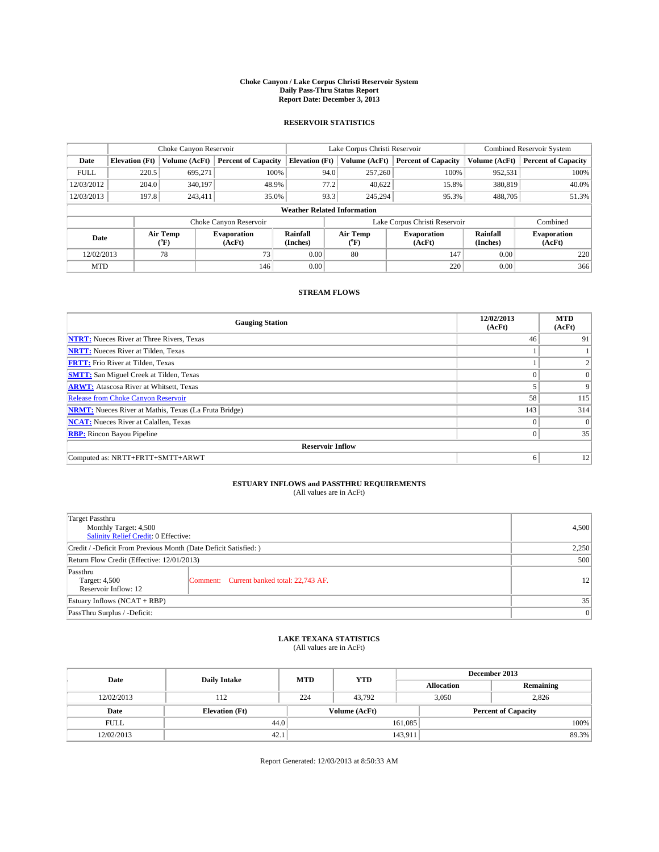#### **Choke Canyon / Lake Corpus Christi Reservoir System Daily Pass-Thru Status Report Report Date: December 3, 2013**

### **RESERVOIR STATISTICS**

|             |                       | Choke Canyon Reservoir |                              |                                    | Lake Corpus Christi Reservoir             | Combined Reservoir System    |                      |                              |
|-------------|-----------------------|------------------------|------------------------------|------------------------------------|-------------------------------------------|------------------------------|----------------------|------------------------------|
| Date        | <b>Elevation</b> (Ft) | Volume (AcFt)          | <b>Percent of Capacity</b>   | <b>Elevation (Ft)</b>              | Volume (AcFt)                             | <b>Percent of Capacity</b>   | Volume (AcFt)        | <b>Percent of Capacity</b>   |
| <b>FULL</b> | 220.5                 | 695,271                | 100%                         | 94.0                               | 257,260                                   | 100%                         | 952,531              | 100%                         |
| 12/03/2012  | 204.0                 | 340,197                | 48.9%                        | 77.2                               | 40,622                                    | 15.8%                        | 380,819              | 40.0%                        |
| 12/03/2013  | 197.8                 | 243,411                | 35.0%                        | 93.3                               | 245.294                                   | 95.3%                        | 488,705              | 51.3%                        |
|             |                       |                        |                              | <b>Weather Related Information</b> |                                           |                              |                      |                              |
|             |                       |                        | Choke Canyon Reservoir       |                                    | Lake Corpus Christi Reservoir<br>Combined |                              |                      |                              |
| Date        |                       | Air Temp<br>(°F)       | <b>Evaporation</b><br>(AcFt) | Rainfall<br>(Inches)               | Air Temp<br>(°F)                          | <b>Evaporation</b><br>(AcFt) | Rainfall<br>(Inches) | <b>Evaporation</b><br>(AcFt) |
| 12/02/2013  |                       | 78                     | 73                           | 0.00                               | 80                                        | 147                          | 0.00                 | 220                          |
| <b>MTD</b>  |                       |                        | 146                          | 0.00                               |                                           | 220                          | 0.00                 | 366                          |

### **STREAM FLOWS**

| <b>Gauging Station</b>                                       | 12/02/2013<br>(AcFt) | <b>MTD</b><br>(AcFt) |  |  |  |  |  |
|--------------------------------------------------------------|----------------------|----------------------|--|--|--|--|--|
| <b>NTRT:</b> Nueces River at Three Rivers, Texas             | 46                   | 91                   |  |  |  |  |  |
| <b>NRTT:</b> Nueces River at Tilden, Texas                   |                      |                      |  |  |  |  |  |
| <b>FRTT:</b> Frio River at Tilden, Texas                     |                      |                      |  |  |  |  |  |
| <b>SMTT:</b> San Miguel Creek at Tilden, Texas               |                      | $\Omega$             |  |  |  |  |  |
| <b>ARWT:</b> Atascosa River at Whitsett, Texas               |                      | 9                    |  |  |  |  |  |
| Release from Choke Canyon Reservoir                          | 58                   | 115                  |  |  |  |  |  |
| <b>NRMT:</b> Nueces River at Mathis, Texas (La Fruta Bridge) | 143                  | 314                  |  |  |  |  |  |
| <b>NCAT:</b> Nueces River at Calallen, Texas                 | $\theta$             | $\Omega$             |  |  |  |  |  |
| <b>RBP:</b> Rincon Bayou Pipeline                            | $\Omega$             | 35                   |  |  |  |  |  |
| <b>Reservoir Inflow</b>                                      |                      |                      |  |  |  |  |  |
| Computed as: NRTT+FRTT+SMTT+ARWT                             | 6                    | 12                   |  |  |  |  |  |

# **ESTUARY INFLOWS and PASSTHRU REQUIREMENTS**<br>(All values are in AcFt)

| Target Passthru                                                  |                                           |                 |
|------------------------------------------------------------------|-------------------------------------------|-----------------|
| Monthly Target: 4,500<br>Salinity Relief Credit: 0 Effective:    | 4,500                                     |                 |
| Credit / -Deficit From Previous Month (Date Deficit Satisfied: ) | 2,250                                     |                 |
| Return Flow Credit (Effective: 12/01/2013)                       | 500                                       |                 |
| Passthru<br>Target: 4,500<br>Reservoir Inflow: 12                | Comment: Current banked total: 22,743 AF. | 12 <sup>1</sup> |
| Estuary Inflows $(NCAT + RBP)$                                   | 35                                        |                 |
| PassThru Surplus / -Deficit:                                     | 0                                         |                 |

# **LAKE TEXANA STATISTICS** (All values are in AcFt)

| Date        | <b>Daily Intake</b>   | <b>MTD</b> | <b>YTD</b>    | December 2013     |                            |           |  |
|-------------|-----------------------|------------|---------------|-------------------|----------------------------|-----------|--|
|             |                       |            |               | <b>Allocation</b> |                            | Remaining |  |
| 12/02/2013  | 112                   | 224        | 43.792        |                   | 3,050<br>2.826             |           |  |
| Date        | <b>Elevation</b> (Ft) |            | Volume (AcFt) |                   | <b>Percent of Capacity</b> |           |  |
| <b>FULL</b> | 44.0                  |            |               | 161,085           |                            | 100%      |  |
| 12/02/2013  | 42.1                  |            |               | 143,911           |                            | 89.3%     |  |

Report Generated: 12/03/2013 at 8:50:33 AM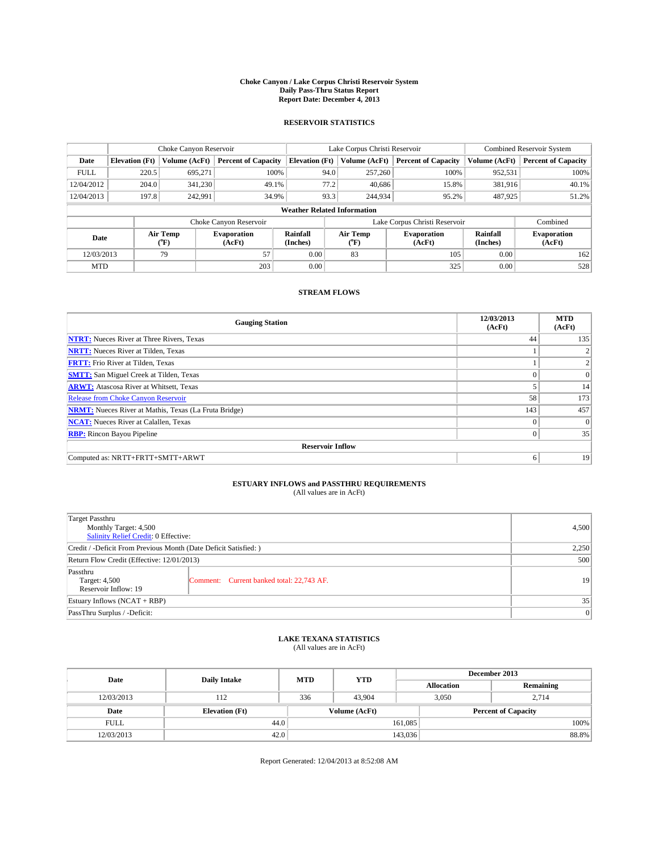#### **Choke Canyon / Lake Corpus Christi Reservoir System Daily Pass-Thru Status Report Report Date: December 4, 2013**

### **RESERVOIR STATISTICS**

|             |                                    | Choke Canyon Reservoir |                              |                       | Lake Corpus Christi Reservoir | Combined Reservoir System    |                      |                              |  |
|-------------|------------------------------------|------------------------|------------------------------|-----------------------|-------------------------------|------------------------------|----------------------|------------------------------|--|
| Date        | <b>Elevation</b> (Ft)              | Volume (AcFt)          | <b>Percent of Capacity</b>   | <b>Elevation (Ft)</b> | Volume (AcFt)                 | <b>Percent of Capacity</b>   | Volume (AcFt)        | <b>Percent of Capacity</b>   |  |
| <b>FULL</b> | 220.5                              | 695.271                | 100%                         | 94.0                  | 257,260                       | 100%                         | 952,531              | 100%                         |  |
| 12/04/2012  | 204.0                              | 341,230                | 49.1%                        | 77.2                  | 40,686                        | 15.8%                        | 381,916              | 40.1%                        |  |
| 12/04/2013  | 197.8                              | 242,991                | 34.9%                        | 93.3                  | 244,934                       | 95.2%                        | 487,925              | 51.2%                        |  |
|             | <b>Weather Related Information</b> |                        |                              |                       |                               |                              |                      |                              |  |
|             |                                    |                        | Choke Canyon Reservoir       |                       | Lake Corpus Christi Reservoir |                              | Combined             |                              |  |
| Date        |                                    | Air Temp<br>(°F)       | <b>Evaporation</b><br>(AcFt) | Rainfall<br>(Inches)  | Air Temp<br>(°F)              | <b>Evaporation</b><br>(AcFt) | Rainfall<br>(Inches) | <b>Evaporation</b><br>(AcFt) |  |
| 12/03/2013  |                                    | 57<br>79               |                              | 0.00                  | 83                            | 105                          | 0.00                 | 162                          |  |
| <b>MTD</b>  |                                    |                        | 203                          | 0.00                  |                               | 325                          | 0.00                 | 528                          |  |

### **STREAM FLOWS**

| <b>Gauging Station</b>                                       | 12/03/2013<br>(AcFt) | <b>MTD</b><br>(AcFt) |  |  |  |  |  |
|--------------------------------------------------------------|----------------------|----------------------|--|--|--|--|--|
| <b>NTRT:</b> Nueces River at Three Rivers, Texas             | 44                   | 135                  |  |  |  |  |  |
| <b>NRTT:</b> Nueces River at Tilden, Texas                   |                      |                      |  |  |  |  |  |
| <b>FRTT:</b> Frio River at Tilden, Texas                     |                      |                      |  |  |  |  |  |
| <b>SMTT:</b> San Miguel Creek at Tilden, Texas               |                      | $\overline{0}$       |  |  |  |  |  |
| <b>ARWT:</b> Atascosa River at Whitsett, Texas               |                      | 14                   |  |  |  |  |  |
| <b>Release from Choke Canyon Reservoir</b>                   | 58                   | 173                  |  |  |  |  |  |
| <b>NRMT:</b> Nueces River at Mathis, Texas (La Fruta Bridge) | 143                  | 457                  |  |  |  |  |  |
| <b>NCAT:</b> Nueces River at Calallen, Texas                 | $\theta$             | $\overline{0}$       |  |  |  |  |  |
| <b>RBP:</b> Rincon Bayou Pipeline                            | $\Omega$             | 35                   |  |  |  |  |  |
| <b>Reservoir Inflow</b>                                      |                      |                      |  |  |  |  |  |
| Computed as: NRTT+FRTT+SMTT+ARWT                             | 6                    | 19                   |  |  |  |  |  |

# **ESTUARY INFLOWS and PASSTHRU REQUIREMENTS**<br>(All values are in AcFt)

| Target Passthru                                                  |                                           |    |  |  |
|------------------------------------------------------------------|-------------------------------------------|----|--|--|
| Monthly Target: 4,500<br>Salinity Relief Credit: 0 Effective:    |                                           |    |  |  |
| Credit / -Deficit From Previous Month (Date Deficit Satisfied: ) | 2,250                                     |    |  |  |
| Return Flow Credit (Effective: 12/01/2013)                       | 500                                       |    |  |  |
| Passthru<br>Target: 4,500<br>Reservoir Inflow: 19                | Comment: Current banked total: 22,743 AF. | 19 |  |  |
| Estuary Inflows (NCAT + RBP)                                     | 35                                        |    |  |  |
| PassThru Surplus / -Deficit:                                     | 0                                         |    |  |  |

# **LAKE TEXANA STATISTICS** (All values are in AcFt)

| Date        | <b>Daily Intake</b>   | <b>MTD</b> | <b>YTD</b>    | December 2013     |                            |           |  |
|-------------|-----------------------|------------|---------------|-------------------|----------------------------|-----------|--|
|             |                       |            |               | <b>Allocation</b> |                            | Remaining |  |
| 12/03/2013  | 112                   | 336        | 43.904        |                   | 3,050<br>2.714             |           |  |
| Date        | <b>Elevation</b> (Ft) |            | Volume (AcFt) |                   | <b>Percent of Capacity</b> |           |  |
| <b>FULL</b> | 44.0                  |            |               | 161,085           |                            | 100%      |  |
| 12/03/2013  | 42.0                  |            |               | 143,036           |                            | 88.8%     |  |

Report Generated: 12/04/2013 at 8:52:08 AM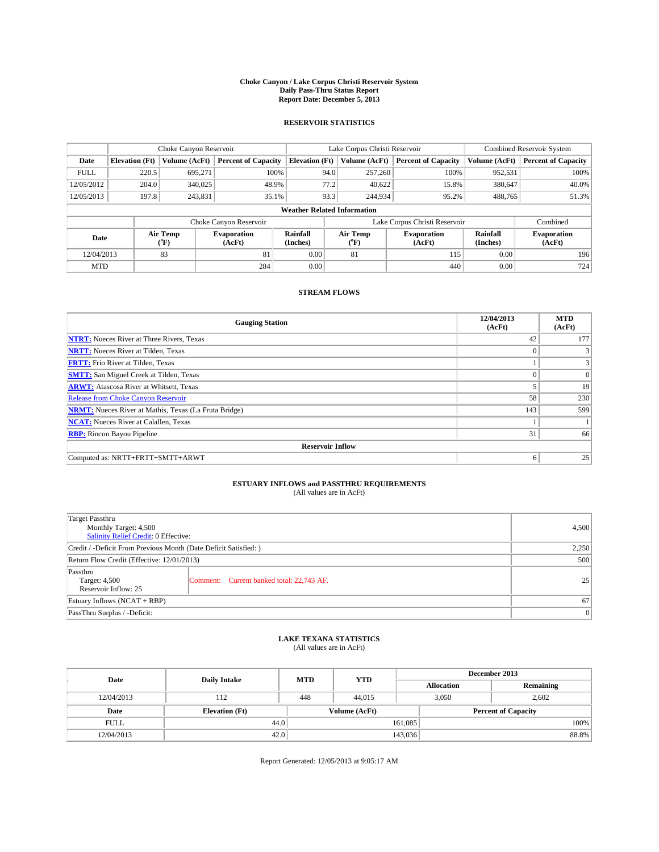#### **Choke Canyon / Lake Corpus Christi Reservoir System Daily Pass-Thru Status Report Report Date: December 5, 2013**

### **RESERVOIR STATISTICS**

|             | Choke Canyon Reservoir             |               |                              |                       | Lake Corpus Christi Reservoir | <b>Combined Reservoir System</b> |                      |                              |  |
|-------------|------------------------------------|---------------|------------------------------|-----------------------|-------------------------------|----------------------------------|----------------------|------------------------------|--|
| Date        | <b>Elevation</b> (Ft)              | Volume (AcFt) | <b>Percent of Capacity</b>   | <b>Elevation (Ft)</b> | Volume (AcFt)                 | <b>Percent of Capacity</b>       | Volume (AcFt)        | <b>Percent of Capacity</b>   |  |
| <b>FULL</b> | 220.5                              | 695,271       | 100%                         | 94.0                  | 257,260                       | 100%                             | 952,531              | 100%                         |  |
| 12/05/2012  | 204.0                              | 340,025       | 48.9%                        | 77.2                  | 40,622                        | 15.8%                            | 380,647              | 40.0%                        |  |
| 12/05/2013  | 197.8                              | 243.831       | 35.1%                        | 93.3                  | 244,934                       | 95.2%                            | 488,765              | 51.3%                        |  |
|             | <b>Weather Related Information</b> |               |                              |                       |                               |                                  |                      |                              |  |
|             |                                    |               | Choke Canyon Reservoir       |                       | Lake Corpus Christi Reservoir |                                  | Combined             |                              |  |
| Date        | Air Temp<br>(°F)                   |               | <b>Evaporation</b><br>(AcFt) | Rainfall<br>(Inches)  | Air Temp<br>("F)              | <b>Evaporation</b><br>(AcFt)     | Rainfall<br>(Inches) | <b>Evaporation</b><br>(AcFt) |  |
| 12/04/2013  |                                    | 83            | 81                           | 0.00                  | 81                            | 115                              | 0.00                 | 196                          |  |
| <b>MTD</b>  |                                    |               | 284                          | 0.00                  |                               | 440                              | 0.00                 | 724                          |  |

### **STREAM FLOWS**

| <b>Gauging Station</b>                                       | 12/04/2013<br>(AcFt) | <b>MTD</b><br>(AcFt) |  |  |  |  |  |
|--------------------------------------------------------------|----------------------|----------------------|--|--|--|--|--|
| <b>NTRT:</b> Nueces River at Three Rivers, Texas             | 42                   | 177                  |  |  |  |  |  |
| <b>NRTT:</b> Nueces River at Tilden, Texas                   | $\theta$             |                      |  |  |  |  |  |
| <b>FRTT:</b> Frio River at Tilden, Texas                     |                      | 3                    |  |  |  |  |  |
| <b>SMTT:</b> San Miguel Creek at Tilden, Texas               |                      | $\overline{0}$       |  |  |  |  |  |
| <b>ARWT:</b> Atascosa River at Whitsett, Texas               |                      | 19                   |  |  |  |  |  |
| <b>Release from Choke Canyon Reservoir</b>                   | 58                   | 230                  |  |  |  |  |  |
| <b>NRMT:</b> Nueces River at Mathis, Texas (La Fruta Bridge) | 143                  | 599                  |  |  |  |  |  |
| <b>NCAT:</b> Nueces River at Calallen, Texas                 |                      |                      |  |  |  |  |  |
| <b>RBP:</b> Rincon Bayou Pipeline                            | 31                   | 66                   |  |  |  |  |  |
| <b>Reservoir Inflow</b>                                      |                      |                      |  |  |  |  |  |
| Computed as: NRTT+FRTT+SMTT+ARWT                             | 6                    | 25                   |  |  |  |  |  |

# **ESTUARY INFLOWS and PASSTHRU REQUIREMENTS**<br>(All values are in AcFt)

| Target Passthru                                                  |                                           |    |  |  |
|------------------------------------------------------------------|-------------------------------------------|----|--|--|
| Monthly Target: 4,500<br>Salinity Relief Credit: 0 Effective:    |                                           |    |  |  |
| Credit / -Deficit From Previous Month (Date Deficit Satisfied: ) |                                           |    |  |  |
| Return Flow Credit (Effective: 12/01/2013)                       |                                           |    |  |  |
| Passthru<br>Target: 4,500<br>Reservoir Inflow: 25                | Comment: Current banked total: 22,743 AF. | 25 |  |  |
| Estuary Inflows (NCAT + RBP)                                     |                                           |    |  |  |
| PassThru Surplus / -Deficit:                                     | 0                                         |    |  |  |

# **LAKE TEXANA STATISTICS** (All values are in AcFt)

| Date        | <b>Daily Intake</b>   | <b>MTD</b> | <b>YTD</b>    | December 2013     |                            |           |  |
|-------------|-----------------------|------------|---------------|-------------------|----------------------------|-----------|--|
|             |                       |            |               | <b>Allocation</b> |                            | Remaining |  |
| 12/04/2013  | 112                   | 448        | 44,015        |                   | 3,050<br>2.602             |           |  |
| Date        | <b>Elevation</b> (Ft) |            | Volume (AcFt) |                   | <b>Percent of Capacity</b> |           |  |
| <b>FULL</b> | 44.0                  |            |               | 161,085           |                            | 100%      |  |
| 12/04/2013  | 42.0                  |            |               | 143,036           |                            | 88.8%     |  |

Report Generated: 12/05/2013 at 9:05:17 AM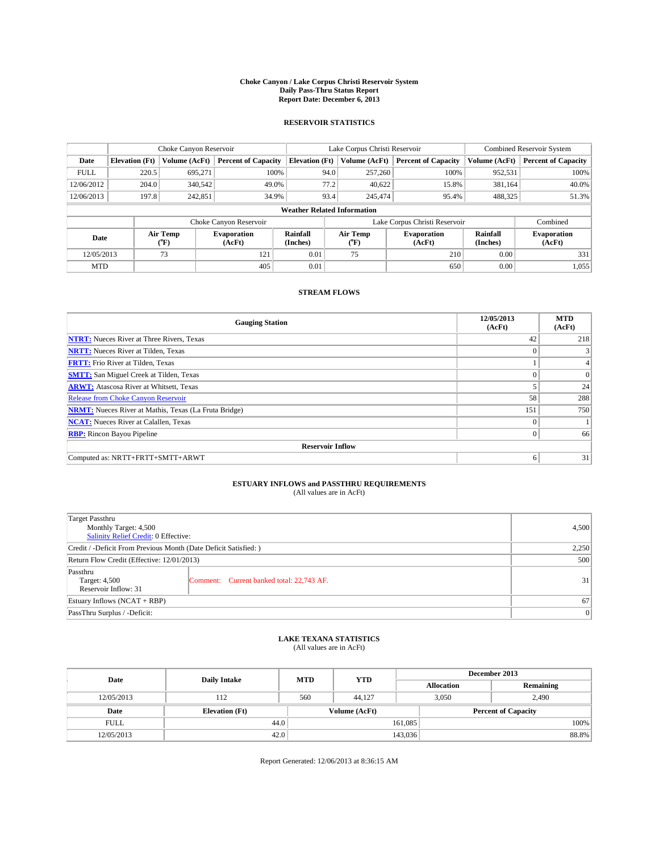#### **Choke Canyon / Lake Corpus Christi Reservoir System Daily Pass-Thru Status Report Report Date: December 6, 2013**

### **RESERVOIR STATISTICS**

|             |                                    | Choke Canyon Reservoir |                              |                       | Lake Corpus Christi Reservoir | <b>Combined Reservoir System</b> |                      |                              |  |
|-------------|------------------------------------|------------------------|------------------------------|-----------------------|-------------------------------|----------------------------------|----------------------|------------------------------|--|
| Date        | <b>Elevation</b> (Ft)              | Volume (AcFt)          | <b>Percent of Capacity</b>   | <b>Elevation (Ft)</b> | Volume (AcFt)                 | <b>Percent of Capacity</b>       | Volume (AcFt)        | <b>Percent of Capacity</b>   |  |
| <b>FULL</b> | 220.5                              | 695.271                | 100%                         | 94.0                  | 257,260                       | 100%                             | 952,531              | 100%                         |  |
| 12/06/2012  | 204.0                              | 340,542                | 49.0%                        | 77.2                  | 40,622                        | 15.8%                            | 381,164              | 40.0%                        |  |
| 12/06/2013  | 197.8                              | 242,851                | 34.9%                        | 93.4                  | 245,474                       | 95.4%                            | 488,325              | 51.3%                        |  |
|             | <b>Weather Related Information</b> |                        |                              |                       |                               |                                  |                      |                              |  |
|             |                                    |                        | Choke Canyon Reservoir       |                       | Lake Corpus Christi Reservoir |                                  | Combined             |                              |  |
| Date        |                                    | Air Temp<br>(°F)       | <b>Evaporation</b><br>(AcFt) | Rainfall<br>(Inches)  | Air Temp<br>$(^{o}F)$         | <b>Evaporation</b><br>(AcFt)     | Rainfall<br>(Inches) | <b>Evaporation</b><br>(AcFt) |  |
| 12/05/2013  |                                    | 73                     | 121                          | 0.01                  | 75                            | 210                              | 0.00                 | 331                          |  |
| <b>MTD</b>  |                                    |                        | 405                          | 0.01                  |                               | 650                              | 0.00                 | 1,055                        |  |

### **STREAM FLOWS**

| <b>Gauging Station</b>                                       | 12/05/2013<br>(AcFt) | <b>MTD</b><br>(AcFt) |  |  |  |  |  |
|--------------------------------------------------------------|----------------------|----------------------|--|--|--|--|--|
| <b>NTRT:</b> Nueces River at Three Rivers, Texas             | 42                   | 218                  |  |  |  |  |  |
| <b>NRTT:</b> Nueces River at Tilden, Texas                   | $\theta$             |                      |  |  |  |  |  |
| <b>FRTT:</b> Frio River at Tilden, Texas                     |                      |                      |  |  |  |  |  |
| <b>SMTT:</b> San Miguel Creek at Tilden, Texas               |                      | $\overline{0}$       |  |  |  |  |  |
| <b>ARWT:</b> Atascosa River at Whitsett, Texas               |                      | 24                   |  |  |  |  |  |
| <b>Release from Choke Canyon Reservoir</b>                   | 58                   | 288                  |  |  |  |  |  |
| <b>NRMT:</b> Nueces River at Mathis, Texas (La Fruta Bridge) | 151                  | 750                  |  |  |  |  |  |
| <b>NCAT:</b> Nueces River at Calallen, Texas                 | $\theta$             |                      |  |  |  |  |  |
| <b>RBP:</b> Rincon Bayou Pipeline                            | $\Omega$             | 66                   |  |  |  |  |  |
| <b>Reservoir Inflow</b>                                      |                      |                      |  |  |  |  |  |
| Computed as: NRTT+FRTT+SMTT+ARWT                             | 6                    | 31                   |  |  |  |  |  |

# **ESTUARY INFLOWS and PASSTHRU REQUIREMENTS**<br>(All values are in AcFt)

| Target Passthru<br>Monthly Target: 4,500<br>Salinity Relief Credit: 0 Effective: | 4,500                                     |    |  |  |
|----------------------------------------------------------------------------------|-------------------------------------------|----|--|--|
| Credit / -Deficit From Previous Month (Date Deficit Satisfied: )                 |                                           |    |  |  |
| Return Flow Credit (Effective: 12/01/2013)                                       |                                           |    |  |  |
| Passthru<br>Target: 4,500<br>Reservoir Inflow: 31                                | Comment: Current banked total: 22,743 AF. | 31 |  |  |
| Estuary Inflows (NCAT + RBP)                                                     |                                           |    |  |  |
| PassThru Surplus / -Deficit:                                                     | 0                                         |    |  |  |

# **LAKE TEXANA STATISTICS** (All values are in AcFt)

| Date        | <b>Daily Intake</b>   | <b>MTD</b> | <b>YTD</b>    | December 2013     |                            |           |  |
|-------------|-----------------------|------------|---------------|-------------------|----------------------------|-----------|--|
|             |                       |            |               | <b>Allocation</b> |                            | Remaining |  |
| 12/05/2013  | 112                   | 560        | 44,127        |                   | 3,050<br>2,490             |           |  |
| Date        | <b>Elevation</b> (Ft) |            | Volume (AcFt) |                   | <b>Percent of Capacity</b> |           |  |
| <b>FULL</b> | 44.0                  |            |               | 161,085           |                            | 100%      |  |
| 12/05/2013  | 42.0                  |            |               | 143,036           |                            | 88.8%     |  |

Report Generated: 12/06/2013 at 8:36:15 AM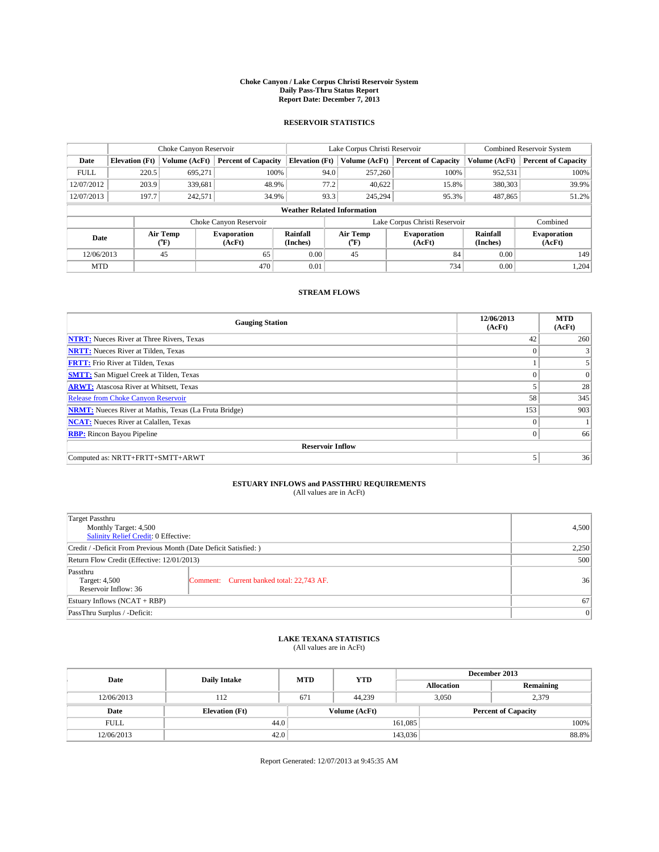#### **Choke Canyon / Lake Corpus Christi Reservoir System Daily Pass-Thru Status Report Report Date: December 7, 2013**

### **RESERVOIR STATISTICS**

|             | Choke Canyon Reservoir             |                  |                              |                       | Lake Corpus Christi Reservoir | <b>Combined Reservoir System</b> |                      |                              |  |
|-------------|------------------------------------|------------------|------------------------------|-----------------------|-------------------------------|----------------------------------|----------------------|------------------------------|--|
| Date        | <b>Elevation</b> (Ft)              | Volume (AcFt)    | <b>Percent of Capacity</b>   | <b>Elevation (Ft)</b> | Volume (AcFt)                 | <b>Percent of Capacity</b>       | Volume (AcFt)        | <b>Percent of Capacity</b>   |  |
| <b>FULL</b> | 220.5                              | 695.271          | 100%                         | 94.0                  | 257,260                       | 100%                             | 952,531              | 100%                         |  |
| 12/07/2012  | 203.9                              | 339,681          | 48.9%                        | 77.2                  | 40,622                        | 15.8%                            | 380,303              | 39.9%                        |  |
| 12/07/2013  | 197.7                              | 242,571          | 34.9%                        | 93.3                  | 245.294                       | 95.3%                            | 487,865              | 51.2%                        |  |
|             | <b>Weather Related Information</b> |                  |                              |                       |                               |                                  |                      |                              |  |
|             |                                    |                  | Choke Canyon Reservoir       |                       |                               | Lake Corpus Christi Reservoir    |                      | Combined                     |  |
| Date        |                                    | Air Temp<br>(°F) | <b>Evaporation</b><br>(AcFt) | Rainfall<br>(Inches)  | Air Temp<br>$(^{o}F)$         | <b>Evaporation</b><br>(AcFt)     | Rainfall<br>(Inches) | <b>Evaporation</b><br>(AcFt) |  |
| 12/06/2013  |                                    | 45               | 65                           | 0.00                  | 45                            | 84                               | 0.00                 | 149                          |  |
| <b>MTD</b>  |                                    |                  | 470                          | 0.01                  |                               | 734                              | 0.00                 | 1,204                        |  |

### **STREAM FLOWS**

| <b>Gauging Station</b>                                       | 12/06/2013<br>(AcFt) | <b>MTD</b><br>(AcFt) |  |  |  |  |  |
|--------------------------------------------------------------|----------------------|----------------------|--|--|--|--|--|
| <b>NTRT:</b> Nueces River at Three Rivers, Texas             | 42                   | 260                  |  |  |  |  |  |
| <b>NRTT:</b> Nueces River at Tilden, Texas                   | $\theta$             |                      |  |  |  |  |  |
| <b>FRTT:</b> Frio River at Tilden, Texas                     |                      |                      |  |  |  |  |  |
| <b>SMTT:</b> San Miguel Creek at Tilden, Texas               |                      | $\overline{0}$       |  |  |  |  |  |
| <b>ARWT:</b> Atascosa River at Whitsett, Texas               |                      | 28                   |  |  |  |  |  |
| <b>Release from Choke Canyon Reservoir</b>                   | 58                   | 345                  |  |  |  |  |  |
| <b>NRMT:</b> Nueces River at Mathis, Texas (La Fruta Bridge) | 153                  | 903                  |  |  |  |  |  |
| <b>NCAT:</b> Nueces River at Calallen, Texas                 | $\theta$             |                      |  |  |  |  |  |
| <b>RBP:</b> Rincon Bayou Pipeline                            | $\theta$             | 66                   |  |  |  |  |  |
| <b>Reservoir Inflow</b>                                      |                      |                      |  |  |  |  |  |
| Computed as: NRTT+FRTT+SMTT+ARWT                             | 5                    | 36                   |  |  |  |  |  |

# **ESTUARY INFLOWS and PASSTHRU REQUIREMENTS**<br>(All values are in AcFt)

| Target Passthru                                                  |                                           |    |
|------------------------------------------------------------------|-------------------------------------------|----|
| Monthly Target: 4,500<br>Salinity Relief Credit: 0 Effective:    | 4,500                                     |    |
| Credit / -Deficit From Previous Month (Date Deficit Satisfied: ) | 2,250                                     |    |
| Return Flow Credit (Effective: 12/01/2013)                       | 500                                       |    |
| Passthru<br>Target: 4,500<br>Reservoir Inflow: 36                | Comment: Current banked total: 22,743 AF. | 36 |
| Estuary Inflows (NCAT + RBP)                                     | 67                                        |    |
| PassThru Surplus / -Deficit:                                     | 0                                         |    |

# **LAKE TEXANA STATISTICS** (All values are in AcFt)

| Date        | <b>Daily Intake</b>   | <b>MTD</b> | <b>YTD</b>    | December 2013     |                            |           |
|-------------|-----------------------|------------|---------------|-------------------|----------------------------|-----------|
|             |                       |            |               | <b>Allocation</b> |                            | Remaining |
| 12/06/2013  | 112                   | 671        | 44.239        | 3,050             | 2,379                      |           |
| Date        | <b>Elevation</b> (Ft) |            | Volume (AcFt) |                   | <b>Percent of Capacity</b> |           |
| <b>FULL</b> | 44.0                  |            |               | 161,085           |                            | 100%      |
| 12/06/2013  | 42.0                  |            |               | 143,036           |                            | 88.8%     |

Report Generated: 12/07/2013 at 9:45:35 AM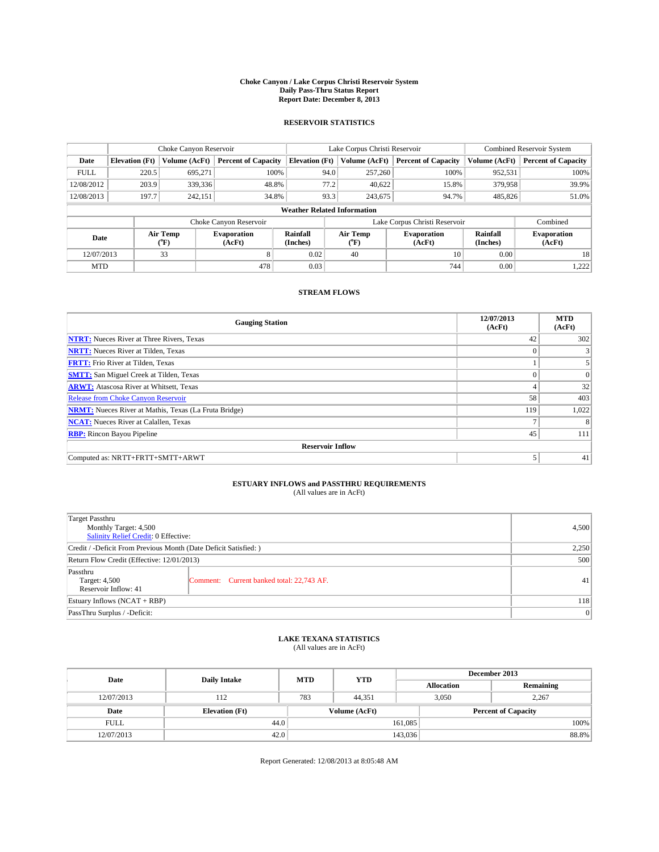#### **Choke Canyon / Lake Corpus Christi Reservoir System Daily Pass-Thru Status Report Report Date: December 8, 2013**

### **RESERVOIR STATISTICS**

|             | Choke Canyon Reservoir             |                  |                              |                       | Lake Corpus Christi Reservoir | <b>Combined Reservoir System</b> |                      |                              |  |
|-------------|------------------------------------|------------------|------------------------------|-----------------------|-------------------------------|----------------------------------|----------------------|------------------------------|--|
| Date        | <b>Elevation</b> (Ft)              | Volume (AcFt)    | <b>Percent of Capacity</b>   | <b>Elevation (Ft)</b> | Volume (AcFt)                 | <b>Percent of Capacity</b>       | Volume (AcFt)        | <b>Percent of Capacity</b>   |  |
| <b>FULL</b> | 220.5                              | 695.271          | 100%                         | 94.0                  | 257,260                       | 100%                             | 952,531              | 100%                         |  |
| 12/08/2012  | 203.9                              | 339,336          | 48.8%                        | 77.2                  | 40,622                        | 15.8%                            | 379,958              | 39.9%                        |  |
| 12/08/2013  | 197.7                              | 242,151          | 34.8%                        | 93.3                  | 243,675                       | 94.7%                            | 485,826              | 51.0%                        |  |
|             | <b>Weather Related Information</b> |                  |                              |                       |                               |                                  |                      |                              |  |
|             |                                    |                  | Choke Canyon Reservoir       |                       |                               | Lake Corpus Christi Reservoir    |                      | Combined                     |  |
| Date        |                                    | Air Temp<br>(°F) | <b>Evaporation</b><br>(AcFt) | Rainfall<br>(Inches)  | Air Temp<br>$(^{o}F)$         | <b>Evaporation</b><br>(AcFt)     | Rainfall<br>(Inches) | <b>Evaporation</b><br>(AcFt) |  |
| 12/07/2013  |                                    | 33               | 8                            | 0.02                  | 40                            | 10                               | 0.00                 | 18                           |  |
| <b>MTD</b>  |                                    |                  | 478                          | 0.03                  |                               | 744                              | 0.00                 | 1,222                        |  |

### **STREAM FLOWS**

| <b>Gauging Station</b>                                       | 12/07/2013<br>(AcFt) | <b>MTD</b><br>(AcFt) |  |  |  |  |
|--------------------------------------------------------------|----------------------|----------------------|--|--|--|--|
| <b>NTRT:</b> Nueces River at Three Rivers, Texas             | 42                   | 302                  |  |  |  |  |
| <b>NRTT:</b> Nueces River at Tilden, Texas                   |                      |                      |  |  |  |  |
| <b>FRTT:</b> Frio River at Tilden, Texas                     |                      |                      |  |  |  |  |
| <b>SMTT:</b> San Miguel Creek at Tilden, Texas               |                      | $\Omega$             |  |  |  |  |
| <b>ARWT:</b> Atascosa River at Whitsett, Texas               | 4                    | 32                   |  |  |  |  |
| Release from Choke Canyon Reservoir                          | 58                   | 403                  |  |  |  |  |
| <b>NRMT:</b> Nueces River at Mathis, Texas (La Fruta Bridge) | 119                  | 1,022                |  |  |  |  |
| <b>NCAT:</b> Nueces River at Calallen, Texas                 |                      | 8                    |  |  |  |  |
| <b>RBP:</b> Rincon Bayou Pipeline                            | 45                   | 111                  |  |  |  |  |
| <b>Reservoir Inflow</b>                                      |                      |                      |  |  |  |  |
| Computed as: NRTT+FRTT+SMTT+ARWT                             |                      | 41                   |  |  |  |  |

# **ESTUARY INFLOWS and PASSTHRU REQUIREMENTS**<br>(All values are in AcFt)

| Target Passthru                                                  |                                           |    |  |  |
|------------------------------------------------------------------|-------------------------------------------|----|--|--|
| Monthly Target: 4,500                                            |                                           |    |  |  |
| Salinity Relief Credit: 0 Effective:                             |                                           |    |  |  |
| Credit / -Deficit From Previous Month (Date Deficit Satisfied: ) |                                           |    |  |  |
| Return Flow Credit (Effective: 12/01/2013)                       |                                           |    |  |  |
| Passthru                                                         |                                           |    |  |  |
| Target: 4,500                                                    | Comment: Current banked total: 22,743 AF. | 41 |  |  |
| Reservoir Inflow: 41                                             |                                           |    |  |  |
| Estuary Inflows (NCAT + RBP)                                     |                                           |    |  |  |
| PassThru Surplus / -Deficit:                                     |                                           |    |  |  |

# **LAKE TEXANA STATISTICS** (All values are in AcFt)

| Date        | <b>Daily Intake</b>   | <b>MTD</b> | <b>YTD</b>    | December 2013 |                            |           |
|-------------|-----------------------|------------|---------------|---------------|----------------------------|-----------|
|             |                       |            |               |               | <b>Allocation</b>          | Remaining |
| 12/07/2013  | 112                   | 783        | 44.351        |               | 3,050<br>2.267             |           |
| Date        | <b>Elevation</b> (Ft) |            | Volume (AcFt) |               | <b>Percent of Capacity</b> |           |
| <b>FULL</b> | 44.0                  |            |               | 161,085       |                            | 100%      |
| 12/07/2013  | 42.0                  |            |               | 143,036       |                            | 88.8%     |

Report Generated: 12/08/2013 at 8:05:48 AM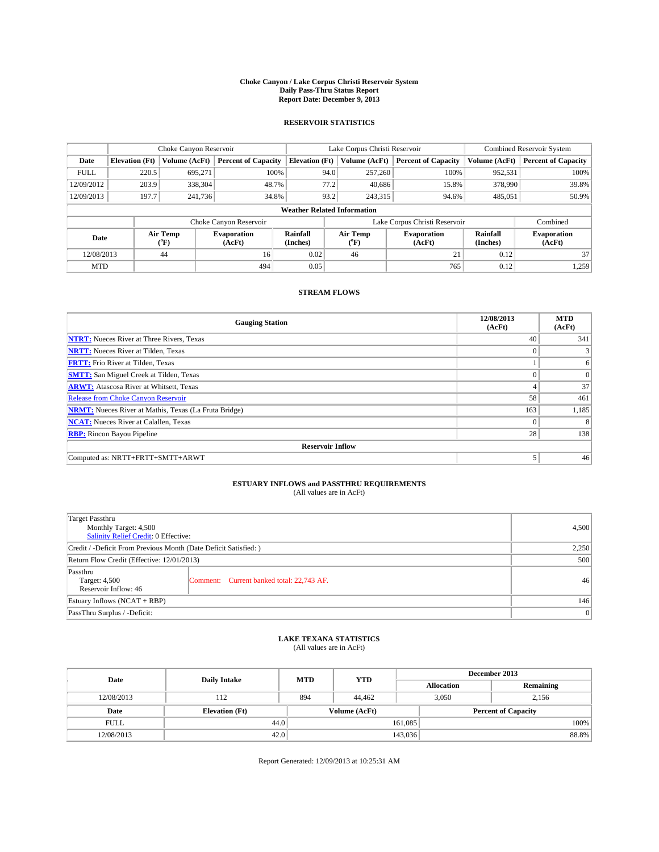#### **Choke Canyon / Lake Corpus Christi Reservoir System Daily Pass-Thru Status Report Report Date: December 9, 2013**

### **RESERVOIR STATISTICS**

|             | Choke Canyon Reservoir             |                  |                              |                       | Lake Corpus Christi Reservoir |                               |                      | <b>Combined Reservoir System</b> |  |
|-------------|------------------------------------|------------------|------------------------------|-----------------------|-------------------------------|-------------------------------|----------------------|----------------------------------|--|
| Date        | <b>Elevation</b> (Ft)              | Volume (AcFt)    | <b>Percent of Capacity</b>   | <b>Elevation (Ft)</b> | Volume (AcFt)                 | <b>Percent of Capacity</b>    | Volume (AcFt)        | <b>Percent of Capacity</b>       |  |
| <b>FULL</b> | 220.5                              | 695,271          | 100%                         |                       | 94.0<br>257,260               | 100%                          | 952,531              | 100%                             |  |
| 12/09/2012  | 203.9                              | 338,304          | 48.7%                        |                       | 77.2<br>40,686                | 15.8%                         | 378,990              | 39.8%                            |  |
| 12/09/2013  | 197.7                              | 241,736          | 34.8%                        | 93.2                  | 243.315                       | 94.6%                         | 485,051              | 50.9%                            |  |
|             | <b>Weather Related Information</b> |                  |                              |                       |                               |                               |                      |                                  |  |
|             |                                    |                  | Choke Canyon Reservoir       |                       |                               | Lake Corpus Christi Reservoir |                      | Combined                         |  |
| Date        |                                    | Air Temp<br>(°F) | <b>Evaporation</b><br>(AcFt) | Rainfall<br>(Inches)  | Air Temp<br>("F)              | <b>Evaporation</b><br>(AcFt)  | Rainfall<br>(Inches) | <b>Evaporation</b><br>(AcFt)     |  |
| 12/08/2013  |                                    | 44               | 16                           | 0.02                  | 46                            | 21                            | 0.12                 | 37                               |  |
| <b>MTD</b>  |                                    |                  | 494                          | 0.05                  |                               | 765                           | 0.12                 | 1,259                            |  |

### **STREAM FLOWS**

| <b>Gauging Station</b>                                       | 12/08/2013<br>(AcFt) | <b>MTD</b><br>(AcFt) |  |  |  |  |
|--------------------------------------------------------------|----------------------|----------------------|--|--|--|--|
| <b>NTRT:</b> Nueces River at Three Rivers, Texas             | 40                   | 341                  |  |  |  |  |
| <b>NRTT:</b> Nueces River at Tilden, Texas                   | $\theta$             |                      |  |  |  |  |
| <b>FRTT:</b> Frio River at Tilden, Texas                     |                      | 6                    |  |  |  |  |
| <b>SMTT:</b> San Miguel Creek at Tilden, Texas               | $\theta$             | $\overline{0}$       |  |  |  |  |
| <b>ARWT:</b> Atascosa River at Whitsett, Texas               |                      | 37                   |  |  |  |  |
| <b>Release from Choke Canyon Reservoir</b>                   | 58                   | 461                  |  |  |  |  |
| <b>NRMT:</b> Nueces River at Mathis, Texas (La Fruta Bridge) | 163                  | 1,185                |  |  |  |  |
| <b>NCAT:</b> Nueces River at Calallen, Texas                 | $\theta$             | 8                    |  |  |  |  |
| <b>RBP:</b> Rincon Bayou Pipeline                            | 28                   | 138                  |  |  |  |  |
| <b>Reservoir Inflow</b>                                      |                      |                      |  |  |  |  |
| Computed as: NRTT+FRTT+SMTT+ARWT                             | 5                    | 46                   |  |  |  |  |

# **ESTUARY INFLOWS and PASSTHRU REQUIREMENTS**<br>(All values are in AcFt)

| Target Passthru<br>Monthly Target: 4,500<br>Salinity Relief Credit: 0 Effective: | 4,500                                     |    |
|----------------------------------------------------------------------------------|-------------------------------------------|----|
| Credit / -Deficit From Previous Month (Date Deficit Satisfied: )                 | 2,250                                     |    |
| Return Flow Credit (Effective: 12/01/2013)                                       | 500                                       |    |
| Passthru<br>Target: 4,500<br>Reservoir Inflow: 46                                | Comment: Current banked total: 22,743 AF. | 46 |
| Estuary Inflows (NCAT + RBP)                                                     | 146                                       |    |
| PassThru Surplus / -Deficit:                                                     | 0                                         |    |

# **LAKE TEXANA STATISTICS** (All values are in AcFt)

| Date        | <b>Daily Intake</b>   | <b>MTD</b> | <b>YTD</b>    | December 2013     |                            |  |  |
|-------------|-----------------------|------------|---------------|-------------------|----------------------------|--|--|
|             |                       |            |               | <b>Allocation</b> | Remaining                  |  |  |
| 12/08/2013  | 112                   | 894        | 44,462        | 3,050             | 2,156                      |  |  |
| Date        | <b>Elevation</b> (Ft) |            | Volume (AcFt) |                   | <b>Percent of Capacity</b> |  |  |
| <b>FULL</b> | 44.0                  |            |               | 161,085           | 100%                       |  |  |
| 12/08/2013  | 42.0                  |            |               | 143,036           | 88.8%                      |  |  |

Report Generated: 12/09/2013 at 10:25:31 AM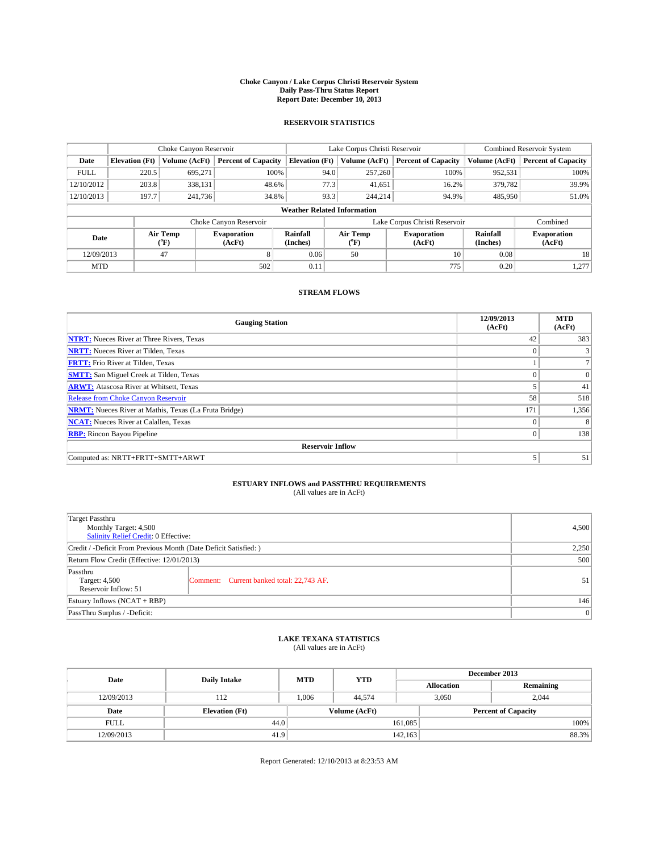#### **Choke Canyon / Lake Corpus Christi Reservoir System Daily Pass-Thru Status Report Report Date: December 10, 2013**

### **RESERVOIR STATISTICS**

|             | Choke Canyon Reservoir |                  |                              |                                    | Lake Corpus Christi Reservoir                    | Combined Reservoir System     |                      |                              |
|-------------|------------------------|------------------|------------------------------|------------------------------------|--------------------------------------------------|-------------------------------|----------------------|------------------------------|
| Date        | <b>Elevation</b> (Ft)  | Volume (AcFt)    | <b>Percent of Capacity</b>   | <b>Elevation (Ft)</b>              | Volume (AcFt)                                    | <b>Percent of Capacity</b>    | Volume (AcFt)        | <b>Percent of Capacity</b>   |
| <b>FULL</b> | 220.5                  | 695.271          | 100%                         | 94.0                               | 257,260                                          | 100%                          | 952,531              | 100%                         |
| 12/10/2012  | 203.8                  | 338,131          | 48.6%                        | 77.3                               | 41,651                                           | 16.2%                         | 379,782              | 39.9%                        |
| 12/10/2013  | 197.7                  | 241.736          | 34.8%                        | 93.3                               | 244,214                                          | 94.9%                         | 485,950              | 51.0%                        |
|             |                        |                  |                              | <b>Weather Related Information</b> |                                                  |                               |                      |                              |
|             |                        |                  | Choke Canyon Reservoir       |                                    |                                                  | Lake Corpus Christi Reservoir |                      | Combined                     |
| Date        |                        | Air Temp<br>(°F) | <b>Evaporation</b><br>(AcFt) | Rainfall<br>(Inches)               | Air Temp<br><b>Evaporation</b><br>(AcFt)<br>(°F) |                               | Rainfall<br>(Inches) | <b>Evaporation</b><br>(AcFt) |
| 12/09/2013  |                        | 47               | 8                            | 0.06                               | 50                                               | 10                            | 0.08                 | 18                           |
| <b>MTD</b>  |                        |                  | 502                          | 0.11                               |                                                  | 775                           | 0.20                 | 1,277                        |

### **STREAM FLOWS**

| <b>Gauging Station</b>                                       | 12/09/2013<br>(AcFt) | <b>MTD</b><br>(AcFt) |  |  |  |  |
|--------------------------------------------------------------|----------------------|----------------------|--|--|--|--|
| <b>NTRT:</b> Nueces River at Three Rivers, Texas             | 42                   | 383                  |  |  |  |  |
| <b>NRTT:</b> Nueces River at Tilden, Texas                   | $\theta$             |                      |  |  |  |  |
| <b>FRTT:</b> Frio River at Tilden, Texas                     |                      |                      |  |  |  |  |
| <b>SMTT:</b> San Miguel Creek at Tilden, Texas               |                      | $\overline{0}$       |  |  |  |  |
| <b>ARWT:</b> Atascosa River at Whitsett, Texas               |                      | 41                   |  |  |  |  |
| <b>Release from Choke Canyon Reservoir</b>                   | 58                   | 518                  |  |  |  |  |
| <b>NRMT:</b> Nueces River at Mathis, Texas (La Fruta Bridge) | 171                  | 1,356                |  |  |  |  |
| <b>NCAT:</b> Nueces River at Calallen, Texas                 | $\theta$             | 8                    |  |  |  |  |
| <b>RBP:</b> Rincon Bayou Pipeline                            | $\theta$             | 138                  |  |  |  |  |
| <b>Reservoir Inflow</b>                                      |                      |                      |  |  |  |  |
| Computed as: NRTT+FRTT+SMTT+ARWT                             | 5                    | 51                   |  |  |  |  |

# **ESTUARY INFLOWS and PASSTHRU REQUIREMENTS**<br>(All values are in AcFt)

| Target Passthru                                                  |                                           | 4,500 |  |  |
|------------------------------------------------------------------|-------------------------------------------|-------|--|--|
| Monthly Target: 4,500<br>Salinity Relief Credit: 0 Effective:    |                                           |       |  |  |
| Credit / -Deficit From Previous Month (Date Deficit Satisfied: ) |                                           |       |  |  |
| Return Flow Credit (Effective: 12/01/2013)                       |                                           |       |  |  |
| Passthru<br>Target: 4,500<br>Reservoir Inflow: 51                | Comment: Current banked total: 22,743 AF. | 51    |  |  |
| Estuary Inflows (NCAT + RBP)                                     |                                           |       |  |  |
| PassThru Surplus / -Deficit:                                     | 0                                         |       |  |  |

# **LAKE TEXANA STATISTICS** (All values are in AcFt)

| Date        | <b>Daily Intake</b>   | <b>MTD</b>    | <b>YTD</b> | December 2013              |       |           |       |
|-------------|-----------------------|---------------|------------|----------------------------|-------|-----------|-------|
|             |                       |               |            | <b>Allocation</b>          |       | Remaining |       |
| 12/09/2013  | 112                   | 1.006         | 44,574     |                            | 3,050 | 2.044     |       |
| Date        | <b>Elevation</b> (Ft) | Volume (AcFt) |            | <b>Percent of Capacity</b> |       |           |       |
| <b>FULL</b> | 44.0                  |               |            | 161,085                    |       |           | 100%  |
| 12/09/2013  | 41.9                  |               |            | 142,163                    |       |           | 88.3% |

Report Generated: 12/10/2013 at 8:23:53 AM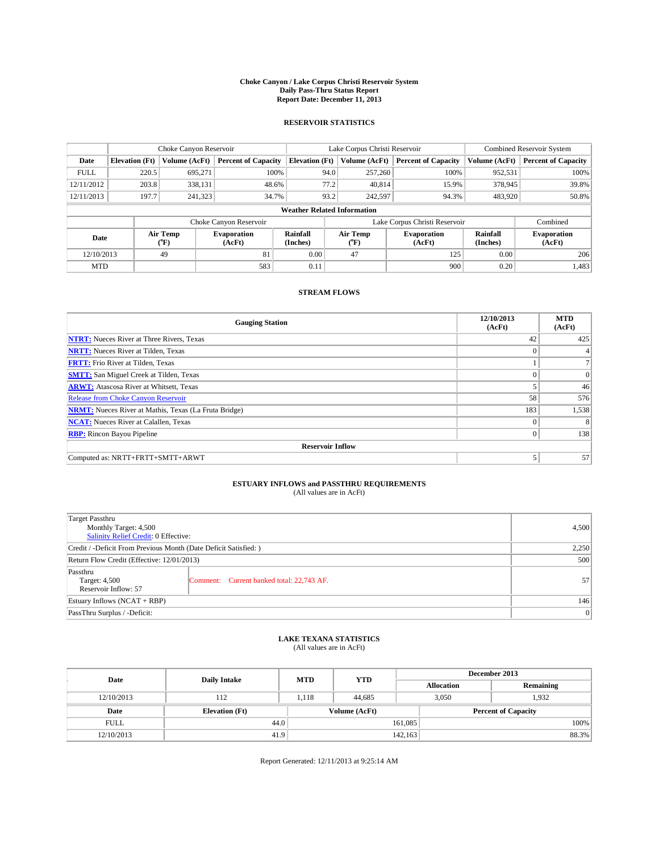#### **Choke Canyon / Lake Corpus Christi Reservoir System Daily Pass-Thru Status Report Report Date: December 11, 2013**

### **RESERVOIR STATISTICS**

|             |                       | Choke Canyon Reservoir |                              |                                    | Lake Corpus Christi Reservoir                | <b>Combined Reservoir System</b> |                      |                              |
|-------------|-----------------------|------------------------|------------------------------|------------------------------------|----------------------------------------------|----------------------------------|----------------------|------------------------------|
| Date        | <b>Elevation</b> (Ft) | Volume (AcFt)          | <b>Percent of Capacity</b>   | <b>Elevation (Ft)</b>              | Volume (AcFt)                                | <b>Percent of Capacity</b>       | Volume (AcFt)        | <b>Percent of Capacity</b>   |
| <b>FULL</b> | 220.5                 | 695.271                | 100%                         | 94.0                               | 257,260                                      | 100%                             | 952,531              | 100%                         |
| 12/11/2012  | 203.8                 | 338,131                | 48.6%                        | 77.2                               | 40,814                                       | 15.9%                            | 378,945              | 39.8%                        |
| 12/11/2013  | 197.7                 | 241,323                | 34.7%                        | 93.2                               | 242.597                                      | 94.3%                            | 483,920              | 50.8%                        |
|             |                       |                        |                              | <b>Weather Related Information</b> |                                              |                                  |                      |                              |
|             |                       |                        | Choke Canyon Reservoir       |                                    |                                              | Lake Corpus Christi Reservoir    |                      | Combined                     |
| Date        |                       | Air Temp<br>(°F)       | <b>Evaporation</b><br>(AcFt) | Rainfall<br>(Inches)               | Air Temp<br>Evaporation<br>(AcFt)<br>$(^oF)$ |                                  | Rainfall<br>(Inches) | <b>Evaporation</b><br>(AcFt) |
| 12/10/2013  |                       | 49                     | 81                           | 0.00                               | 47                                           | 125                              | 0.00                 | 206                          |
| <b>MTD</b>  |                       |                        | 583                          | 0.11                               |                                              | 900                              | 0.20                 | 1,483                        |

### **STREAM FLOWS**

| <b>Gauging Station</b>                                       | 12/10/2013<br>(AcFt) | <b>MTD</b><br>(AcFt) |  |  |  |  |
|--------------------------------------------------------------|----------------------|----------------------|--|--|--|--|
| <b>NTRT:</b> Nueces River at Three Rivers, Texas             | 42                   | 425                  |  |  |  |  |
| <b>NRTT:</b> Nueces River at Tilden, Texas                   | $\theta$             |                      |  |  |  |  |
| <b>FRTT:</b> Frio River at Tilden, Texas                     |                      |                      |  |  |  |  |
| <b>SMTT:</b> San Miguel Creek at Tilden, Texas               |                      | $\overline{0}$       |  |  |  |  |
| <b>ARWT:</b> Atascosa River at Whitsett, Texas               |                      | 46                   |  |  |  |  |
| <b>Release from Choke Canyon Reservoir</b>                   | 58                   | 576                  |  |  |  |  |
| <b>NRMT:</b> Nueces River at Mathis, Texas (La Fruta Bridge) | 183                  | 1,538                |  |  |  |  |
| <b>NCAT:</b> Nueces River at Calallen, Texas                 | $\theta$             | 8                    |  |  |  |  |
| <b>RBP:</b> Rincon Bayou Pipeline                            | $\theta$             | 138                  |  |  |  |  |
| <b>Reservoir Inflow</b>                                      |                      |                      |  |  |  |  |
| Computed as: NRTT+FRTT+SMTT+ARWT                             | 5                    | 57                   |  |  |  |  |

# **ESTUARY INFLOWS and PASSTHRU REQUIREMENTS**<br>(All values are in AcFt)

| Target Passthru                                                  |                                           |                 |  |  |
|------------------------------------------------------------------|-------------------------------------------|-----------------|--|--|
| Monthly Target: 4,500<br>Salinity Relief Credit: 0 Effective:    |                                           |                 |  |  |
| Credit / -Deficit From Previous Month (Date Deficit Satisfied: ) |                                           |                 |  |  |
| Return Flow Credit (Effective: 12/01/2013)                       |                                           |                 |  |  |
| Passthru<br>Target: 4,500<br>Reservoir Inflow: 57                | Comment: Current banked total: 22,743 AF. | 57 <sup>1</sup> |  |  |
| Estuary Inflows (NCAT + RBP)                                     |                                           |                 |  |  |
| PassThru Surplus / -Deficit:                                     | 0                                         |                 |  |  |

# **LAKE TEXANA STATISTICS** (All values are in AcFt)

| Date        | <b>Daily Intake</b>   | <b>MTD</b>    | <b>YTD</b> | December 2013     |                            |           |  |
|-------------|-----------------------|---------------|------------|-------------------|----------------------------|-----------|--|
|             |                       |               |            | <b>Allocation</b> |                            | Remaining |  |
| 12/10/2013  | 112                   | 1.118         | 44,685     |                   | 1.932<br>3,050             |           |  |
| Date        | <b>Elevation</b> (Ft) | Volume (AcFt) |            |                   | <b>Percent of Capacity</b> |           |  |
| <b>FULL</b> | 44.0                  |               |            | 161,085           |                            | 100%      |  |
| 12/10/2013  | 41.9                  |               |            | 142,163           |                            | 88.3%     |  |

Report Generated: 12/11/2013 at 9:25:14 AM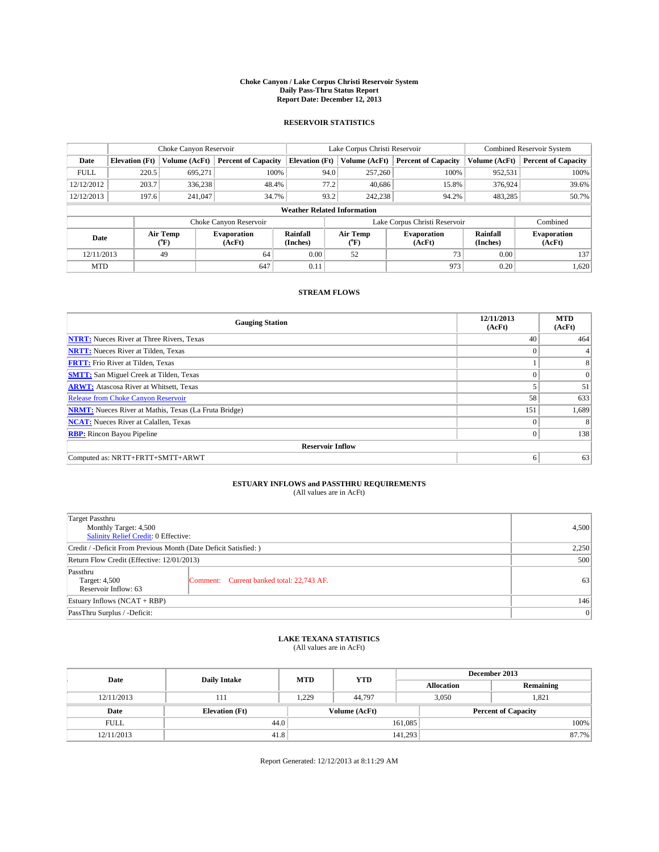#### **Choke Canyon / Lake Corpus Christi Reservoir System Daily Pass-Thru Status Report Report Date: December 12, 2013**

### **RESERVOIR STATISTICS**

|             | Choke Canyon Reservoir             |                  |                              |                       | Lake Corpus Christi Reservoir                                | <b>Combined Reservoir System</b> |                      |                              |  |
|-------------|------------------------------------|------------------|------------------------------|-----------------------|--------------------------------------------------------------|----------------------------------|----------------------|------------------------------|--|
| Date        | <b>Elevation</b> (Ft)              | Volume (AcFt)    | <b>Percent of Capacity</b>   | <b>Elevation</b> (Ft) | Volume (AcFt)                                                | <b>Percent of Capacity</b>       | Volume (AcFt)        | <b>Percent of Capacity</b>   |  |
| <b>FULL</b> | 220.5                              | 695.271          | 100%                         | 94.0                  | 257,260                                                      | 100%                             | 952,531              | 100%                         |  |
| 12/12/2012  | 203.7                              | 336,238          | 48.4%                        | 77.2                  | 40,686                                                       | 15.8%                            | 376,924              | 39.6%                        |  |
| 12/12/2013  | 197.6                              | 241,047          | 34.7%                        | 93.2                  | 242,238                                                      | 94.2%                            | 483,285              | 50.7%                        |  |
|             | <b>Weather Related Information</b> |                  |                              |                       |                                                              |                                  |                      |                              |  |
|             |                                    |                  | Choke Canyon Reservoir       |                       |                                                              | Lake Corpus Christi Reservoir    |                      | Combined                     |  |
| Date        |                                    | Air Temp<br>(°F) | <b>Evaporation</b><br>(AcFt) | Rainfall<br>(Inches)  | Air Temp<br><b>Evaporation</b><br>(AcFt)<br>$\rm ^{(^o}\!F)$ |                                  | Rainfall<br>(Inches) | <b>Evaporation</b><br>(AcFt) |  |
| 12/11/2013  |                                    | 49               | 64                           | 0.00                  | 52                                                           | 73                               | 0.00                 | 137                          |  |
| <b>MTD</b>  |                                    |                  | 647                          | 0.11                  |                                                              | 973                              | 0.20                 | 1,620                        |  |

### **STREAM FLOWS**

| <b>Gauging Station</b>                                       | 12/11/2013<br>(AcFt) | <b>MTD</b><br>(AcFt) |  |  |  |  |
|--------------------------------------------------------------|----------------------|----------------------|--|--|--|--|
| <b>NTRT:</b> Nueces River at Three Rivers, Texas             | 40                   | 464                  |  |  |  |  |
| <b>NRTT:</b> Nueces River at Tilden, Texas                   | $\theta$             |                      |  |  |  |  |
| <b>FRTT:</b> Frio River at Tilden, Texas                     |                      | 8                    |  |  |  |  |
| <b>SMTT:</b> San Miguel Creek at Tilden, Texas               |                      | $\overline{0}$       |  |  |  |  |
| <b>ARWT:</b> Atascosa River at Whitsett, Texas               |                      | 51                   |  |  |  |  |
| <b>Release from Choke Canyon Reservoir</b>                   | 58                   | 633                  |  |  |  |  |
| <b>NRMT:</b> Nueces River at Mathis, Texas (La Fruta Bridge) | 151                  | 1,689                |  |  |  |  |
| <b>NCAT:</b> Nueces River at Calallen, Texas                 | $\theta$             | 8                    |  |  |  |  |
| <b>RBP:</b> Rincon Bayou Pipeline                            | $\theta$             | 138                  |  |  |  |  |
| <b>Reservoir Inflow</b>                                      |                      |                      |  |  |  |  |
| Computed as: NRTT+FRTT+SMTT+ARWT                             | 6                    | 63                   |  |  |  |  |

# **ESTUARY INFLOWS and PASSTHRU REQUIREMENTS**<br>(All values are in AcFt)

| Target Passthru<br>Monthly Target: 4,500<br>Salinity Relief Credit: 0 Effective: |                                           |    |  |  |
|----------------------------------------------------------------------------------|-------------------------------------------|----|--|--|
| Credit / -Deficit From Previous Month (Date Deficit Satisfied: )                 |                                           |    |  |  |
| Return Flow Credit (Effective: 12/01/2013)                                       |                                           |    |  |  |
| Passthru<br>Target: 4,500<br>Reservoir Inflow: 63                                | Comment: Current banked total: 22,743 AF. | 63 |  |  |
| Estuary Inflows $(NCAT + RBP)$                                                   |                                           |    |  |  |
| PassThru Surplus / -Deficit:                                                     | 0                                         |    |  |  |

# **LAKE TEXANA STATISTICS** (All values are in AcFt)

| Date        | <b>Daily Intake</b>   | <b>MTD</b>    | <b>YTD</b> | December 2013     |                            |           |  |
|-------------|-----------------------|---------------|------------|-------------------|----------------------------|-----------|--|
|             |                       |               |            | <b>Allocation</b> |                            | Remaining |  |
| 12/11/2013  | 111                   | 1.229         | 44.797     |                   | 3,050<br>1.821             |           |  |
| Date        | <b>Elevation</b> (Ft) | Volume (AcFt) |            |                   | <b>Percent of Capacity</b> |           |  |
| <b>FULL</b> | 44.0                  |               |            | 161,085           |                            | 100%      |  |
| 12/11/2013  | 41.8                  |               |            | 141,293           |                            | 87.7%     |  |

Report Generated: 12/12/2013 at 8:11:29 AM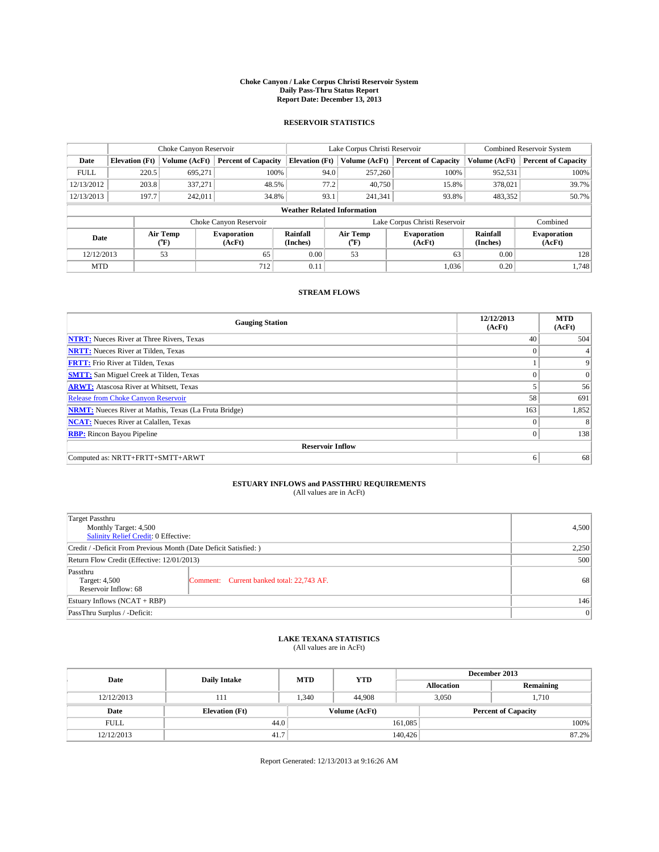#### **Choke Canyon / Lake Corpus Christi Reservoir System Daily Pass-Thru Status Report Report Date: December 13, 2013**

### **RESERVOIR STATISTICS**

|             |                       | Choke Canyon Reservoir |                              |                                    | Lake Corpus Christi Reservoir | <b>Combined Reservoir System</b> |                      |                              |
|-------------|-----------------------|------------------------|------------------------------|------------------------------------|-------------------------------|----------------------------------|----------------------|------------------------------|
| Date        | <b>Elevation</b> (Ft) | Volume (AcFt)          | <b>Percent of Capacity</b>   | <b>Elevation (Ft)</b>              | Volume (AcFt)                 | <b>Percent of Capacity</b>       | Volume (AcFt)        | <b>Percent of Capacity</b>   |
| <b>FULL</b> | 220.5                 | 695,271                | 100%                         | 94.0                               | 257,260                       | 100%                             | 952,531              | 100%                         |
| 12/13/2012  | 203.8                 | 337,271                | 48.5%                        | 77.2                               | 40,750                        | 15.8%                            | 378,021              | 39.7%                        |
| 12/13/2013  | 197.7                 | 242.011                | 34.8%                        | 93.1                               | 241.341                       | 93.8%                            | 483,352              | 50.7%                        |
|             |                       |                        |                              | <b>Weather Related Information</b> |                               |                                  |                      |                              |
|             |                       |                        | Choke Canyon Reservoir       |                                    | Lake Corpus Christi Reservoir |                                  | Combined             |                              |
| Date        |                       | Air Temp<br>(°F)       | <b>Evaporation</b><br>(AcFt) | Rainfall<br>(Inches)               | Air Temp<br>(°F)              | <b>Evaporation</b><br>(AcFt)     | Rainfall<br>(Inches) | <b>Evaporation</b><br>(AcFt) |
| 12/12/2013  |                       | 53                     | 65                           | 0.00                               | 53                            | 63                               | 0.00                 | 128                          |
|             | <b>MTD</b>            |                        | 712                          | 0.11                               |                               | 1,036                            | 0.20                 | 1.748                        |

### **STREAM FLOWS**

| <b>Gauging Station</b>                                       | 12/12/2013<br>(AcFt) | <b>MTD</b><br>(AcFt) |
|--------------------------------------------------------------|----------------------|----------------------|
| <b>NTRT:</b> Nueces River at Three Rivers, Texas             | 40                   | 504                  |
| <b>NRTT:</b> Nueces River at Tilden, Texas                   | $\theta$             |                      |
| <b>FRTT:</b> Frio River at Tilden, Texas                     |                      | 9                    |
| <b>SMTT:</b> San Miguel Creek at Tilden, Texas               |                      | $\overline{0}$       |
| <b>ARWT:</b> Atascosa River at Whitsett, Texas               |                      | 56                   |
| <b>Release from Choke Canyon Reservoir</b>                   | 58                   | 691                  |
| <b>NRMT:</b> Nueces River at Mathis, Texas (La Fruta Bridge) | 163                  | 1,852                |
| <b>NCAT:</b> Nueces River at Calallen, Texas                 | $\theta$             | 8                    |
| <b>RBP:</b> Rincon Bayou Pipeline                            | $\Omega$             | 138                  |
| <b>Reservoir Inflow</b>                                      |                      |                      |
| Computed as: NRTT+FRTT+SMTT+ARWT                             | 6                    | 68                   |

# **ESTUARY INFLOWS and PASSTHRU REQUIREMENTS**<br>(All values are in AcFt)

| Target Passthru<br>Monthly Target: 4,500<br>Salinity Relief Credit: 0 Effective: |                                           |    |  |  |
|----------------------------------------------------------------------------------|-------------------------------------------|----|--|--|
| Credit / -Deficit From Previous Month (Date Deficit Satisfied: )                 |                                           |    |  |  |
| Return Flow Credit (Effective: 12/01/2013)                                       |                                           |    |  |  |
| Passthru<br>Target: 4,500<br>Reservoir Inflow: 68                                | Comment: Current banked total: 22,743 AF. | 68 |  |  |
| Estuary Inflows $(NCAT + RBP)$                                                   |                                           |    |  |  |
| PassThru Surplus / -Deficit:                                                     |                                           |    |  |  |

# **LAKE TEXANA STATISTICS** (All values are in AcFt)

| Date        | <b>Daily Intake</b>   | <b>MTD</b>    | <b>YTD</b> | December 2013     |                            |           |  |
|-------------|-----------------------|---------------|------------|-------------------|----------------------------|-----------|--|
|             |                       |               |            | <b>Allocation</b> |                            | Remaining |  |
| 12/12/2013  | 111                   | 1.340         | 44,908     |                   | 3,050<br>1,710             |           |  |
| Date        | <b>Elevation</b> (Ft) | Volume (AcFt) |            |                   | <b>Percent of Capacity</b> |           |  |
| <b>FULL</b> | 44.0                  |               |            | 161,085           |                            | 100%      |  |
| 12/12/2013  | 41.7                  |               |            | 140,426           |                            | 87.2%     |  |

Report Generated: 12/13/2013 at 9:16:26 AM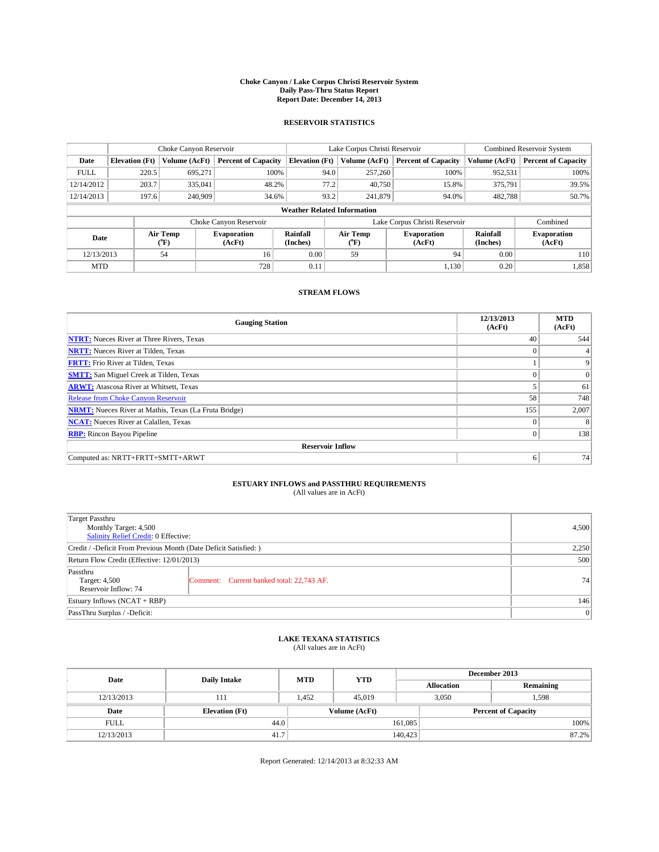#### **Choke Canyon / Lake Corpus Christi Reservoir System Daily Pass-Thru Status Report Report Date: December 14, 2013**

### **RESERVOIR STATISTICS**

|             |                       | Choke Canyon Reservoir |                              |                                    | Lake Corpus Christi Reservoir | <b>Combined Reservoir System</b> |                      |                              |
|-------------|-----------------------|------------------------|------------------------------|------------------------------------|-------------------------------|----------------------------------|----------------------|------------------------------|
| Date        | <b>Elevation</b> (Ft) | Volume (AcFt)          | <b>Percent of Capacity</b>   | <b>Elevation (Ft)</b>              | Volume (AcFt)                 | <b>Percent of Capacity</b>       | Volume (AcFt)        | <b>Percent of Capacity</b>   |
| <b>FULL</b> | 220.5                 | 695,271                | 100%                         | 94.0                               | 257,260                       | 100%                             | 952,531              | 100%                         |
| 12/14/2012  | 203.7                 | 335,041                | 48.2%                        | 77.2                               | 40,750                        | 15.8%                            | 375,791              | 39.5%                        |
| 12/14/2013  | 197.6                 | 240,909                | 34.6%                        | 93.2                               | 241,879                       | 94.0%                            | 482,788              | 50.7%                        |
|             |                       |                        |                              | <b>Weather Related Information</b> |                               |                                  |                      |                              |
|             |                       |                        | Choke Canyon Reservoir       |                                    | Lake Corpus Christi Reservoir |                                  | Combined             |                              |
| Date        |                       | Air Temp<br>(°F)       | <b>Evaporation</b><br>(AcFt) | Rainfall<br>(Inches)               | Air Temp<br>(°F)              | <b>Evaporation</b><br>(AcFt)     | Rainfall<br>(Inches) | <b>Evaporation</b><br>(AcFt) |
| 12/13/2013  |                       | 54                     | 16                           | 0.00                               | 59                            | 94                               | 0.00                 | 110                          |
|             | <b>MTD</b>            |                        | 728                          | 0.11                               |                               | 1,130                            | 0.20                 | 1,858                        |

### **STREAM FLOWS**

| <b>Gauging Station</b>                                       | 12/13/2013<br>(AcFt) | <b>MTD</b><br>(AcFt) |
|--------------------------------------------------------------|----------------------|----------------------|
| <b>NTRT:</b> Nueces River at Three Rivers, Texas             | 40                   | 544                  |
| <b>NRTT:</b> Nueces River at Tilden, Texas                   | $\theta$             |                      |
| <b>FRTT:</b> Frio River at Tilden, Texas                     |                      | 9                    |
| <b>SMTT:</b> San Miguel Creek at Tilden, Texas               |                      | $\overline{0}$       |
| <b>ARWT:</b> Atascosa River at Whitsett, Texas               |                      | 61                   |
| <b>Release from Choke Canyon Reservoir</b>                   | 58                   | 748                  |
| <b>NRMT:</b> Nueces River at Mathis, Texas (La Fruta Bridge) | 155                  | 2,007                |
| <b>NCAT:</b> Nueces River at Calallen, Texas                 | $\theta$             | 8                    |
| <b>RBP:</b> Rincon Bayou Pipeline                            | $\theta$             | 138                  |
| <b>Reservoir Inflow</b>                                      |                      |                      |
| Computed as: NRTT+FRTT+SMTT+ARWT                             | 6                    | 74                   |

# **ESTUARY INFLOWS and PASSTHRU REQUIREMENTS**<br>(All values are in AcFt)

| Target Passthru<br>Monthly Target: 4,500<br>Salinity Relief Credit: 0 Effective: |                                           |    |  |  |
|----------------------------------------------------------------------------------|-------------------------------------------|----|--|--|
| Credit / -Deficit From Previous Month (Date Deficit Satisfied: )                 |                                           |    |  |  |
| Return Flow Credit (Effective: 12/01/2013)                                       |                                           |    |  |  |
| Passthru<br>Target: 4,500<br>Reservoir Inflow: 74                                | Comment: Current banked total: 22,743 AF. | 74 |  |  |
| Estuary Inflows $(NCAT + RBP)$                                                   |                                           |    |  |  |
| PassThru Surplus / -Deficit:                                                     |                                           |    |  |  |

# **LAKE TEXANA STATISTICS** (All values are in AcFt)

| Date        | <b>Daily Intake</b>   | <b>MTD</b> | <b>YTD</b>    | December 2013     |                            |           |       |
|-------------|-----------------------|------------|---------------|-------------------|----------------------------|-----------|-------|
|             |                       |            |               | <b>Allocation</b> |                            | Remaining |       |
| 12/13/2013  | 111                   | 1.452      | 45,019        |                   | 3,050<br>1,598             |           |       |
| Date        | <b>Elevation</b> (Ft) |            | Volume (AcFt) |                   | <b>Percent of Capacity</b> |           |       |
| <b>FULL</b> | 44.0                  |            |               | 161,085           |                            |           | 100%  |
| 12/13/2013  | 41.7                  |            |               | 140,423           |                            |           | 87.2% |

Report Generated: 12/14/2013 at 8:32:33 AM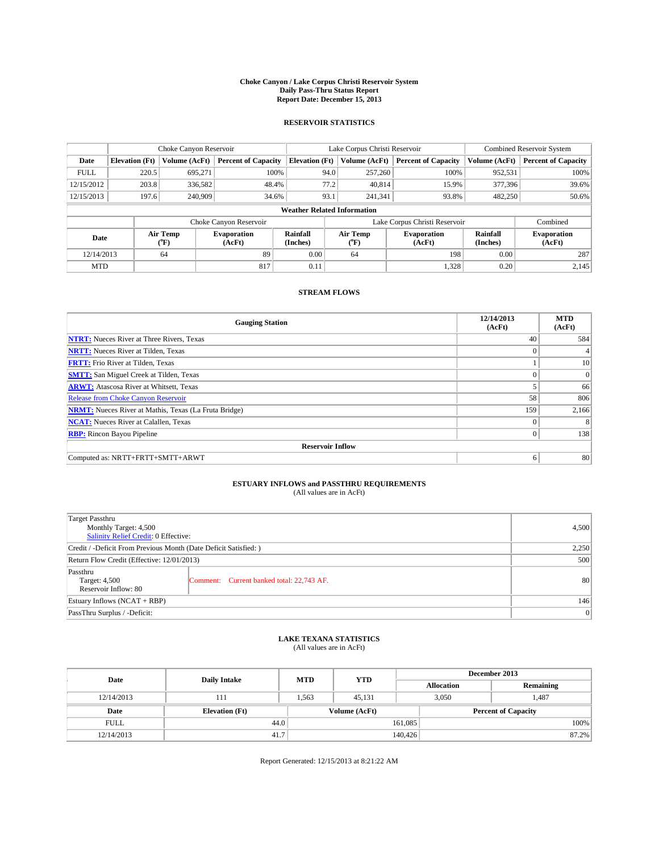#### **Choke Canyon / Lake Corpus Christi Reservoir System Daily Pass-Thru Status Report Report Date: December 15, 2013**

### **RESERVOIR STATISTICS**

|             |                       | Choke Canyon Reservoir |                              |                                    | Lake Corpus Christi Reservoir | <b>Combined Reservoir System</b> |                      |                              |
|-------------|-----------------------|------------------------|------------------------------|------------------------------------|-------------------------------|----------------------------------|----------------------|------------------------------|
| Date        | <b>Elevation</b> (Ft) | Volume (AcFt)          | <b>Percent of Capacity</b>   | <b>Elevation (Ft)</b>              | Volume (AcFt)                 | <b>Percent of Capacity</b>       | Volume (AcFt)        | <b>Percent of Capacity</b>   |
| <b>FULL</b> | 220.5                 | 695,271                | 100%                         | 94.0                               | 257,260                       | 100%                             | 952,531              | 100%                         |
| 12/15/2012  | 203.8                 | 336,582                | 48.4%                        | 77.2                               | 40,814                        | 15.9%                            | 377,396              | 39.6%                        |
| 12/15/2013  | 197.6                 | 240,909                | 34.6%                        | 93.1                               | 241.341                       | 93.8%                            | 482,250              | 50.6%                        |
|             |                       |                        |                              | <b>Weather Related Information</b> |                               |                                  |                      |                              |
|             |                       |                        | Choke Canyon Reservoir       |                                    | Lake Corpus Christi Reservoir |                                  |                      |                              |
| Date        |                       | Air Temp<br>(°F)       | <b>Evaporation</b><br>(AcFt) | Rainfall<br>(Inches)               | Air Temp<br>(°F)              | <b>Evaporation</b><br>(AcFt)     | Rainfall<br>(Inches) | <b>Evaporation</b><br>(AcFt) |
| 12/14/2013  |                       | 64                     | 89                           | 0.00                               | 64                            | 198                              | 0.00                 | 287                          |
|             | <b>MTD</b>            |                        | 817                          | 0.11                               |                               | 1,328                            | 0.20                 | 2,145                        |

### **STREAM FLOWS**

| <b>Gauging Station</b>                                       | 12/14/2013<br>(AcFt) | <b>MTD</b><br>(AcFt) |
|--------------------------------------------------------------|----------------------|----------------------|
| <b>NTRT:</b> Nueces River at Three Rivers, Texas             | 40                   | 584                  |
| <b>NRTT:</b> Nueces River at Tilden, Texas                   | $\theta$             |                      |
| <b>FRTT:</b> Frio River at Tilden, Texas                     |                      | 10                   |
| <b>SMTT:</b> San Miguel Creek at Tilden, Texas               |                      | $\overline{0}$       |
| <b>ARWT:</b> Atascosa River at Whitsett, Texas               |                      | 66                   |
| <b>Release from Choke Canyon Reservoir</b>                   | 58                   | 806                  |
| <b>NRMT:</b> Nueces River at Mathis, Texas (La Fruta Bridge) | 159                  | 2,166                |
| <b>NCAT:</b> Nueces River at Calallen, Texas                 | $\theta$             | 8                    |
| <b>RBP:</b> Rincon Bayou Pipeline                            | $\mathbf{0}$         | 138                  |
| <b>Reservoir Inflow</b>                                      |                      |                      |
| Computed as: NRTT+FRTT+SMTT+ARWT                             | 6                    | 80                   |

# **ESTUARY INFLOWS and PASSTHRU REQUIREMENTS**<br>(All values are in AcFt)

| Target Passthru<br>Monthly Target: 4,500<br>Salinity Relief Credit: 0 Effective: |                                           | 4,500 |  |  |
|----------------------------------------------------------------------------------|-------------------------------------------|-------|--|--|
| Credit / -Deficit From Previous Month (Date Deficit Satisfied: )                 |                                           |       |  |  |
| Return Flow Credit (Effective: 12/01/2013)                                       | 500                                       |       |  |  |
| Passthru<br>Target: 4,500<br>Reservoir Inflow: 80                                | Comment: Current banked total: 22,743 AF. | 80    |  |  |
| Estuary Inflows (NCAT + RBP)                                                     | 146                                       |       |  |  |
| PassThru Surplus / -Deficit:                                                     |                                           |       |  |  |

# **LAKE TEXANA STATISTICS** (All values are in AcFt)

| Date        | <b>Daily Intake</b>   | <b>MTD</b>    | <b>YTD</b> | December 2013     |                            |           |      |
|-------------|-----------------------|---------------|------------|-------------------|----------------------------|-----------|------|
|             |                       |               |            | <b>Allocation</b> |                            | Remaining |      |
| 12/14/2013  | 111                   | 1.563         | 45.131     |                   | 3,050<br>1,487             |           |      |
| Date        | <b>Elevation</b> (Ft) | Volume (AcFt) |            |                   | <b>Percent of Capacity</b> |           |      |
| <b>FULL</b> | 44.0                  |               |            | 161,085           |                            |           | 100% |
| 12/14/2013  | 41.7                  |               |            | 140,426           |                            | 87.2%     |      |

Report Generated: 12/15/2013 at 8:21:22 AM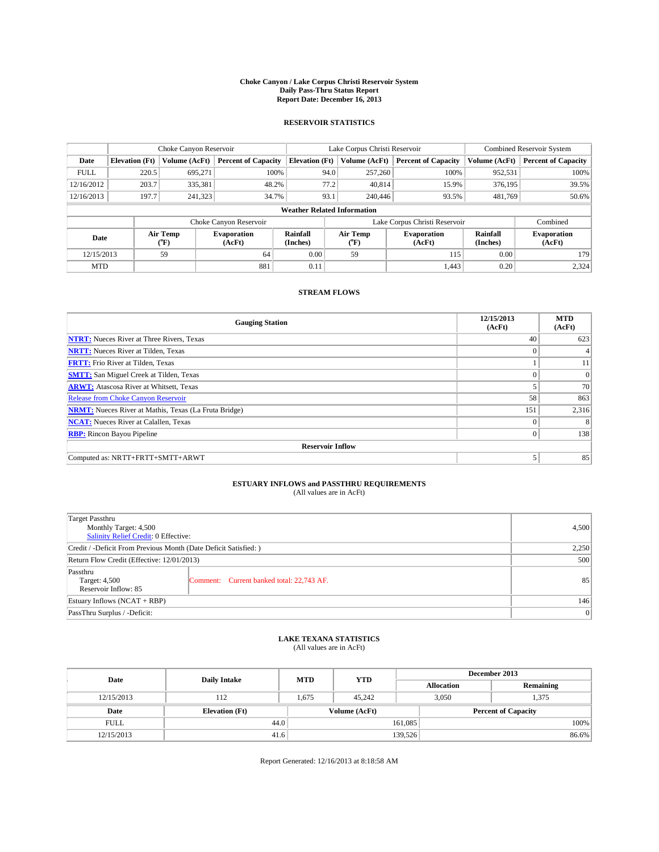#### **Choke Canyon / Lake Corpus Christi Reservoir System Daily Pass-Thru Status Report Report Date: December 16, 2013**

### **RESERVOIR STATISTICS**

|             | Choke Canyon Reservoir |                  |                              |                                    | Lake Corpus Christi Reservoir | <b>Combined Reservoir System</b> |                      |                              |
|-------------|------------------------|------------------|------------------------------|------------------------------------|-------------------------------|----------------------------------|----------------------|------------------------------|
| Date        | <b>Elevation</b> (Ft)  | Volume (AcFt)    | <b>Percent of Capacity</b>   | <b>Elevation (Ft)</b>              | Volume (AcFt)                 | <b>Percent of Capacity</b>       | Volume (AcFt)        | <b>Percent of Capacity</b>   |
| <b>FULL</b> | 220.5                  | 695,271          | 100%                         | 94.0                               | 257,260                       | 100%                             | 952,531              | 100%                         |
| 12/16/2012  | 203.7                  | 335,381          | 48.2%                        | 77.2                               | 40,814                        | 15.9%                            | 376,195              | 39.5%                        |
| 12/16/2013  | 197.7                  | 241,323          | 34.7%                        | 93.1                               | 240,446                       | 93.5%                            | 481.769              | 50.6%                        |
|             |                        |                  |                              | <b>Weather Related Information</b> |                               |                                  |                      |                              |
|             |                        |                  | Choke Canyon Reservoir       |                                    |                               | Lake Corpus Christi Reservoir    |                      | Combined                     |
| Date        |                        | Air Temp<br>(°F) | <b>Evaporation</b><br>(AcFt) | Rainfall<br>(Inches)               | Air Temp<br>(°F)              | <b>Evaporation</b><br>(AcFt)     | Rainfall<br>(Inches) | <b>Evaporation</b><br>(AcFt) |
| 12/15/2013  |                        | 59               | 64                           | 0.00                               | 59                            | 115                              | 0.00                 | 179                          |
| <b>MTD</b>  |                        |                  | 881                          | 0.11                               |                               | 1.443                            | 0.20                 | 2,324                        |

### **STREAM FLOWS**

| <b>Gauging Station</b>                                       | 12/15/2013<br>(AcFt) | <b>MTD</b><br>(AcFt) |
|--------------------------------------------------------------|----------------------|----------------------|
| <b>NTRT:</b> Nueces River at Three Rivers, Texas             | 40                   | 623                  |
| <b>NRTT:</b> Nueces River at Tilden, Texas                   | $\theta$             |                      |
| <b>FRTT:</b> Frio River at Tilden, Texas                     |                      | 11                   |
| <b>SMTT:</b> San Miguel Creek at Tilden, Texas               |                      | $\overline{0}$       |
| <b>ARWT:</b> Atascosa River at Whitsett, Texas               |                      | 70                   |
| <b>Release from Choke Canyon Reservoir</b>                   | 58                   | 863                  |
| <b>NRMT:</b> Nueces River at Mathis, Texas (La Fruta Bridge) | 151                  | 2,316                |
| <b>NCAT:</b> Nueces River at Calallen, Texas                 | $\theta$             | 8                    |
| <b>RBP:</b> Rincon Bayou Pipeline                            | $\Omega$             | 138                  |
| <b>Reservoir Inflow</b>                                      |                      |                      |
| Computed as: NRTT+FRTT+SMTT+ARWT                             | 5                    | 85                   |

# **ESTUARY INFLOWS and PASSTHRU REQUIREMENTS**<br>(All values are in AcFt)

| Target Passthru<br>Monthly Target: 4,500                         |                                           |    |  |  |  |
|------------------------------------------------------------------|-------------------------------------------|----|--|--|--|
| Salinity Relief Credit: 0 Effective:                             |                                           |    |  |  |  |
| Credit / -Deficit From Previous Month (Date Deficit Satisfied: ) |                                           |    |  |  |  |
| Return Flow Credit (Effective: 12/01/2013)                       |                                           |    |  |  |  |
| Passthru<br>Target: 4,500<br>Reservoir Inflow: 85                | Comment: Current banked total: 22,743 AF. | 85 |  |  |  |
| Estuary Inflows (NCAT + RBP)                                     |                                           |    |  |  |  |
| PassThru Surplus / -Deficit:                                     |                                           | 0  |  |  |  |

# **LAKE TEXANA STATISTICS** (All values are in AcFt)

| Date        | <b>Daily Intake</b>   | <b>MTD</b> | <b>YTD</b>    | December 2013              |                |           |  |
|-------------|-----------------------|------------|---------------|----------------------------|----------------|-----------|--|
|             |                       |            |               | <b>Allocation</b>          |                | Remaining |  |
| 12/15/2013  | 112                   | 1.675      | 45.242        |                            | 3,050<br>1,375 |           |  |
| Date        | <b>Elevation</b> (Ft) |            | Volume (AcFt) | <b>Percent of Capacity</b> |                |           |  |
| <b>FULL</b> | 44.0                  |            |               | 161,085                    |                | 100%      |  |
| 12/15/2013  | 41.6                  |            |               | 139,526                    |                | 86.6%     |  |

Report Generated: 12/16/2013 at 8:18:58 AM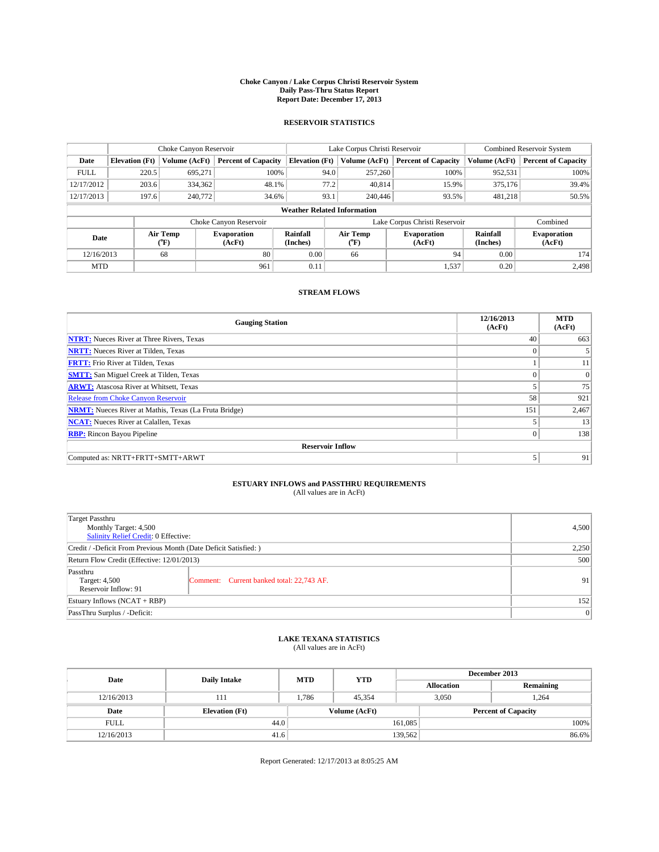#### **Choke Canyon / Lake Corpus Christi Reservoir System Daily Pass-Thru Status Report Report Date: December 17, 2013**

### **RESERVOIR STATISTICS**

|             |                       | Choke Canyon Reservoir |                              |                                    | Lake Corpus Christi Reservoir | <b>Combined Reservoir System</b> |                      |                              |
|-------------|-----------------------|------------------------|------------------------------|------------------------------------|-------------------------------|----------------------------------|----------------------|------------------------------|
| Date        | <b>Elevation</b> (Ft) | Volume (AcFt)          | <b>Percent of Capacity</b>   | <b>Elevation (Ft)</b>              | Volume (AcFt)                 | <b>Percent of Capacity</b>       | Volume (AcFt)        | <b>Percent of Capacity</b>   |
| <b>FULL</b> | 220.5                 | 695.271                | 100%                         | 94.0                               | 257,260                       | 100%                             | 952,531              | 100%                         |
| 12/17/2012  | 203.6                 | 334,362                | 48.1%                        | 77.2                               | 40,814                        | 15.9%                            | 375,176              | 39.4%                        |
| 12/17/2013  | 197.6                 | 240,772                | 34.6%                        | 93.1                               | 240,446                       | 93.5%                            | 481,218              | 50.5%                        |
|             |                       |                        |                              | <b>Weather Related Information</b> |                               |                                  |                      |                              |
|             |                       |                        | Choke Canyon Reservoir       |                                    |                               | Lake Corpus Christi Reservoir    |                      | Combined                     |
| Date        |                       | Air Temp<br>(°F)       | <b>Evaporation</b><br>(AcFt) | Rainfall<br>(Inches)               | Air Temp<br>$(^{o}F)$         | <b>Evaporation</b><br>(AcFt)     | Rainfall<br>(Inches) | <b>Evaporation</b><br>(AcFt) |
| 12/16/2013  |                       | 68                     | 80                           | 0.00                               | 66                            | 94                               | 0.00                 | 174                          |
| <b>MTD</b>  |                       |                        | 961                          | 0.11                               |                               | 1,537                            | 0.20                 | 2,498                        |

### **STREAM FLOWS**

| <b>Gauging Station</b>                                       | 12/16/2013<br>(AcFt) | <b>MTD</b><br>(AcFt) |
|--------------------------------------------------------------|----------------------|----------------------|
| <b>NTRT:</b> Nueces River at Three Rivers, Texas             | 40                   | 663                  |
| <b>NRTT:</b> Nueces River at Tilden, Texas                   | $\theta$             |                      |
| <b>FRTT:</b> Frio River at Tilden, Texas                     |                      | 11                   |
| <b>SMTT:</b> San Miguel Creek at Tilden, Texas               |                      | $\overline{0}$       |
| <b>ARWT:</b> Atascosa River at Whitsett, Texas               |                      | 75                   |
| <b>Release from Choke Canyon Reservoir</b>                   | 58                   | 921                  |
| <b>NRMT:</b> Nueces River at Mathis, Texas (La Fruta Bridge) | 151                  | 2,467                |
| <b>NCAT:</b> Nueces River at Calallen, Texas                 |                      | 13                   |
| <b>RBP:</b> Rincon Bayou Pipeline                            | $\theta$             | 138                  |
| <b>Reservoir Inflow</b>                                      |                      |                      |
| Computed as: NRTT+FRTT+SMTT+ARWT                             | 5                    | 91                   |

# **ESTUARY INFLOWS and PASSTHRU REQUIREMENTS**<br>(All values are in AcFt)

| Target Passthru<br>Monthly Target: 4,500<br>Salinity Relief Credit: 0 Effective: |                                           |    |  |  |  |
|----------------------------------------------------------------------------------|-------------------------------------------|----|--|--|--|
| Credit / -Deficit From Previous Month (Date Deficit Satisfied: )                 |                                           |    |  |  |  |
| Return Flow Credit (Effective: 12/01/2013)                                       |                                           |    |  |  |  |
| Passthru<br>Target: 4,500<br>Reservoir Inflow: 91                                | Comment: Current banked total: 22,743 AF. | 91 |  |  |  |
| Estuary Inflows (NCAT + RBP)                                                     |                                           |    |  |  |  |
| PassThru Surplus / -Deficit:                                                     |                                           | 0  |  |  |  |

# **LAKE TEXANA STATISTICS** (All values are in AcFt)

| Date        | <b>Daily Intake</b>   | <b>MTD</b> | <b>YTD</b>    | December 2013              |                |           |       |
|-------------|-----------------------|------------|---------------|----------------------------|----------------|-----------|-------|
|             |                       |            |               | <b>Allocation</b>          |                | Remaining |       |
| 12/16/2013  | 111                   | 1.786      | 45.354        |                            | 3,050<br>1,264 |           |       |
| Date        | <b>Elevation</b> (Ft) |            | Volume (AcFt) | <b>Percent of Capacity</b> |                |           |       |
| <b>FULL</b> | 44.0                  |            |               | 161,085                    |                |           | 100%  |
| 12/16/2013  | 41.6                  |            |               | 139,562                    |                |           | 86.6% |

Report Generated: 12/17/2013 at 8:05:25 AM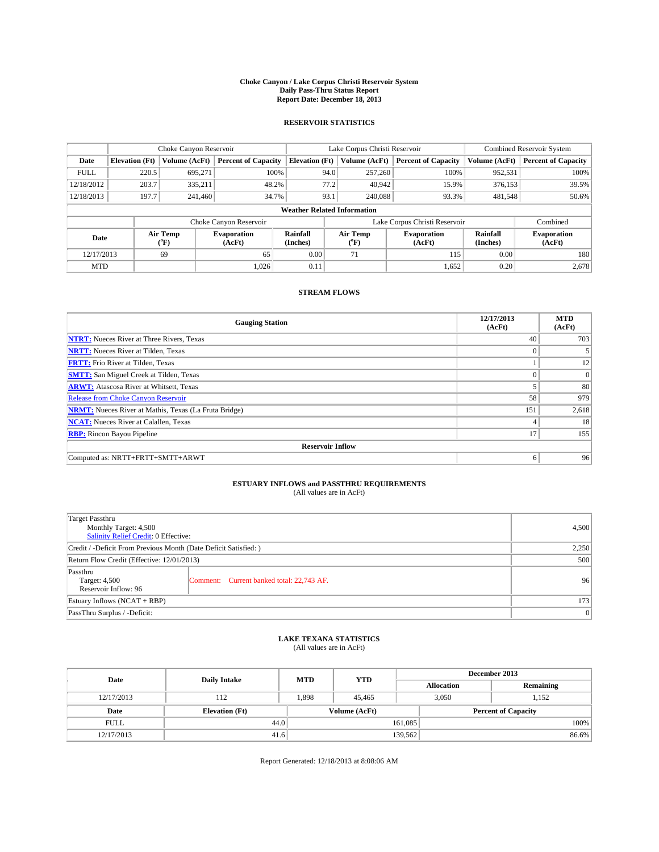#### **Choke Canyon / Lake Corpus Christi Reservoir System Daily Pass-Thru Status Report Report Date: December 18, 2013**

### **RESERVOIR STATISTICS**

|             | Choke Canyon Reservoir                                                                                                       |               |                            |                                    | Lake Corpus Christi Reservoir | <b>Combined Reservoir System</b> |               |                            |
|-------------|------------------------------------------------------------------------------------------------------------------------------|---------------|----------------------------|------------------------------------|-------------------------------|----------------------------------|---------------|----------------------------|
| Date        | <b>Elevation</b> (Ft)                                                                                                        | Volume (AcFt) | <b>Percent of Capacity</b> | <b>Elevation (Ft)</b>              | Volume (AcFt)                 | <b>Percent of Capacity</b>       | Volume (AcFt) | <b>Percent of Capacity</b> |
| <b>FULL</b> | 220.5                                                                                                                        | 695,271       | 100%                       | 94.0                               | 257,260                       | 100%                             | 952,531       | 100%                       |
| 12/18/2012  | 203.7                                                                                                                        | 335,211       | 48.2%                      | 77.2                               | 40,942                        | 15.9%                            | 376,153       | 39.5%                      |
| 12/18/2013  | 197.7                                                                                                                        | 241,460       | 34.7%                      | 93.1                               | 240,088                       | 93.3%                            | 481,548       | 50.6%                      |
|             |                                                                                                                              |               |                            | <b>Weather Related Information</b> |                               |                                  |               |                            |
|             |                                                                                                                              |               | Choke Canyon Reservoir     |                                    |                               | Lake Corpus Christi Reservoir    |               | Combined                   |
| Date        | Air Temp<br>Air Temp<br>Rainfall<br><b>Evaporation</b><br><b>Evaporation</b><br>(Inches)<br>(AcFt)<br>(AcFt)<br>(°F)<br>(°F) |               |                            | Rainfall<br>(Inches)               | <b>Evaporation</b><br>(AcFt)  |                                  |               |                            |
| 12/17/2013  |                                                                                                                              | 69            | 65                         | 0.00                               | 71                            | 115                              | 0.00          | 180                        |
| <b>MTD</b>  |                                                                                                                              |               | 1.026                      | 0.11                               |                               | 1,652                            | 0.20          | 2,678                      |

### **STREAM FLOWS**

| <b>Gauging Station</b>                                       | 12/17/2013<br>(AcFt) | <b>MTD</b><br>(AcFt) |  |  |  |  |
|--------------------------------------------------------------|----------------------|----------------------|--|--|--|--|
| <b>NTRT:</b> Nueces River at Three Rivers, Texas             | 40                   | 703                  |  |  |  |  |
| <b>NRTT:</b> Nueces River at Tilden, Texas                   | $\theta$             |                      |  |  |  |  |
| <b>FRTT:</b> Frio River at Tilden, Texas                     |                      | 12                   |  |  |  |  |
| <b>SMTT:</b> San Miguel Creek at Tilden, Texas               |                      | $\overline{0}$       |  |  |  |  |
| <b>ARWT:</b> Atascosa River at Whitsett, Texas               |                      | 80                   |  |  |  |  |
| <b>Release from Choke Canyon Reservoir</b>                   | 58                   | 979                  |  |  |  |  |
| <b>NRMT:</b> Nueces River at Mathis, Texas (La Fruta Bridge) | 151                  | 2,618                |  |  |  |  |
| <b>NCAT:</b> Nueces River at Calallen, Texas                 | 4                    | 18                   |  |  |  |  |
| <b>RBP:</b> Rincon Bayou Pipeline                            | 17                   | 155                  |  |  |  |  |
| <b>Reservoir Inflow</b>                                      |                      |                      |  |  |  |  |
| Computed as: NRTT+FRTT+SMTT+ARWT                             | 6                    | 96                   |  |  |  |  |

# **ESTUARY INFLOWS and PASSTHRU REQUIREMENTS**<br>(All values are in AcFt)

| Target Passthru<br>Monthly Target: 4,500<br>Salinity Relief Credit: 0 Effective: | 4,500                                     |    |  |  |  |
|----------------------------------------------------------------------------------|-------------------------------------------|----|--|--|--|
| Credit / -Deficit From Previous Month (Date Deficit Satisfied: )                 |                                           |    |  |  |  |
| Return Flow Credit (Effective: 12/01/2013)                                       |                                           |    |  |  |  |
| Passthru<br>Target: 4,500<br>Reservoir Inflow: 96                                | Comment: Current banked total: 22,743 AF. | 96 |  |  |  |
| Estuary Inflows (NCAT + RBP)                                                     | 173                                       |    |  |  |  |
| PassThru Surplus / -Deficit:                                                     |                                           | 0  |  |  |  |

# **LAKE TEXANA STATISTICS** (All values are in AcFt)

| Date        | <b>Daily Intake</b>   | <b>MTD</b> | <b>YTD</b>    | December 2013              |                |           |  |
|-------------|-----------------------|------------|---------------|----------------------------|----------------|-----------|--|
|             |                       |            |               | <b>Allocation</b>          |                | Remaining |  |
| 12/17/2013  | 112                   | 1,898      | 45.465        |                            | 3,050<br>1,152 |           |  |
| Date        | <b>Elevation</b> (Ft) |            | Volume (AcFt) | <b>Percent of Capacity</b> |                |           |  |
| <b>FULL</b> | 44.0                  |            |               | 161,085                    |                | 100%      |  |
| 12/17/2013  | 41.6                  |            |               | 139,562                    |                | 86.6%     |  |

Report Generated: 12/18/2013 at 8:08:06 AM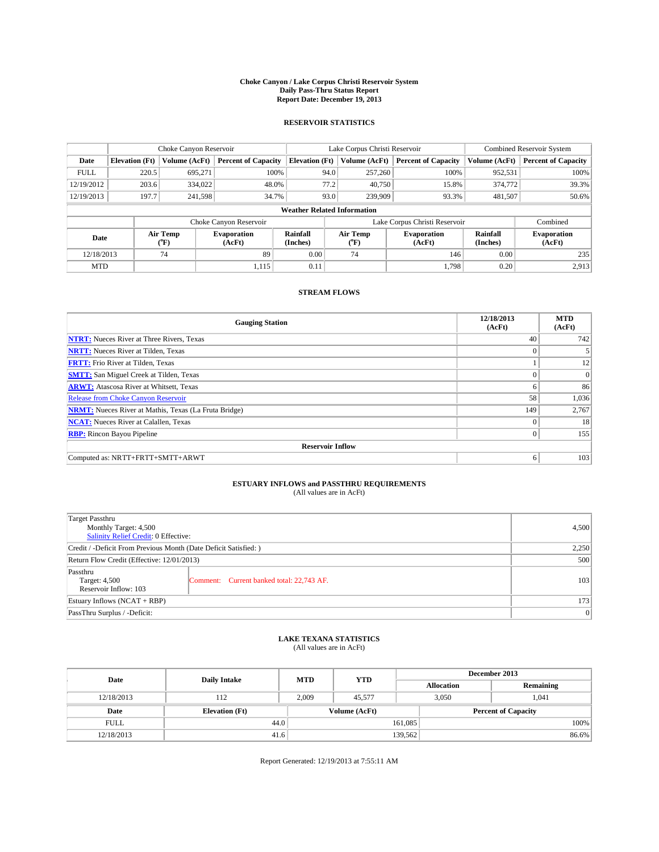#### **Choke Canyon / Lake Corpus Christi Reservoir System Daily Pass-Thru Status Report Report Date: December 19, 2013**

### **RESERVOIR STATISTICS**

|             |                                    | Choke Canyon Reservoir |                              |                       | Lake Corpus Christi Reservoir | Combined Reservoir System     |                      |                              |  |
|-------------|------------------------------------|------------------------|------------------------------|-----------------------|-------------------------------|-------------------------------|----------------------|------------------------------|--|
| Date        | <b>Elevation</b> (Ft)              | Volume (AcFt)          | <b>Percent of Capacity</b>   | <b>Elevation</b> (Ft) | Volume (AcFt)                 | <b>Percent of Capacity</b>    | Volume (AcFt)        | <b>Percent of Capacity</b>   |  |
| <b>FULL</b> | 220.5                              | 695.271                | 100%                         | 94.0                  | 257,260                       | 100%                          | 952,531              | 100%                         |  |
| 12/19/2012  | 203.6                              | 334,022                | 48.0%                        | 77.2                  | 40,750                        | 15.8%                         | 374,772              | 39.3%                        |  |
| 12/19/2013  | 197.7                              | 241,598                | 34.7%                        | 93.0                  | 239,909                       | 93.3%                         | 481,507              | 50.6%                        |  |
|             | <b>Weather Related Information</b> |                        |                              |                       |                               |                               |                      |                              |  |
|             |                                    |                        | Choke Canyon Reservoir       |                       |                               | Lake Corpus Christi Reservoir |                      | Combined                     |  |
| Date        |                                    | Air Temp<br>(°F)       | <b>Evaporation</b><br>(AcFt) | Rainfall<br>(Inches)  | Air Temp<br>$\rm ^{(^o}\!F)$  | <b>Evaporation</b><br>(AcFt)  | Rainfall<br>(Inches) | <b>Evaporation</b><br>(AcFt) |  |
| 12/18/2013  |                                    | 74                     | 89                           | 0.00                  | 74                            | 146                           | 0.00                 | 235                          |  |
| <b>MTD</b>  |                                    |                        | 1,115                        | 0.11                  |                               | 1,798                         | 0.20                 | 2,913                        |  |

### **STREAM FLOWS**

| <b>Gauging Station</b>                                       | 12/18/2013<br>(AcFt) | <b>MTD</b><br>(AcFt) |  |  |  |  |  |
|--------------------------------------------------------------|----------------------|----------------------|--|--|--|--|--|
| <b>NTRT:</b> Nueces River at Three Rivers, Texas             | 40                   | 742                  |  |  |  |  |  |
| <b>NRTT:</b> Nueces River at Tilden, Texas                   | $\theta$             |                      |  |  |  |  |  |
| <b>FRTT:</b> Frio River at Tilden, Texas                     |                      | 12                   |  |  |  |  |  |
| <b>SMTT:</b> San Miguel Creek at Tilden, Texas               |                      | $\overline{0}$       |  |  |  |  |  |
| <b>ARWT:</b> Atascosa River at Whitsett, Texas               | 6                    | 86                   |  |  |  |  |  |
| <b>Release from Choke Canyon Reservoir</b>                   | 58                   | 1,036                |  |  |  |  |  |
| <b>NRMT:</b> Nueces River at Mathis, Texas (La Fruta Bridge) | 149                  | 2,767                |  |  |  |  |  |
| <b>NCAT:</b> Nueces River at Calallen, Texas                 | $\theta$             | 18                   |  |  |  |  |  |
| <b>RBP:</b> Rincon Bayou Pipeline                            | $\mathbf{0}$         | 155                  |  |  |  |  |  |
| <b>Reservoir Inflow</b>                                      |                      |                      |  |  |  |  |  |
| Computed as: NRTT+FRTT+SMTT+ARWT                             | 6                    | 103                  |  |  |  |  |  |

# **ESTUARY INFLOWS and PASSTHRU REQUIREMENTS**<br>(All values are in AcFt)

| Target Passthru<br>Monthly Target: 4,500<br>Salinity Relief Credit: 0 Effective: | 4,500                                     |     |  |  |
|----------------------------------------------------------------------------------|-------------------------------------------|-----|--|--|
| Credit / -Deficit From Previous Month (Date Deficit Satisfied: )                 |                                           |     |  |  |
| Return Flow Credit (Effective: 12/01/2013)                                       |                                           |     |  |  |
| Passthru<br>Target: 4,500<br>Reservoir Inflow: 103                               | Comment: Current banked total: 22,743 AF. | 103 |  |  |
| Estuary Inflows (NCAT + RBP)                                                     |                                           |     |  |  |
| PassThru Surplus / -Deficit:                                                     | 0                                         |     |  |  |

# **LAKE TEXANA STATISTICS** (All values are in AcFt)

| Date        | <b>Daily Intake</b>   | <b>MTD</b> | <b>YTD</b>    | December 2013 |                            |           |  |
|-------------|-----------------------|------------|---------------|---------------|----------------------------|-----------|--|
|             |                       |            |               |               | <b>Allocation</b>          | Remaining |  |
| 12/18/2013  | 112                   | 2,009      | 45.577        |               | 3,050<br>1,041             |           |  |
| Date        | <b>Elevation</b> (Ft) |            | Volume (AcFt) |               | <b>Percent of Capacity</b> |           |  |
| <b>FULL</b> | 44.0                  |            |               | 161,085       |                            | 100%      |  |
| 12/18/2013  | 41.6                  |            |               | 139,562       |                            | 86.6%     |  |

Report Generated: 12/19/2013 at 7:55:11 AM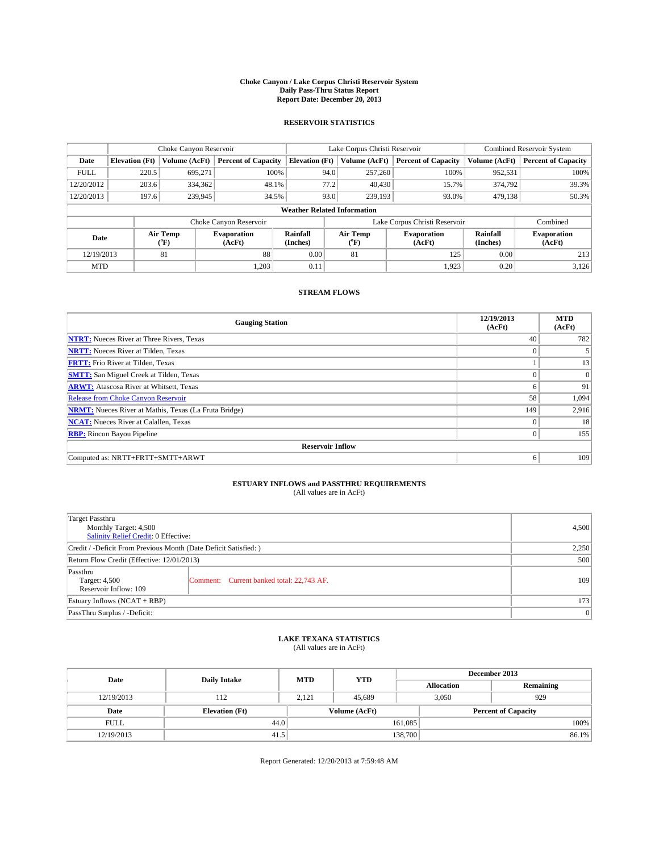#### **Choke Canyon / Lake Corpus Christi Reservoir System Daily Pass-Thru Status Report Report Date: December 20, 2013**

### **RESERVOIR STATISTICS**

|             |                                    | Choke Canyon Reservoir |                              |                       | Lake Corpus Christi Reservoir | <b>Combined Reservoir System</b> |                      |                              |  |
|-------------|------------------------------------|------------------------|------------------------------|-----------------------|-------------------------------|----------------------------------|----------------------|------------------------------|--|
| Date        | <b>Elevation</b> (Ft)              | Volume (AcFt)          | <b>Percent of Capacity</b>   | <b>Elevation (Ft)</b> | Volume (AcFt)                 | <b>Percent of Capacity</b>       | Volume (AcFt)        | <b>Percent of Capacity</b>   |  |
| <b>FULL</b> | 220.5                              | 695.271                | 100%                         | 94.0                  | 257,260                       | 100%                             | 952,531              | 100%                         |  |
| 12/20/2012  | 203.6                              | 334,362                | 48.1%                        | 77.2                  | 40,430                        | 15.7%                            | 374,792              | 39.3%                        |  |
| 12/20/2013  | 197.6                              | 239,945                | 34.5%                        | 93.0                  | 239,193                       | 93.0%                            | 479,138              | 50.3%                        |  |
|             | <b>Weather Related Information</b> |                        |                              |                       |                               |                                  |                      |                              |  |
|             |                                    |                        | Choke Canyon Reservoir       |                       |                               | Lake Corpus Christi Reservoir    |                      | Combined                     |  |
| Date        |                                    | Air Temp<br>(°F)       | <b>Evaporation</b><br>(AcFt) | Rainfall<br>(Inches)  | Air Temp<br>(°F)              | <b>Evaporation</b><br>(AcFt)     | Rainfall<br>(Inches) | <b>Evaporation</b><br>(AcFt) |  |
| 12/19/2013  |                                    | 81                     | 88                           | 0.00                  | 81                            | 125                              | 0.00                 | 213                          |  |
| <b>MTD</b>  |                                    |                        | 1,203                        | 0.11                  |                               | 1,923                            | 0.20                 | 3,126                        |  |

### **STREAM FLOWS**

| <b>Gauging Station</b>                                       | 12/19/2013<br>(AcFt) | <b>MTD</b><br>(AcFt) |  |  |  |  |  |
|--------------------------------------------------------------|----------------------|----------------------|--|--|--|--|--|
| <b>NTRT:</b> Nueces River at Three Rivers, Texas             | 40                   | 782                  |  |  |  |  |  |
| <b>NRTT:</b> Nueces River at Tilden, Texas                   | $\theta$             |                      |  |  |  |  |  |
| <b>FRTT:</b> Frio River at Tilden, Texas                     |                      | 13                   |  |  |  |  |  |
| <b>SMTT:</b> San Miguel Creek at Tilden, Texas               |                      | $\overline{0}$       |  |  |  |  |  |
| <b>ARWT:</b> Atascosa River at Whitsett, Texas               | 6                    | 91                   |  |  |  |  |  |
| <b>Release from Choke Canyon Reservoir</b>                   | 58                   | 1,094                |  |  |  |  |  |
| <b>NRMT:</b> Nueces River at Mathis, Texas (La Fruta Bridge) | 149                  | 2,916                |  |  |  |  |  |
| <b>NCAT:</b> Nueces River at Calallen, Texas                 | $\theta$             | 18                   |  |  |  |  |  |
| <b>RBP:</b> Rincon Bayou Pipeline                            | $\mathbf{0}$         | 155                  |  |  |  |  |  |
| <b>Reservoir Inflow</b>                                      |                      |                      |  |  |  |  |  |
| Computed as: NRTT+FRTT+SMTT+ARWT                             | 6                    | 109                  |  |  |  |  |  |

# **ESTUARY INFLOWS and PASSTHRU REQUIREMENTS**<br>(All values are in AcFt)

| <b>Target Passthru</b>                                           |                                           |     |  |
|------------------------------------------------------------------|-------------------------------------------|-----|--|
| Monthly Target: 4,500<br>Salinity Relief Credit: 0 Effective:    | 4,500                                     |     |  |
| Credit / -Deficit From Previous Month (Date Deficit Satisfied: ) | 2,250                                     |     |  |
| Return Flow Credit (Effective: 12/01/2013)                       |                                           |     |  |
| Passthru<br>Target: 4,500<br>Reservoir Inflow: 109               | Comment: Current banked total: 22,743 AF. | 109 |  |
| Estuary Inflows (NCAT + RBP)                                     | 173                                       |     |  |
| PassThru Surplus / -Deficit:                                     | 0                                         |     |  |

# **LAKE TEXANA STATISTICS** (All values are in AcFt)

| Date        | <b>Daily Intake</b>   | <b>MTD</b> | <b>YTD</b>    | December 2013     |                            |           |  |
|-------------|-----------------------|------------|---------------|-------------------|----------------------------|-----------|--|
|             |                       |            |               | <b>Allocation</b> |                            | Remaining |  |
| 12/19/2013  | 112                   | 2,121      | 45.689        | 3,050             | 929                        |           |  |
| Date        | <b>Elevation</b> (Ft) |            | Volume (AcFt) |                   | <b>Percent of Capacity</b> |           |  |
| <b>FULL</b> | 44.0                  |            |               | 161,085           |                            | 100%      |  |
| 12/19/2013  | 41.5                  |            |               | 138,700           |                            | 86.1%     |  |

Report Generated: 12/20/2013 at 7:59:48 AM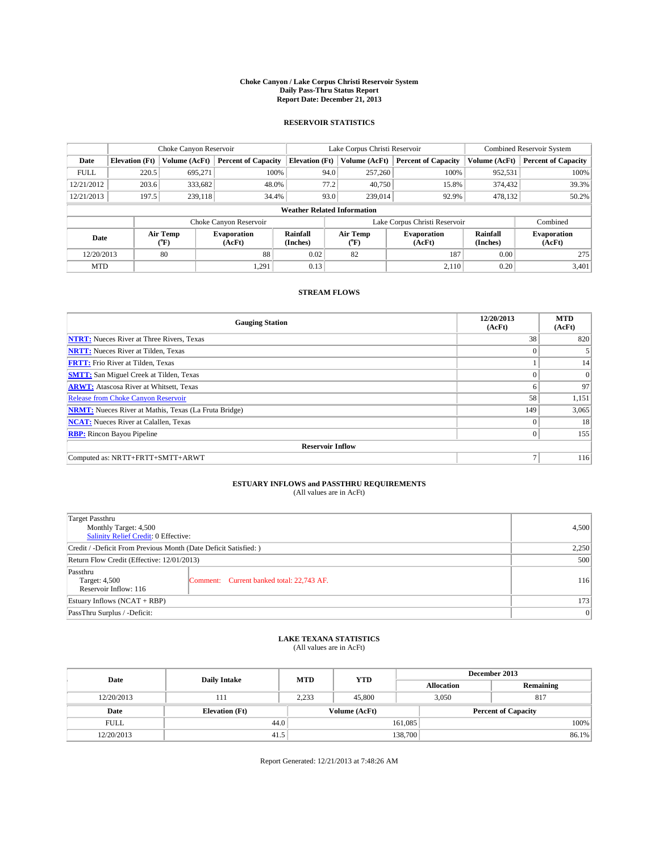#### **Choke Canyon / Lake Corpus Christi Reservoir System Daily Pass-Thru Status Report Report Date: December 21, 2013**

### **RESERVOIR STATISTICS**

|             | Choke Canyon Reservoir             |                  |                              |                       | Lake Corpus Christi Reservoir | <b>Combined Reservoir System</b> |                      |                              |  |
|-------------|------------------------------------|------------------|------------------------------|-----------------------|-------------------------------|----------------------------------|----------------------|------------------------------|--|
| Date        | <b>Elevation</b> (Ft)              | Volume (AcFt)    | <b>Percent of Capacity</b>   | <b>Elevation (Ft)</b> | Volume (AcFt)                 | <b>Percent of Capacity</b>       | Volume (AcFt)        | <b>Percent of Capacity</b>   |  |
| <b>FULL</b> | 220.5                              | 695,271          | 100%                         | 94.0                  | 257,260                       | 100%                             | 952,531              | 100%                         |  |
| 12/21/2012  | 203.6                              | 333,682          | 48.0%                        | 77.2                  | 40,750                        | 15.8%                            | 374,432              | 39.3%                        |  |
| 12/21/2013  | 197.5                              | 239.118          | 34.4%                        | 93.0                  | 239,014                       | 92.9%                            | 478,132              | 50.2%                        |  |
|             | <b>Weather Related Information</b> |                  |                              |                       |                               |                                  |                      |                              |  |
|             |                                    |                  | Choke Canyon Reservoir       |                       |                               | Lake Corpus Christi Reservoir    |                      | Combined                     |  |
| Date        |                                    | Air Temp<br>(°F) | <b>Evaporation</b><br>(AcFt) | Rainfall<br>(Inches)  | Air Temp<br>("F)              | <b>Evaporation</b><br>(AcFt)     | Rainfall<br>(Inches) | <b>Evaporation</b><br>(AcFt) |  |
| 12/20/2013  |                                    | 80               | 88                           | 0.02                  | 82                            | 187                              | 0.00                 | 275                          |  |
| <b>MTD</b>  |                                    |                  | 1,291                        | 0.13                  |                               | 2.110                            | 0.20                 | 3,401                        |  |

### **STREAM FLOWS**

| <b>Gauging Station</b>                                       | 12/20/2013<br>(AcFt) | <b>MTD</b><br>(AcFt) |  |  |  |  |  |
|--------------------------------------------------------------|----------------------|----------------------|--|--|--|--|--|
| <b>NTRT:</b> Nueces River at Three Rivers, Texas             | 38                   | 820                  |  |  |  |  |  |
| <b>NRTT:</b> Nueces River at Tilden, Texas                   | $\theta$             |                      |  |  |  |  |  |
| <b>FRTT:</b> Frio River at Tilden, Texas                     |                      | 14                   |  |  |  |  |  |
| <b>SMTT:</b> San Miguel Creek at Tilden, Texas               | $\theta$             | $\overline{0}$       |  |  |  |  |  |
| <b>ARWT:</b> Atascosa River at Whitsett, Texas               | 6                    | 97                   |  |  |  |  |  |
| <b>Release from Choke Canyon Reservoir</b>                   | 58                   | 1,151                |  |  |  |  |  |
| <b>NRMT:</b> Nueces River at Mathis, Texas (La Fruta Bridge) | 149                  | 3,065                |  |  |  |  |  |
| <b>NCAT:</b> Nueces River at Calallen, Texas                 | $\theta$             | 18                   |  |  |  |  |  |
| <b>RBP:</b> Rincon Bayou Pipeline                            | $\Omega$             | 155                  |  |  |  |  |  |
| <b>Reservoir Inflow</b>                                      |                      |                      |  |  |  |  |  |
| Computed as: NRTT+FRTT+SMTT+ARWT                             | Ξ                    | 116                  |  |  |  |  |  |

# **ESTUARY INFLOWS and PASSTHRU REQUIREMENTS**<br>(All values are in AcFt)

| Target Passthru<br>Monthly Target: 4,500                         |                                           |     |  |  |
|------------------------------------------------------------------|-------------------------------------------|-----|--|--|
| Salinity Relief Credit: 0 Effective:                             |                                           |     |  |  |
| Credit / -Deficit From Previous Month (Date Deficit Satisfied: ) |                                           |     |  |  |
| Return Flow Credit (Effective: 12/01/2013)                       |                                           |     |  |  |
| Passthru<br>Target: 4,500<br>Reservoir Inflow: 116               | Comment: Current banked total: 22,743 AF. | 116 |  |  |
| Estuary Inflows (NCAT + RBP)                                     |                                           |     |  |  |
| PassThru Surplus / -Deficit:                                     | 0                                         |     |  |  |

# **LAKE TEXANA STATISTICS** (All values are in AcFt)

| Date        | <b>Daily Intake</b>   | <b>MTD</b> | <b>YTD</b>    | December 2013     |                            |           |  |
|-------------|-----------------------|------------|---------------|-------------------|----------------------------|-----------|--|
|             |                       |            |               | <b>Allocation</b> |                            | Remaining |  |
| 12/20/2013  | 111                   | 2,233      | 45,800        | 3,050             | 817                        |           |  |
| Date        | <b>Elevation</b> (Ft) |            | Volume (AcFt) |                   | <b>Percent of Capacity</b> |           |  |
| <b>FULL</b> | 44.0                  |            |               | 161,085           |                            | 100%      |  |
| 12/20/2013  | 41.5                  |            |               | 138,700           |                            | 86.1%     |  |

Report Generated: 12/21/2013 at 7:48:26 AM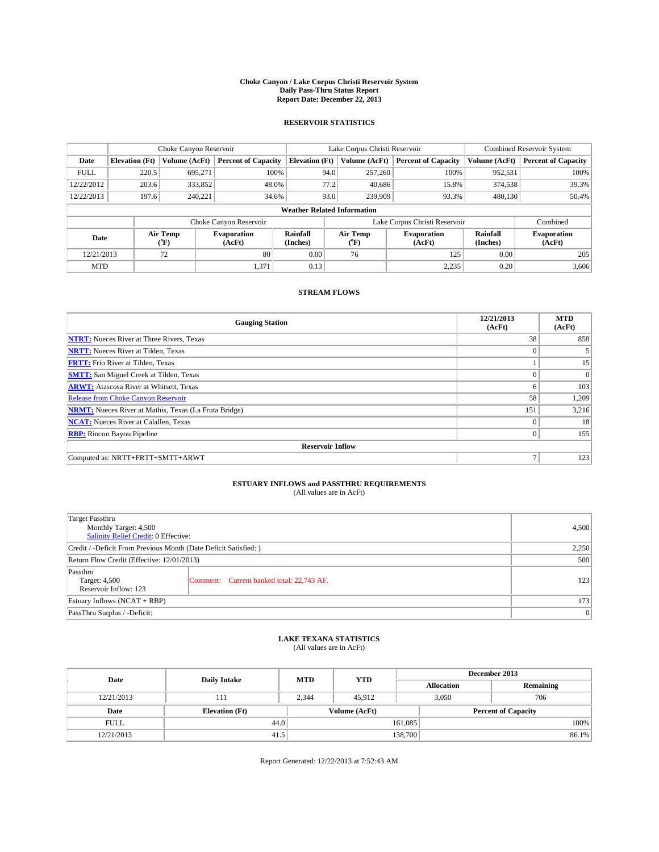#### **Choke Canyon / Lake Corpus Christi Reservoir System Daily Pass-Thru Status Report Report Date: December 22, 2013**

### **RESERVOIR STATISTICS**

|             |                                    | Choke Canyon Reservoir |                              |                       | Lake Corpus Christi Reservoir | <b>Combined Reservoir System</b> |               |                              |  |
|-------------|------------------------------------|------------------------|------------------------------|-----------------------|-------------------------------|----------------------------------|---------------|------------------------------|--|
| Date        | <b>Elevation</b> (Ft)              | Volume (AcFt)          | <b>Percent of Capacity</b>   | <b>Elevation (Ft)</b> | Volume (AcFt)                 | <b>Percent of Capacity</b>       | Volume (AcFt) | <b>Percent of Capacity</b>   |  |
| <b>FULL</b> | 220.5                              | 695,271                | 100%                         | 94.0                  | 257,260                       | 100%                             | 952,531       | 100%                         |  |
| 12/22/2012  | 203.6                              | 333,852                | 48.0%                        | 77.2                  | 40,686                        | 15.8%                            | 374,538       | 39.3%                        |  |
| 12/22/2013  | 197.6                              | 240,221                | 34.6%                        | 93.0                  | 239,909                       | 93.3%                            | 480.130       | 50.4%                        |  |
|             | <b>Weather Related Information</b> |                        |                              |                       |                               |                                  |               |                              |  |
|             |                                    |                        | Choke Canyon Reservoir       |                       | Lake Corpus Christi Reservoir |                                  |               | Combined                     |  |
| Date        |                                    | Air Temp<br>(°F)       | <b>Evaporation</b><br>(AcFt) | Rainfall<br>(Inches)  | Air Temp<br>(°F)              | <b>Evaporation</b><br>(AcFt)     |               | <b>Evaporation</b><br>(AcFt) |  |
| 12/21/2013  | 80<br>72                           |                        | 0.00                         | 76                    | 125                           | 0.00                             | 205           |                              |  |
| <b>MTD</b>  |                                    |                        | 1,371                        | 0.13                  |                               | 2,235                            | 0.20          | 3,606                        |  |

### **STREAM FLOWS**

| <b>Gauging Station</b>                                       | 12/21/2013<br>(AcFt) | <b>MTD</b><br>(AcFt) |  |  |  |  |  |
|--------------------------------------------------------------|----------------------|----------------------|--|--|--|--|--|
| <b>NTRT:</b> Nueces River at Three Rivers, Texas             | 38                   | 858                  |  |  |  |  |  |
| <b>NRTT:</b> Nueces River at Tilden, Texas                   |                      |                      |  |  |  |  |  |
| <b>FRTT:</b> Frio River at Tilden, Texas                     |                      | 15                   |  |  |  |  |  |
| <b>SMTT:</b> San Miguel Creek at Tilden, Texas               |                      | $\Omega$             |  |  |  |  |  |
| <b>ARWT:</b> Atascosa River at Whitsett, Texas               | 6                    | 103                  |  |  |  |  |  |
| Release from Choke Canyon Reservoir                          | 58                   | 1,209                |  |  |  |  |  |
| <b>NRMT:</b> Nueces River at Mathis, Texas (La Fruta Bridge) | 151                  | 3,216                |  |  |  |  |  |
| <b>NCAT:</b> Nueces River at Calallen, Texas                 | $\theta$             | 18                   |  |  |  |  |  |
| <b>RBP:</b> Rincon Bayou Pipeline                            | $\Omega$             | 155                  |  |  |  |  |  |
| <b>Reservoir Inflow</b>                                      |                      |                      |  |  |  |  |  |
| Computed as: NRTT+FRTT+SMTT+ARWT                             | Ξ                    | 123                  |  |  |  |  |  |

# **ESTUARY INFLOWS and PASSTHRU REQUIREMENTS**<br>(All values are in AcFt)

| Target Passthru                                                  |                                           |     |  |  |
|------------------------------------------------------------------|-------------------------------------------|-----|--|--|
| Monthly Target: 4,500                                            |                                           |     |  |  |
| Salinity Relief Credit: 0 Effective:                             |                                           |     |  |  |
| Credit / -Deficit From Previous Month (Date Deficit Satisfied: ) |                                           |     |  |  |
| Return Flow Credit (Effective: 12/01/2013)                       |                                           |     |  |  |
| Passthru                                                         |                                           |     |  |  |
| Target: 4,500                                                    | Comment: Current banked total: 22,743 AF. | 123 |  |  |
| Reservoir Inflow: 123                                            |                                           |     |  |  |
| Estuary Inflows (NCAT + RBP)                                     |                                           |     |  |  |
| PassThru Surplus / -Deficit:                                     | 0                                         |     |  |  |

# **LAKE TEXANA STATISTICS** (All values are in AcFt)

| Date        | <b>Daily Intake</b>   | <b>MTD</b> | <b>YTD</b>    | December 2013     |                            |           |  |
|-------------|-----------------------|------------|---------------|-------------------|----------------------------|-----------|--|
|             |                       |            |               | <b>Allocation</b> |                            | Remaining |  |
| 12/21/2013  | 111                   | 2.344      | 45.912        |                   | 3,050<br>706               |           |  |
| Date        | <b>Elevation</b> (Ft) |            | Volume (AcFt) |                   | <b>Percent of Capacity</b> |           |  |
| <b>FULL</b> | 44.0                  |            |               | 161,085           |                            | 100%      |  |
| 12/21/2013  | 41.5                  |            |               | 138,700           |                            | 86.1%     |  |

Report Generated: 12/22/2013 at 7:52:43 AM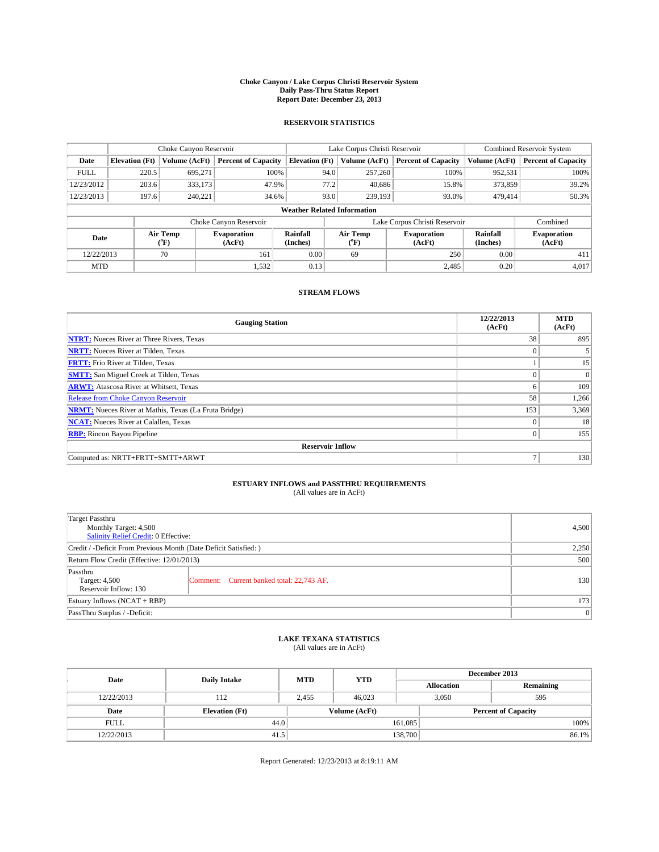#### **Choke Canyon / Lake Corpus Christi Reservoir System Daily Pass-Thru Status Report Report Date: December 23, 2013**

### **RESERVOIR STATISTICS**

|             |                                    | Choke Canyon Reservoir |                              |                       | Lake Corpus Christi Reservoir | <b>Combined Reservoir System</b> |                      |                              |  |
|-------------|------------------------------------|------------------------|------------------------------|-----------------------|-------------------------------|----------------------------------|----------------------|------------------------------|--|
| Date        | <b>Elevation</b> (Ft)              | Volume (AcFt)          | <b>Percent of Capacity</b>   | <b>Elevation (Ft)</b> | Volume (AcFt)                 | <b>Percent of Capacity</b>       | Volume (AcFt)        | <b>Percent of Capacity</b>   |  |
| <b>FULL</b> | 220.5                              | 695,271                | 100%                         | 94.0                  | 257,260                       | 100%                             | 952,531              | 100%                         |  |
| 12/23/2012  | 203.6                              | 333,173                | 47.9%                        | 77.2                  | 40,686                        | 15.8%                            | 373,859              | 39.2%                        |  |
| 12/23/2013  | 197.6                              | 240,221                | 34.6%                        | 93.0                  | 239,193                       | 93.0%                            | 479,414              | 50.3%                        |  |
|             | <b>Weather Related Information</b> |                        |                              |                       |                               |                                  |                      |                              |  |
|             |                                    |                        | Choke Canyon Reservoir       |                       | Lake Corpus Christi Reservoir |                                  | Combined             |                              |  |
| Date        |                                    | Air Temp<br>(°F)       | <b>Evaporation</b><br>(AcFt) | Rainfall<br>(Inches)  | Air Temp<br>(°F)              | <b>Evaporation</b><br>(AcFt)     | Rainfall<br>(Inches) | <b>Evaporation</b><br>(AcFt) |  |
| 12/22/2013  |                                    | 70                     | 161                          | 0.00                  | 69                            | 250                              | 0.00                 | 411                          |  |
| <b>MTD</b>  |                                    |                        | 1,532                        | 0.13                  |                               | 2,485                            | 0.20                 | 4,017                        |  |

### **STREAM FLOWS**

| <b>Gauging Station</b>                                       | 12/22/2013<br>(AcFt) | <b>MTD</b><br>(AcFt) |  |  |  |  |  |
|--------------------------------------------------------------|----------------------|----------------------|--|--|--|--|--|
| <b>NTRT:</b> Nueces River at Three Rivers, Texas             | 38                   | 895                  |  |  |  |  |  |
| <b>NRTT:</b> Nueces River at Tilden, Texas                   | $\theta$             |                      |  |  |  |  |  |
| <b>FRTT:</b> Frio River at Tilden, Texas                     |                      | 15                   |  |  |  |  |  |
| <b>SMTT:</b> San Miguel Creek at Tilden, Texas               | $\theta$             | $\overline{0}$       |  |  |  |  |  |
| <b>ARWT:</b> Atascosa River at Whitsett, Texas               | 6                    | 109                  |  |  |  |  |  |
| <b>Release from Choke Canyon Reservoir</b>                   | 58                   | 1,266                |  |  |  |  |  |
| <b>NRMT:</b> Nueces River at Mathis, Texas (La Fruta Bridge) | 153                  | 3,369                |  |  |  |  |  |
| <b>NCAT:</b> Nueces River at Calallen, Texas                 | $\theta$             | 18                   |  |  |  |  |  |
| <b>RBP:</b> Rincon Bayou Pipeline                            | $\Omega$             | 155                  |  |  |  |  |  |
| <b>Reservoir Inflow</b>                                      |                      |                      |  |  |  |  |  |
| Computed as: NRTT+FRTT+SMTT+ARWT                             | $\overline{ }$       | 130                  |  |  |  |  |  |

# **ESTUARY INFLOWS and PASSTHRU REQUIREMENTS**<br>(All values are in AcFt)

| Target Passthru<br>Monthly Target: 4,500                         |                                           |     |  |  |
|------------------------------------------------------------------|-------------------------------------------|-----|--|--|
| Salinity Relief Credit: 0 Effective:                             |                                           |     |  |  |
| Credit / -Deficit From Previous Month (Date Deficit Satisfied: ) |                                           |     |  |  |
| Return Flow Credit (Effective: 12/01/2013)                       |                                           |     |  |  |
| Passthru<br>Target: 4,500<br>Reservoir Inflow: 130               | Comment: Current banked total: 22,743 AF. | 130 |  |  |
| Estuary Inflows (NCAT + RBP)                                     |                                           |     |  |  |
| PassThru Surplus / -Deficit:                                     |                                           |     |  |  |

# **LAKE TEXANA STATISTICS** (All values are in AcFt)

| Date        | <b>Daily Intake</b>   | <b>MTD</b> | <b>YTD</b>    | December 2013     |                            |           |  |
|-------------|-----------------------|------------|---------------|-------------------|----------------------------|-----------|--|
|             |                       |            |               | <b>Allocation</b> |                            | Remaining |  |
| 12/22/2013  | 112                   | 2,455      | 46,023        |                   | 3,050<br>595               |           |  |
| Date        | <b>Elevation</b> (Ft) |            | Volume (AcFt) |                   | <b>Percent of Capacity</b> |           |  |
| <b>FULL</b> | 44.0                  |            |               | 161,085           |                            | 100%      |  |
| 12/22/2013  | 41.5                  |            |               | 138,700           |                            | 86.1%     |  |

Report Generated: 12/23/2013 at 8:19:11 AM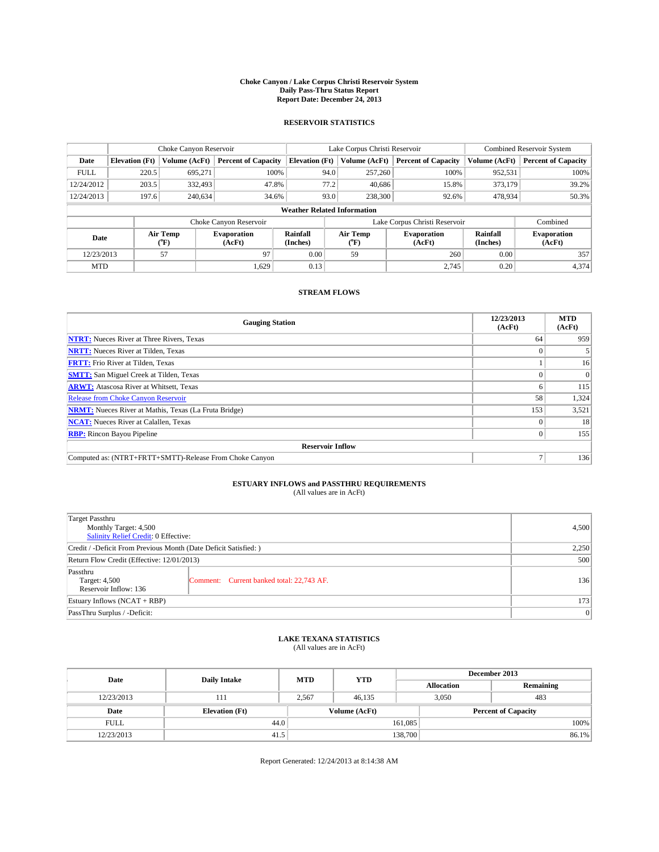#### **Choke Canyon / Lake Corpus Christi Reservoir System Daily Pass-Thru Status Report Report Date: December 24, 2013**

### **RESERVOIR STATISTICS**

|             |                                    | Choke Canyon Reservoir |                              |                       | Lake Corpus Christi Reservoir | Combined Reservoir System    |                      |                              |  |
|-------------|------------------------------------|------------------------|------------------------------|-----------------------|-------------------------------|------------------------------|----------------------|------------------------------|--|
| Date        | <b>Elevation</b> (Ft)              | <b>Volume (AcFt)</b>   | <b>Percent of Capacity</b>   | <b>Elevation (Ft)</b> | Volume (AcFt)                 | <b>Percent of Capacity</b>   | Volume (AcFt)        | <b>Percent of Capacity</b>   |  |
| <b>FULL</b> | 220.5                              | 695.271                | 100%                         | 94.0                  | 257,260                       | 100%                         | 952,531              | 100%                         |  |
| 12/24/2012  | 203.5                              | 332,493                | 47.8%                        | 77.2                  | 40,686                        | 15.8%                        | 373,179              | 39.2%                        |  |
| 12/24/2013  | 197.6                              | 240,634                | 34.6%                        | 93.0                  | 238,300                       | 92.6%                        | 478,934              | 50.3%                        |  |
|             | <b>Weather Related Information</b> |                        |                              |                       |                               |                              |                      |                              |  |
|             |                                    |                        | Choke Canyon Reservoir       |                       | Lake Corpus Christi Reservoir |                              |                      |                              |  |
| Date        |                                    | Air Temp<br>(°F)       | <b>Evaporation</b><br>(AcFt) | Rainfall<br>(Inches)  | Air Temp<br>(°F)              | <b>Evaporation</b><br>(AcFt) | Rainfall<br>(Inches) | <b>Evaporation</b><br>(AcFt) |  |
| 12/23/2013  |                                    | 97<br>57               |                              | 0.00                  | 59                            | 260                          | 0.00                 | 357                          |  |
| <b>MTD</b>  |                                    |                        | 1.629                        | 0.13                  |                               | 2.745                        | 0.20                 | 4,374                        |  |

### **STREAM FLOWS**

| <b>Gauging Station</b>                                       | 12/23/2013<br>(AcFt) | <b>MTD</b><br>(AcFt) |  |  |  |  |
|--------------------------------------------------------------|----------------------|----------------------|--|--|--|--|
| <b>NTRT:</b> Nueces River at Three Rivers, Texas             | 64                   | 959                  |  |  |  |  |
| <b>NRTT:</b> Nueces River at Tilden, Texas                   |                      |                      |  |  |  |  |
| <b>FRTT:</b> Frio River at Tilden, Texas                     |                      | 16                   |  |  |  |  |
| <b>SMTT:</b> San Miguel Creek at Tilden, Texas               |                      | $\Omega$             |  |  |  |  |
| <b>ARWT:</b> Atascosa River at Whitsett, Texas               |                      | 115                  |  |  |  |  |
| <b>Release from Choke Canyon Reservoir</b>                   | 58                   | 1,324                |  |  |  |  |
| <b>NRMT:</b> Nueces River at Mathis, Texas (La Fruta Bridge) | 153                  | 3,521                |  |  |  |  |
| <b>NCAT:</b> Nueces River at Calallen, Texas                 |                      | 18                   |  |  |  |  |
| <b>RBP:</b> Rincon Bayou Pipeline                            | $\Omega$             | 155                  |  |  |  |  |
| <b>Reservoir Inflow</b>                                      |                      |                      |  |  |  |  |
| Computed as: (NTRT+FRTT+SMTT)-Release From Choke Canyon      | 7                    | 136                  |  |  |  |  |

# **ESTUARY INFLOWS and PASSTHRU REQUIREMENTS**<br>(All values are in AcFt)

| Target Passthru                                                  |                                           |     |  |  |
|------------------------------------------------------------------|-------------------------------------------|-----|--|--|
| Monthly Target: 4,500<br>Salinity Relief Credit: 0 Effective:    |                                           |     |  |  |
| Credit / -Deficit From Previous Month (Date Deficit Satisfied: ) |                                           |     |  |  |
| Return Flow Credit (Effective: 12/01/2013)                       |                                           |     |  |  |
| Passthru<br>Target: 4,500<br>Reservoir Inflow: 136               | Comment: Current banked total: 22,743 AF. | 136 |  |  |
| Estuary Inflows (NCAT + RBP)                                     |                                           |     |  |  |
| PassThru Surplus / -Deficit:                                     |                                           |     |  |  |

# **LAKE TEXANA STATISTICS** (All values are in AcFt)

| Date        | <b>Daily Intake</b>   | <b>MTD</b> | <b>YTD</b>    | December 2013     |                            |           |  |
|-------------|-----------------------|------------|---------------|-------------------|----------------------------|-----------|--|
|             |                       |            |               | <b>Allocation</b> |                            | Remaining |  |
| 12/23/2013  | 111                   | 2.567      | 46.135        |                   | 3,050<br>483               |           |  |
| Date        | <b>Elevation</b> (Ft) |            | Volume (AcFt) |                   | <b>Percent of Capacity</b> |           |  |
| <b>FULL</b> | 44.0                  |            |               | 161,085           |                            | 100%      |  |
| 12/23/2013  | 41.5                  |            |               | 138,700           |                            | 86.1%     |  |

Report Generated: 12/24/2013 at 8:14:38 AM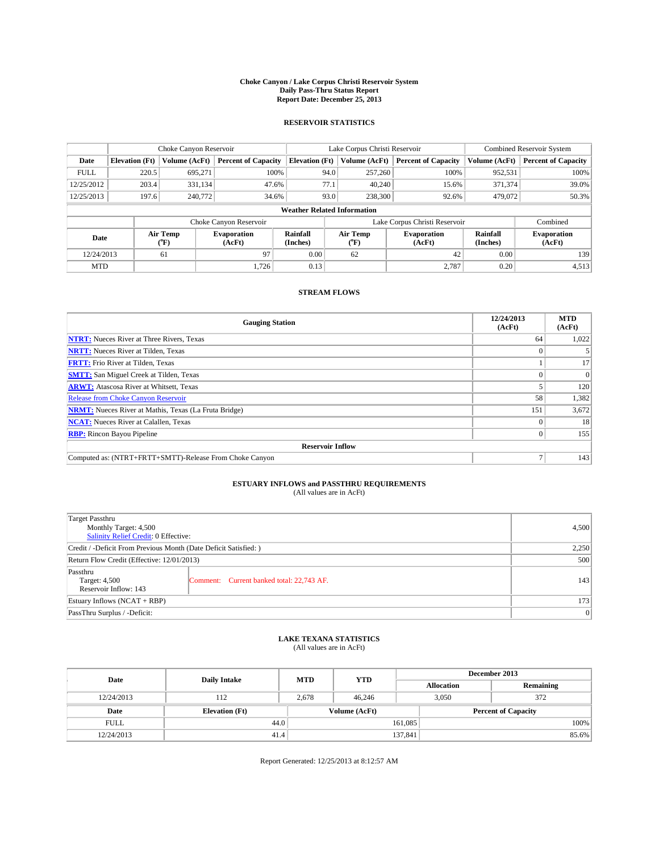#### **Choke Canyon / Lake Corpus Christi Reservoir System Daily Pass-Thru Status Report Report Date: December 25, 2013**

### **RESERVOIR STATISTICS**

|             | Choke Canyon Reservoir             |                  |                              |                       | Lake Corpus Christi Reservoir | <b>Combined Reservoir System</b> |               |                              |  |
|-------------|------------------------------------|------------------|------------------------------|-----------------------|-------------------------------|----------------------------------|---------------|------------------------------|--|
| Date        | <b>Elevation</b> (Ft)              | Volume (AcFt)    | <b>Percent of Capacity</b>   | <b>Elevation</b> (Ft) | Volume (AcFt)                 | <b>Percent of Capacity</b>       | Volume (AcFt) | <b>Percent of Capacity</b>   |  |
| <b>FULL</b> | 220.5                              | 695.271          | 100%                         | 94.0                  | 257,260                       | 100%                             | 952,531       | 100%                         |  |
| 12/25/2012  | 203.4                              | 331,134          | 47.6%                        | 77.1                  | 40,240                        | 15.6%                            | 371,374       | 39.0%                        |  |
| 12/25/2013  | 197.6                              | 240,772          | 34.6%                        | 93.0                  | 238,300                       | 92.6%                            | 479,072       | 50.3%                        |  |
|             | <b>Weather Related Information</b> |                  |                              |                       |                               |                                  |               |                              |  |
|             |                                    |                  | Choke Canyon Reservoir       |                       |                               | Lake Corpus Christi Reservoir    |               | Combined                     |  |
| Date        |                                    | Air Temp<br>(°F) | <b>Evaporation</b><br>(AcFt) | Rainfall<br>(Inches)  | Air Temp<br>$\rm ^{(^o}\!F)$  | <b>Evaporation</b><br>(AcFt)     |               | <b>Evaporation</b><br>(AcFt) |  |
| 12/24/2013  |                                    | 97<br>61         |                              | 0.00                  | 62                            | 42                               | 0.00          | 139                          |  |
| <b>MTD</b>  |                                    |                  | 1.726                        | 0.13                  |                               | 2,787                            | 0.20          | 4,513                        |  |

### **STREAM FLOWS**

| <b>Gauging Station</b>                                       | 12/24/2013<br>(AcFt) | <b>MTD</b><br>(AcFt) |  |  |  |  |
|--------------------------------------------------------------|----------------------|----------------------|--|--|--|--|
| <b>NTRT:</b> Nueces River at Three Rivers, Texas             | 64                   | 1,022                |  |  |  |  |
| <b>NRTT:</b> Nueces River at Tilden, Texas                   |                      |                      |  |  |  |  |
| <b>FRTT:</b> Frio River at Tilden, Texas                     |                      | 17                   |  |  |  |  |
| <b>SMTT:</b> San Miguel Creek at Tilden, Texas               |                      | $\Omega$             |  |  |  |  |
| <b>ARWT:</b> Atascosa River at Whitsett, Texas               |                      | 120                  |  |  |  |  |
| <b>Release from Choke Canyon Reservoir</b>                   | 58                   | 1,382                |  |  |  |  |
| <b>NRMT:</b> Nueces River at Mathis, Texas (La Fruta Bridge) | 151                  | 3,672                |  |  |  |  |
| <b>NCAT:</b> Nueces River at Calallen, Texas                 |                      | 18                   |  |  |  |  |
| <b>RBP:</b> Rincon Bayou Pipeline                            | $\Omega$             | 155                  |  |  |  |  |
| <b>Reservoir Inflow</b>                                      |                      |                      |  |  |  |  |
| Computed as: (NTRT+FRTT+SMTT)-Release From Choke Canyon      | 7                    | 143                  |  |  |  |  |

# **ESTUARY INFLOWS and PASSTHRU REQUIREMENTS**<br>(All values are in AcFt)

| Target Passthru<br>Monthly Target: 4,500<br>Salinity Relief Credit: 0 Effective: |                                           |     |  |  |
|----------------------------------------------------------------------------------|-------------------------------------------|-----|--|--|
| Credit / -Deficit From Previous Month (Date Deficit Satisfied: )                 | 2,250                                     |     |  |  |
| Return Flow Credit (Effective: 12/01/2013)                                       | 500                                       |     |  |  |
| Passthru<br>Target: 4,500<br>Reservoir Inflow: 143                               | Comment: Current banked total: 22,743 AF. | 143 |  |  |
| Estuary Inflows $(NCAT + RBP)$                                                   | 173                                       |     |  |  |
| PassThru Surplus / -Deficit:                                                     | 0                                         |     |  |  |

# **LAKE TEXANA STATISTICS** (All values are in AcFt)

| Date        | <b>Daily Intake</b>   | <b>MTD</b> | <b>YTD</b>    | December 2013     |                            |           |  |
|-------------|-----------------------|------------|---------------|-------------------|----------------------------|-----------|--|
|             |                       |            |               | <b>Allocation</b> |                            | Remaining |  |
| 12/24/2013  | 112                   | 2.678      | 46,246        |                   | 372<br>3,050               |           |  |
| Date        | <b>Elevation</b> (Ft) |            | Volume (AcFt) |                   | <b>Percent of Capacity</b> |           |  |
| <b>FULL</b> | 44.0                  |            |               | 161,085           |                            | 100%      |  |
| 12/24/2013  | 41.4                  |            |               | 137,841           |                            | 85.6%     |  |

Report Generated: 12/25/2013 at 8:12:57 AM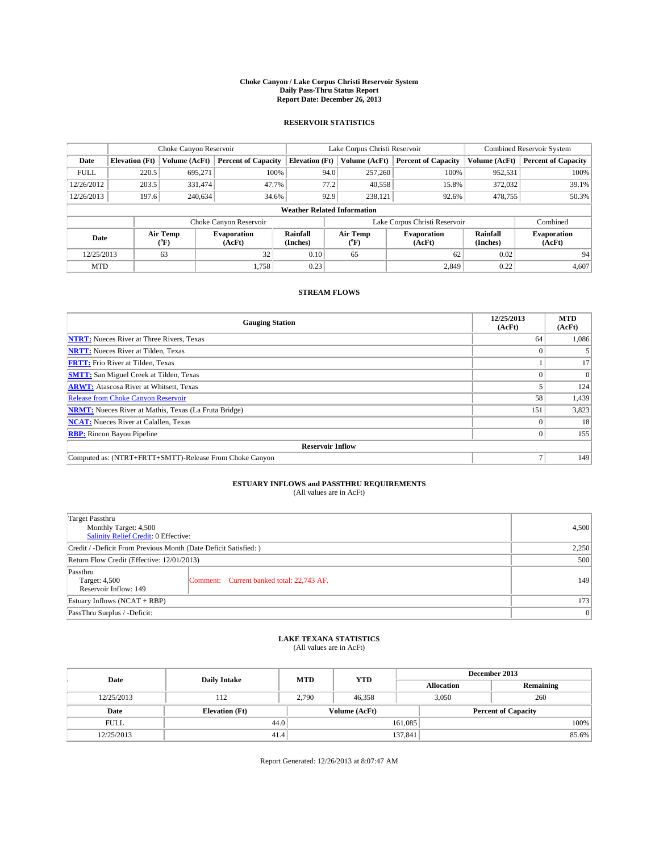#### **Choke Canyon / Lake Corpus Christi Reservoir System Daily Pass-Thru Status Report Report Date: December 26, 2013**

### **RESERVOIR STATISTICS**

|             | Choke Canyon Reservoir             |                      |                              |                       | Lake Corpus Christi Reservoir | Combined Reservoir System     |                      |                              |  |
|-------------|------------------------------------|----------------------|------------------------------|-----------------------|-------------------------------|-------------------------------|----------------------|------------------------------|--|
| Date        | <b>Elevation</b> (Ft)              | <b>Volume (AcFt)</b> | <b>Percent of Capacity</b>   | <b>Elevation (Ft)</b> | Volume (AcFt)                 | <b>Percent of Capacity</b>    | Volume (AcFt)        | <b>Percent of Capacity</b>   |  |
| <b>FULL</b> | 220.5                              | 695.271              | 100%                         | 94.0                  | 257,260                       | 100%                          | 952,531              | 100%                         |  |
| 12/26/2012  | 203.5                              | 331,474              | 47.7%                        | 77.2                  | 40,558                        | 15.8%                         | 372,032              | 39.1%                        |  |
| 12/26/2013  | 197.6                              | 240,634              | 34.6%                        | 92.9                  | 238,121                       | 92.6%                         | 478,755              | 50.3%                        |  |
|             | <b>Weather Related Information</b> |                      |                              |                       |                               |                               |                      |                              |  |
|             |                                    |                      | Choke Canyon Reservoir       |                       |                               | Lake Corpus Christi Reservoir |                      | Combined                     |  |
| Date        | Air Temp<br>(°F)                   |                      | <b>Evaporation</b><br>(AcFt) | Rainfall<br>(Inches)  | Air Temp<br>(°F)              | <b>Evaporation</b><br>(AcFt)  | Rainfall<br>(Inches) | <b>Evaporation</b><br>(AcFt) |  |
| 12/25/2013  |                                    | 63                   | 32                           | 0.10                  | 65                            | 62                            | 0.02                 | 94                           |  |
| <b>MTD</b>  |                                    |                      | 1.758                        | 0.23                  |                               | 2,849                         | 0.22                 | 4,607                        |  |

### **STREAM FLOWS**

| <b>Gauging Station</b>                                       | 12/25/2013<br>(AcFt) | <b>MTD</b><br>(AcFt) |  |  |  |  |
|--------------------------------------------------------------|----------------------|----------------------|--|--|--|--|
| <b>NTRT:</b> Nueces River at Three Rivers, Texas             | 64                   | 1,086                |  |  |  |  |
| <b>NRTT:</b> Nueces River at Tilden, Texas                   |                      |                      |  |  |  |  |
| <b>FRTT:</b> Frio River at Tilden, Texas                     |                      | 17                   |  |  |  |  |
| <b>SMTT:</b> San Miguel Creek at Tilden, Texas               |                      | $\Omega$             |  |  |  |  |
| <b>ARWT:</b> Atascosa River at Whitsett, Texas               |                      | 124                  |  |  |  |  |
| <b>Release from Choke Canyon Reservoir</b>                   | 58                   | 1,439                |  |  |  |  |
| <b>NRMT:</b> Nueces River at Mathis, Texas (La Fruta Bridge) | 151                  | 3,823                |  |  |  |  |
| <b>NCAT:</b> Nueces River at Calallen, Texas                 |                      | 18                   |  |  |  |  |
| <b>RBP:</b> Rincon Bayou Pipeline                            | $\Omega$             | 155                  |  |  |  |  |
| <b>Reservoir Inflow</b>                                      |                      |                      |  |  |  |  |
| Computed as: (NTRT+FRTT+SMTT)-Release From Choke Canyon      |                      | 149                  |  |  |  |  |

# **ESTUARY INFLOWS and PASSTHRU REQUIREMENTS**<br>(All values are in AcFt)

| Target Passthru<br>Monthly Target: 4,500<br>Salinity Relief Credit: 0 Effective: | 4,500                                     |     |
|----------------------------------------------------------------------------------|-------------------------------------------|-----|
| Credit / -Deficit From Previous Month (Date Deficit Satisfied: )                 | 2,250                                     |     |
| Return Flow Credit (Effective: 12/01/2013)                                       | 500                                       |     |
| Passthru<br>Target: 4,500<br>Reservoir Inflow: 149                               | Comment: Current banked total: 22,743 AF. | 149 |
| Estuary Inflows (NCAT + RBP)                                                     | 173                                       |     |
| PassThru Surplus / -Deficit:                                                     | 0                                         |     |

# **LAKE TEXANA STATISTICS** (All values are in AcFt)

| Date        | <b>Daily Intake</b>   | <b>MTD</b> | <b>YTD</b>    | December 2013     |                            |           |  |
|-------------|-----------------------|------------|---------------|-------------------|----------------------------|-----------|--|
|             |                       |            |               | <b>Allocation</b> |                            | Remaining |  |
| 12/25/2013  | 112                   | 2.790      | 46,358        |                   | 260<br>3,050               |           |  |
| Date        | <b>Elevation</b> (Ft) |            | Volume (AcFt) |                   | <b>Percent of Capacity</b> |           |  |
| <b>FULL</b> | 44.0                  |            |               | 161,085           |                            | 100%      |  |
| 12/25/2013  | 41.4                  |            |               | 137,841           |                            | 85.6%     |  |

Report Generated: 12/26/2013 at 8:07:47 AM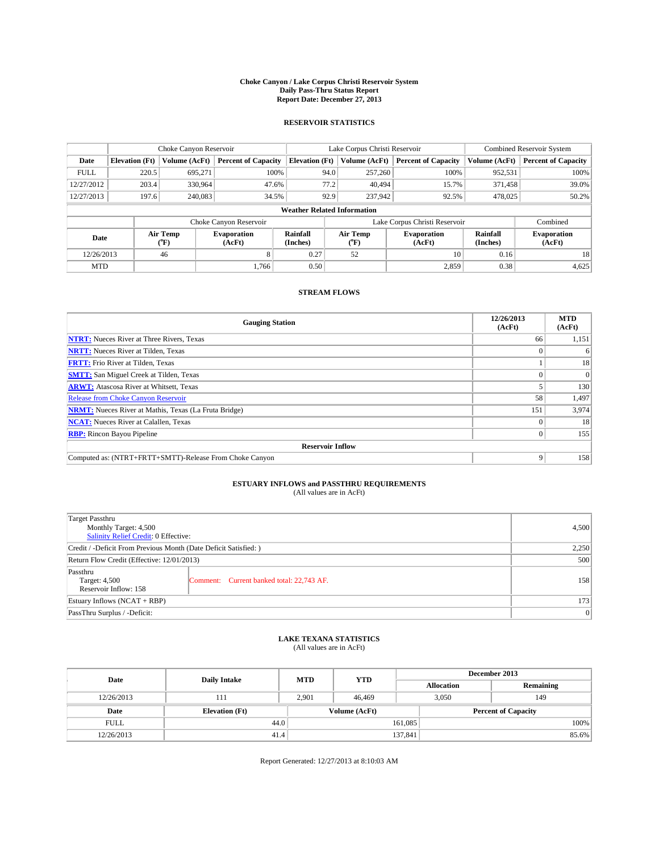#### **Choke Canyon / Lake Corpus Christi Reservoir System Daily Pass-Thru Status Report Report Date: December 27, 2013**

### **RESERVOIR STATISTICS**

|             | Choke Canyon Reservoir             |                      |                              |                       | Lake Corpus Christi Reservoir | Combined Reservoir System     |                      |                              |  |
|-------------|------------------------------------|----------------------|------------------------------|-----------------------|-------------------------------|-------------------------------|----------------------|------------------------------|--|
| Date        | <b>Elevation</b> (Ft)              | <b>Volume (AcFt)</b> | <b>Percent of Capacity</b>   | <b>Elevation (Ft)</b> | Volume (AcFt)                 | <b>Percent of Capacity</b>    | Volume (AcFt)        | <b>Percent of Capacity</b>   |  |
| <b>FULL</b> | 220.5                              | 695.271              | 100%                         | 94.0                  | 257,260                       | 100%                          | 952,531              | 100%                         |  |
| 12/27/2012  | 203.4                              | 330,964              | 47.6%                        | 77.2                  | 40.494                        | 15.7%                         | 371,458              | 39.0%                        |  |
| 12/27/2013  | 197.6                              | 240,083              | 34.5%                        | 92.9                  | 237,942                       | 92.5%                         | 478,025              | 50.2%                        |  |
|             | <b>Weather Related Information</b> |                      |                              |                       |                               |                               |                      |                              |  |
|             |                                    |                      | Choke Canyon Reservoir       |                       |                               | Lake Corpus Christi Reservoir |                      | Combined                     |  |
| Date        |                                    | Air Temp<br>(°F)     | <b>Evaporation</b><br>(AcFt) | Rainfall<br>(Inches)  | Air Temp<br>(°F)              | <b>Evaporation</b><br>(AcFt)  | Rainfall<br>(Inches) | <b>Evaporation</b><br>(AcFt) |  |
| 12/26/2013  |                                    | 46<br>8              |                              | 0.27                  | 52                            | 10                            | 0.16                 | 18                           |  |
| <b>MTD</b>  |                                    |                      | 1.766                        | 0.50                  |                               | 2,859                         | 0.38                 | 4,625                        |  |

### **STREAM FLOWS**

| <b>Gauging Station</b>                                       | 12/26/2013<br>(AcFt) | <b>MTD</b><br>(AcFt) |  |  |  |  |
|--------------------------------------------------------------|----------------------|----------------------|--|--|--|--|
| <b>NTRT:</b> Nueces River at Three Rivers, Texas             | 66                   | 1,151                |  |  |  |  |
| <b>NRTT:</b> Nueces River at Tilden, Texas                   |                      | 6                    |  |  |  |  |
| <b>FRTT:</b> Frio River at Tilden, Texas                     |                      | 18                   |  |  |  |  |
| <b>SMTT:</b> San Miguel Creek at Tilden, Texas               |                      | $\Omega$             |  |  |  |  |
| <b>ARWT:</b> Atascosa River at Whitsett, Texas               |                      | 130                  |  |  |  |  |
| <b>Release from Choke Canyon Reservoir</b>                   | 58                   | 1,497                |  |  |  |  |
| <b>NRMT:</b> Nueces River at Mathis, Texas (La Fruta Bridge) | 151                  | 3,974                |  |  |  |  |
| <b>NCAT:</b> Nueces River at Calallen, Texas                 |                      | 18                   |  |  |  |  |
| <b>RBP:</b> Rincon Bayou Pipeline                            | $\Omega$             | 155                  |  |  |  |  |
| <b>Reservoir Inflow</b>                                      |                      |                      |  |  |  |  |
| Computed as: (NTRT+FRTT+SMTT)-Release From Choke Canyon      | 9                    | 158                  |  |  |  |  |

# **ESTUARY INFLOWS and PASSTHRU REQUIREMENTS**<br>(All values are in AcFt)

| Target Passthru                                                  |                                           |     |  |  |
|------------------------------------------------------------------|-------------------------------------------|-----|--|--|
| Monthly Target: 4,500                                            | 4,500                                     |     |  |  |
| Salinity Relief Credit: 0 Effective:                             |                                           |     |  |  |
| Credit / -Deficit From Previous Month (Date Deficit Satisfied: ) |                                           |     |  |  |
| Return Flow Credit (Effective: 12/01/2013)                       |                                           |     |  |  |
| Passthru                                                         |                                           |     |  |  |
| Target: 4,500                                                    | Comment: Current banked total: 22,743 AF. | 158 |  |  |
| Reservoir Inflow: 158                                            |                                           |     |  |  |
| Estuary Inflows (NCAT + RBP)                                     |                                           |     |  |  |
| PassThru Surplus / -Deficit:                                     | 0                                         |     |  |  |

# **LAKE TEXANA STATISTICS** (All values are in AcFt)

| Date        | <b>Daily Intake</b>   | <b>MTD</b> | <b>YTD</b>    | December 2013     |                            |           |  |
|-------------|-----------------------|------------|---------------|-------------------|----------------------------|-----------|--|
|             |                       |            |               | <b>Allocation</b> |                            | Remaining |  |
| 12/26/2013  | 111                   | 2.901      | 46,469        |                   | 3,050<br>149               |           |  |
| Date        | <b>Elevation</b> (Ft) |            | Volume (AcFt) |                   | <b>Percent of Capacity</b> |           |  |
| <b>FULL</b> | 44.0                  |            |               | 161,085           |                            | 100%      |  |
| 12/26/2013  | 41.4                  |            |               | 137,841           |                            | 85.6%     |  |

Report Generated: 12/27/2013 at 8:10:03 AM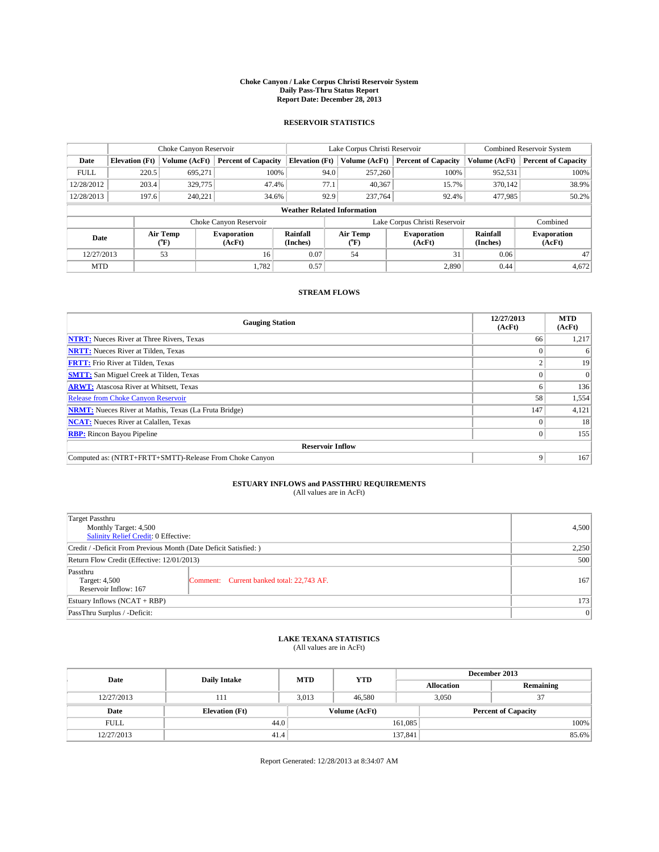#### **Choke Canyon / Lake Corpus Christi Reservoir System Daily Pass-Thru Status Report Report Date: December 28, 2013**

### **RESERVOIR STATISTICS**

|             |                                    | Choke Canyon Reservoir |                              |                       | Lake Corpus Christi Reservoir               | Combined Reservoir System     |                      |                              |  |
|-------------|------------------------------------|------------------------|------------------------------|-----------------------|---------------------------------------------|-------------------------------|----------------------|------------------------------|--|
| Date        | <b>Elevation</b> (Ft)              | Volume (AcFt)          | <b>Percent of Capacity</b>   | <b>Elevation</b> (Ft) | <b>Percent of Capacity</b><br>Volume (AcFt) |                               | Volume (AcFt)        | <b>Percent of Capacity</b>   |  |
| <b>FULL</b> | 220.5                              | 695.271                | 100%                         | 94.0                  | 257,260                                     | 100%                          | 952,531              | 100%                         |  |
| 12/28/2012  | 203.4                              | 329,775                | 47.4%                        | 77.1                  | 40,367                                      | 15.7%                         | 370,142              | 38.9%                        |  |
| 12/28/2013  | 197.6                              | 240,221                | 34.6%                        | 92.9                  | 237,764                                     | 92.4%                         | 477,985              | 50.2%                        |  |
|             | <b>Weather Related Information</b> |                        |                              |                       |                                             |                               |                      |                              |  |
|             |                                    |                        | Choke Canyon Reservoir       |                       |                                             | Lake Corpus Christi Reservoir |                      | Combined                     |  |
| Date        | Air Temp<br>(°F)                   |                        | <b>Evaporation</b><br>(AcFt) | Rainfall<br>(Inches)  | Air Temp<br>$\rm ^{(^o}\!F)$                | <b>Evaporation</b><br>(AcFt)  | Rainfall<br>(Inches) | <b>Evaporation</b><br>(AcFt) |  |
| 12/27/2013  |                                    | 53                     | 16                           |                       | 54                                          | 31                            | 0.06                 | 47                           |  |
| <b>MTD</b>  |                                    |                        | 1.782                        | 0.57                  |                                             | 2,890                         | 0.44                 | 4,672                        |  |

### **STREAM FLOWS**

| <b>Gauging Station</b>                                       | 12/27/2013<br>(AcFt) | <b>MTD</b><br>(AcFt) |  |  |  |  |
|--------------------------------------------------------------|----------------------|----------------------|--|--|--|--|
| <b>NTRT:</b> Nueces River at Three Rivers, Texas             | 66                   | 1,217                |  |  |  |  |
| <b>NRTT:</b> Nueces River at Tilden, Texas                   |                      | 6                    |  |  |  |  |
| <b>FRTT:</b> Frio River at Tilden, Texas                     |                      | 19                   |  |  |  |  |
| <b>SMTT:</b> San Miguel Creek at Tilden, Texas               |                      | $\Omega$             |  |  |  |  |
| <b>ARWT:</b> Atascosa River at Whitsett, Texas               |                      | 136                  |  |  |  |  |
| <b>Release from Choke Canyon Reservoir</b>                   | 58                   | 1,554                |  |  |  |  |
| <b>NRMT:</b> Nueces River at Mathis, Texas (La Fruta Bridge) | 147                  | 4,121                |  |  |  |  |
| <b>NCAT:</b> Nueces River at Calallen, Texas                 |                      | 18                   |  |  |  |  |
| <b>RBP:</b> Rincon Bayou Pipeline                            | $\Omega$             | 155                  |  |  |  |  |
| <b>Reservoir Inflow</b>                                      |                      |                      |  |  |  |  |
| Computed as: (NTRT+FRTT+SMTT)-Release From Choke Canyon      | 9                    | 167                  |  |  |  |  |

# **ESTUARY INFLOWS and PASSTHRU REQUIREMENTS**<br>(All values are in AcFt)

| Target Passthru<br>Monthly Target: 4,500<br>Salinity Relief Credit: 0 Effective: | 4,500                                     |     |
|----------------------------------------------------------------------------------|-------------------------------------------|-----|
| Credit / -Deficit From Previous Month (Date Deficit Satisfied: )                 | 2,250                                     |     |
| Return Flow Credit (Effective: 12/01/2013)                                       | 500                                       |     |
| Passthru<br>Target: 4,500<br>Reservoir Inflow: 167                               | Comment: Current banked total: 22,743 AF. | 167 |
| Estuary Inflows $(NCAT + RBP)$                                                   | 173                                       |     |
| PassThru Surplus / -Deficit:                                                     | 0                                         |     |

# **LAKE TEXANA STATISTICS** (All values are in AcFt)

| Date        | <b>Daily Intake</b>   | <b>MTD</b>    | <b>YTD</b> | December 2013     |                            |           |  |
|-------------|-----------------------|---------------|------------|-------------------|----------------------------|-----------|--|
|             |                       |               |            | <b>Allocation</b> |                            | Remaining |  |
| 12/27/2013  | 111                   | 3.013         | 46.580     |                   | 3,050<br>37                |           |  |
| Date        | <b>Elevation</b> (Ft) | Volume (AcFt) |            |                   | <b>Percent of Capacity</b> |           |  |
| <b>FULL</b> | 44.0                  |               |            | 161,085           |                            | 100%      |  |
| 12/27/2013  | 41.4                  |               |            | 137,841           |                            | 85.6%     |  |

Report Generated: 12/28/2013 at 8:34:07 AM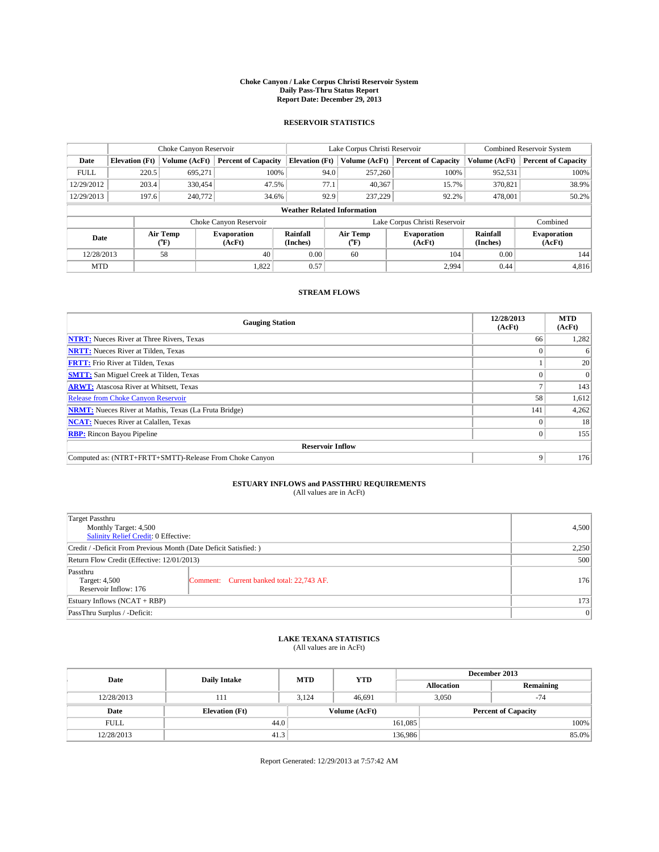#### **Choke Canyon / Lake Corpus Christi Reservoir System Daily Pass-Thru Status Report Report Date: December 29, 2013**

### **RESERVOIR STATISTICS**

|             | Choke Canyon Reservoir                                                                        |               |                                               |                                    | Lake Corpus Christi Reservoir | Combined Reservoir System     |               |                            |
|-------------|-----------------------------------------------------------------------------------------------|---------------|-----------------------------------------------|------------------------------------|-------------------------------|-------------------------------|---------------|----------------------------|
| Date        | <b>Elevation</b> (Ft)                                                                         | Volume (AcFt) | <b>Percent of Capacity</b>                    | <b>Elevation</b> (Ft)              | Volume (AcFt)                 | <b>Percent of Capacity</b>    | Volume (AcFt) | <b>Percent of Capacity</b> |
| <b>FULL</b> | 220.5                                                                                         | 695,271       | 100%                                          | 94.0                               | 257,260                       | 100%                          | 952,531       | 100%                       |
| 12/29/2012  | 203.4                                                                                         | 330,454       | 47.5%                                         | 77.1                               | 40,367                        | 15.7%                         | 370,821       | 38.9%                      |
| 12/29/2013  | 197.6                                                                                         | 240,772       | 34.6%                                         | 92.9                               | 237,229                       | 92.2%                         | 478,001       | 50.2%                      |
|             |                                                                                               |               |                                               | <b>Weather Related Information</b> |                               |                               |               |                            |
|             |                                                                                               |               | Choke Canyon Reservoir                        |                                    |                               | Lake Corpus Christi Reservoir |               | Combined                   |
|             | Air Temp<br>Air Temp<br>Rainfall<br>Evaporation<br>Date<br>(AcFt)<br>(°F)<br>(Inches)<br>("F) |               | Rainfall<br>Evaporation<br>(AcFt)<br>(Inches) |                                    | <b>Evaporation</b><br>(AcFt)  |                               |               |                            |
| 12/28/2013  |                                                                                               | 58            | 40                                            | 0.00                               | 60                            | 104                           | 0.00          | 144                        |

### **STREAM FLOWS**

MTD  $|$  1,822 0.57 2,994 0.44 4,816

| <b>Gauging Station</b>                                       | 12/28/2013<br>(AcFt) | <b>MTD</b><br>(AcFt) |  |  |  |  |
|--------------------------------------------------------------|----------------------|----------------------|--|--|--|--|
| <b>NTRT:</b> Nueces River at Three Rivers, Texas             | 66                   | 1,282                |  |  |  |  |
| <b>NRTT:</b> Nueces River at Tilden, Texas                   |                      | 6                    |  |  |  |  |
| <b>FRTT:</b> Frio River at Tilden, Texas                     |                      | 20                   |  |  |  |  |
| <b>SMTT:</b> San Miguel Creek at Tilden, Texas               |                      | $\Omega$             |  |  |  |  |
| <b>ARWT:</b> Atascosa River at Whitsett, Texas               |                      | 143                  |  |  |  |  |
| <b>Release from Choke Canyon Reservoir</b>                   | 58                   | 1,612                |  |  |  |  |
| <b>NRMT:</b> Nueces River at Mathis, Texas (La Fruta Bridge) | 141                  | 4,262                |  |  |  |  |
| <b>NCAT:</b> Nueces River at Calallen, Texas                 |                      | 18                   |  |  |  |  |
| <b>RBP:</b> Rincon Bayou Pipeline                            | $\Omega$             | 155                  |  |  |  |  |
| <b>Reservoir Inflow</b>                                      |                      |                      |  |  |  |  |
| Computed as: (NTRT+FRTT+SMTT)-Release From Choke Canyon      | 9                    | 176                  |  |  |  |  |

# **ESTUARY INFLOWS and PASSTHRU REQUIREMENTS**<br>(All values are in AcFt)

| Target Passthru                                                  | Monthly Target: 4,500                     |     |  |  |
|------------------------------------------------------------------|-------------------------------------------|-----|--|--|
| Salinity Relief Credit: 0 Effective:                             |                                           |     |  |  |
| Credit / -Deficit From Previous Month (Date Deficit Satisfied: ) |                                           |     |  |  |
| Return Flow Credit (Effective: 12/01/2013)                       |                                           |     |  |  |
| Passthru<br>Target: 4,500<br>Reservoir Inflow: 176               | Comment: Current banked total: 22,743 AF. | 176 |  |  |
| Estuary Inflows (NCAT + RBP)                                     |                                           |     |  |  |
| PassThru Surplus / -Deficit:                                     | 0                                         |     |  |  |

# **LAKE TEXANA STATISTICS** (All values are in AcFt)

| Date        | <b>Daily Intake</b>   | <b>MTD</b>    | <b>YTD</b> | December 2013     |                            |  |  |
|-------------|-----------------------|---------------|------------|-------------------|----------------------------|--|--|
|             |                       |               |            | <b>Allocation</b> | Remaining                  |  |  |
| 12/28/2013  | 111                   | 3.124         | 46.691     | 3,050             | $-74$                      |  |  |
| Date        | <b>Elevation</b> (Ft) | Volume (AcFt) |            |                   | <b>Percent of Capacity</b> |  |  |
| <b>FULL</b> | 44.0                  |               |            | 161,085           | 100%                       |  |  |
| 12/28/2013  | 41.3                  |               |            | 136,986           | 85.0%                      |  |  |

Report Generated: 12/29/2013 at 7:57:42 AM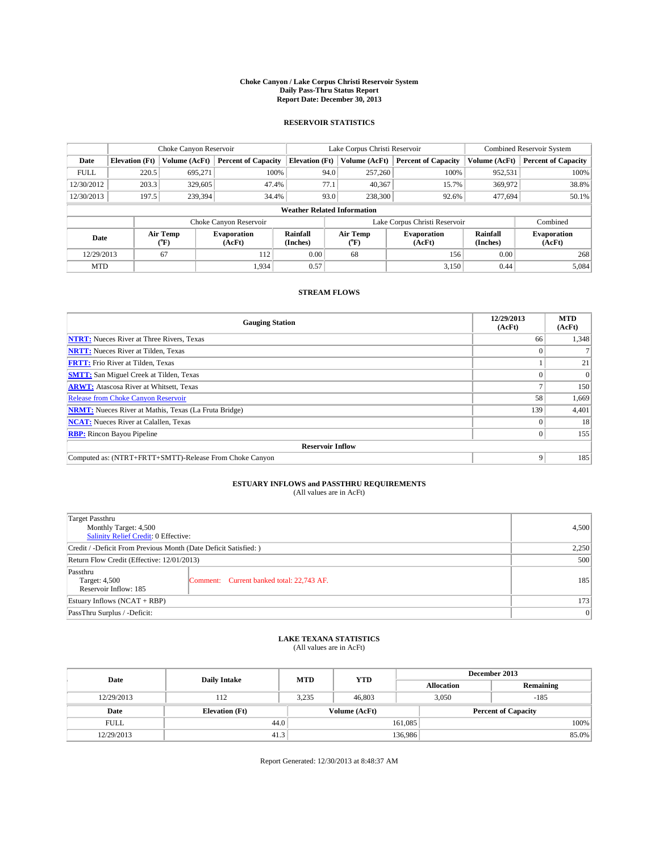#### **Choke Canyon / Lake Corpus Christi Reservoir System Daily Pass-Thru Status Report Report Date: December 30, 2013**

### **RESERVOIR STATISTICS**

|             |                       | Choke Canyon Reservoir |                              |                                    | Lake Corpus Christi Reservoir | Combined Reservoir System     |               |                              |
|-------------|-----------------------|------------------------|------------------------------|------------------------------------|-------------------------------|-------------------------------|---------------|------------------------------|
| Date        | <b>Elevation</b> (Ft) | Volume (AcFt)          | <b>Percent of Capacity</b>   | <b>Elevation</b> (Ft)              | Volume (AcFt)                 | <b>Percent of Capacity</b>    | Volume (AcFt) | <b>Percent of Capacity</b>   |
| <b>FULL</b> | 220.5                 | 695.271                | 100%                         | 94.0                               | 257,260                       | 100%                          | 952,531       | 100%                         |
| 12/30/2012  | 203.3                 | 329,605                | 47.4%                        | 77.1                               | 40,367                        | 15.7%                         | 369,972       | 38.8%                        |
| 12/30/2013  | 197.5                 | 239,394                | 34.4%                        | 93.0                               | 238,300                       | 92.6%                         | 477,694       | 50.1%                        |
|             |                       |                        |                              | <b>Weather Related Information</b> |                               |                               |               |                              |
|             |                       |                        | Choke Canyon Reservoir       |                                    |                               | Lake Corpus Christi Reservoir |               | Combined                     |
| Date        |                       | Air Temp<br>(°F)       | <b>Evaporation</b><br>(AcFt) | Rainfall<br>(Inches)               | Air Temp<br>$\rm ^{(^o}\!F)$  | <b>Evaporation</b><br>(AcFt)  |               | <b>Evaporation</b><br>(AcFt) |
| 12/29/2013  |                       | 67                     | 112                          | 0.00                               | 68                            | 156                           | 0.00          | 268                          |
| <b>MTD</b>  |                       |                        | 1,934                        | 0.57                               |                               | 3,150                         | 0.44          | 5,084                        |

### **STREAM FLOWS**

| <b>Gauging Station</b>                                       | 12/29/2013<br>(AcFt) | <b>MTD</b><br>(AcFt) |  |  |  |  |
|--------------------------------------------------------------|----------------------|----------------------|--|--|--|--|
| <b>NTRT:</b> Nueces River at Three Rivers, Texas             | 66                   | 1,348                |  |  |  |  |
| <b>NRTT:</b> Nueces River at Tilden, Texas                   |                      |                      |  |  |  |  |
| <b>FRTT:</b> Frio River at Tilden, Texas                     |                      | 21                   |  |  |  |  |
| <b>SMTT:</b> San Miguel Creek at Tilden, Texas               |                      | $\Omega$             |  |  |  |  |
| <b>ARWT:</b> Atascosa River at Whitsett, Texas               |                      | 150                  |  |  |  |  |
| <b>Release from Choke Canyon Reservoir</b>                   | 58                   | 1,669                |  |  |  |  |
| <b>NRMT:</b> Nueces River at Mathis, Texas (La Fruta Bridge) | 139                  | 4,401                |  |  |  |  |
| <b>NCAT:</b> Nueces River at Calallen, Texas                 |                      | 18                   |  |  |  |  |
| <b>RBP:</b> Rincon Bayou Pipeline                            | $\Omega$             | 155                  |  |  |  |  |
| <b>Reservoir Inflow</b>                                      |                      |                      |  |  |  |  |
| Computed as: (NTRT+FRTT+SMTT)-Release From Choke Canyon      | 9                    | 185                  |  |  |  |  |

# **ESTUARY INFLOWS and PASSTHRU REQUIREMENTS**<br>(All values are in AcFt)

| Target Passthru                                                  |                                           |     |  |  |  |
|------------------------------------------------------------------|-------------------------------------------|-----|--|--|--|
| Monthly Target: 4,500                                            | 4,500                                     |     |  |  |  |
| Salinity Relief Credit: 0 Effective:                             |                                           |     |  |  |  |
| Credit / -Deficit From Previous Month (Date Deficit Satisfied: ) |                                           |     |  |  |  |
| Return Flow Credit (Effective: 12/01/2013)                       |                                           |     |  |  |  |
| Passthru                                                         |                                           |     |  |  |  |
| Target: 4,500                                                    | Comment: Current banked total: 22,743 AF. | 185 |  |  |  |
|                                                                  | Reservoir Inflow: 185                     |     |  |  |  |
| Estuary Inflows (NCAT + RBP)                                     |                                           |     |  |  |  |
| PassThru Surplus / -Deficit:                                     | 0                                         |     |  |  |  |

## **LAKE TEXANA STATISTICS** (All values are in AcFt)

| Date        | <b>Daily Intake</b>   | <b>MTD</b> | <b>YTD</b>    | December 2013     |                            |           |  |
|-------------|-----------------------|------------|---------------|-------------------|----------------------------|-----------|--|
|             |                       |            |               | <b>Allocation</b> |                            | Remaining |  |
| 12/29/2013  | 112                   | 3.235      | 46,803        |                   | 3,050<br>$-185$            |           |  |
| Date        | <b>Elevation</b> (Ft) |            | Volume (AcFt) |                   | <b>Percent of Capacity</b> |           |  |
| <b>FULL</b> | 44.0                  |            |               | 161,085           |                            | 100%      |  |
| 12/29/2013  | 41.3                  |            |               | 136,986           |                            | 85.0%     |  |

Report Generated: 12/30/2013 at 8:48:37 AM